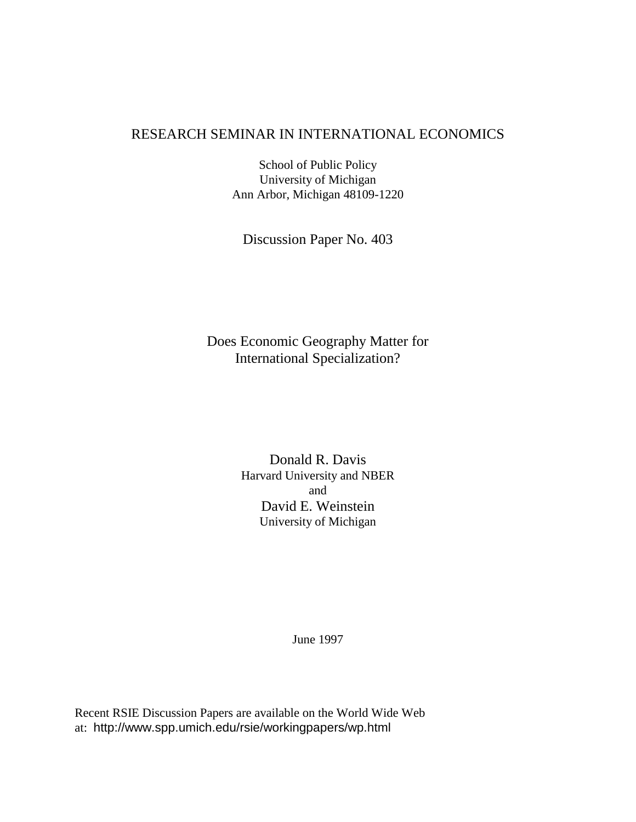### RESEARCH SEMINAR IN INTERNATIONAL ECONOMICS

School of Public Policy University of Michigan Ann Arbor, Michigan 48109-1220

Discussion Paper No. 403

Does Economic Geography Matter for International Specialization?

> Donald R. Davis Harvard University and NBER and David E. Weinstein University of Michigan

> > June 1997

Recent RSIE Discussion Papers are available on the World Wide Web at: http://www.spp.umich.edu/rsie/workingpapers/wp.html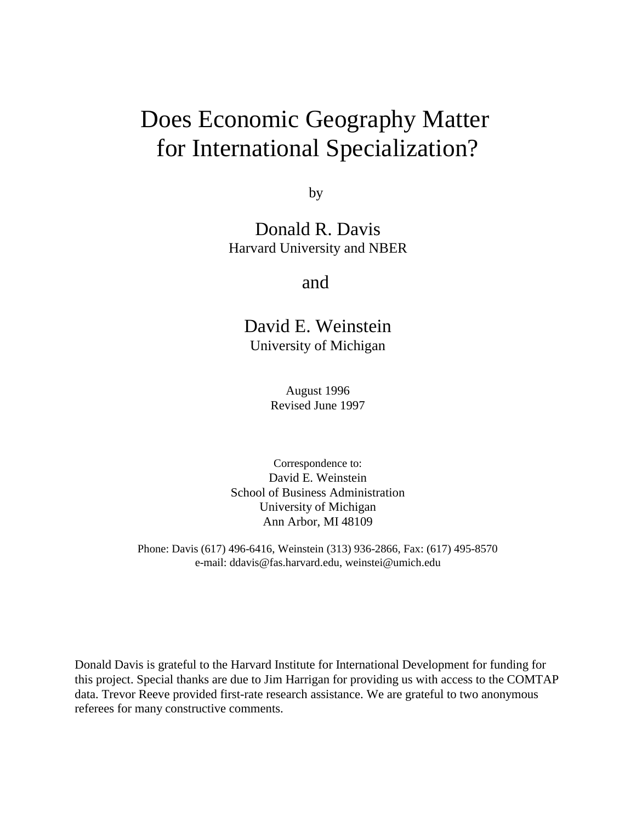# Does Economic Geography Matter for International Specialization?

by

Donald R. Davis Harvard University and NBER

and

David E. Weinstein University of Michigan

> August 1996 Revised June 1997

Correspondence to: David E. Weinstein School of Business Administration University of Michigan Ann Arbor, MI 48109

Phone: Davis (617) 496-6416, Weinstein (313) 936-2866, Fax: (617) 495-8570 e-mail: ddavis@fas.harvard.edu, weinstei@umich.edu

Donald Davis is grateful to the Harvard Institute for International Development for funding for this project. Special thanks are due to Jim Harrigan for providing us with access to the COMTAP data. Trevor Reeve provided first-rate research assistance. We are grateful to two anonymous referees for many constructive comments.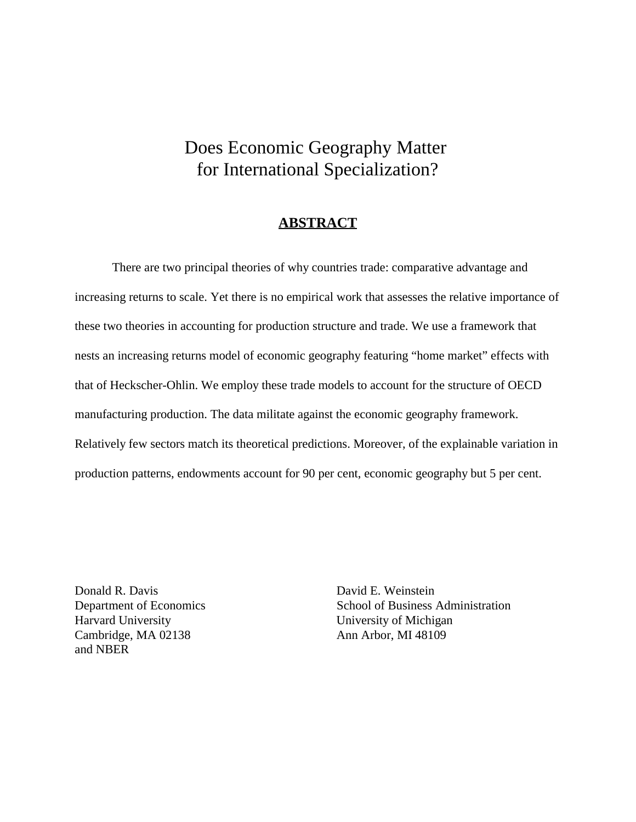# Does Economic Geography Matter for International Specialization?

#### **ABSTRACT**

There are two principal theories of why countries trade: comparative advantage and increasing returns to scale. Yet there is no empirical work that assesses the relative importance of these two theories in accounting for production structure and trade. We use a framework that nests an increasing returns model of economic geography featuring "home market" effects with that of Heckscher-Ohlin. We employ these trade models to account for the structure of OECD manufacturing production. The data militate against the economic geography framework. Relatively few sectors match its theoretical predictions. Moreover, of the explainable variation in production patterns, endowments account for 90 per cent, economic geography but 5 per cent.

Donald R. Davis David E. Weinstein Harvard University University of Michigan Cambridge, MA 02138 Ann Arbor, MI 48109 and NBER

Department of Economics School of Business Administration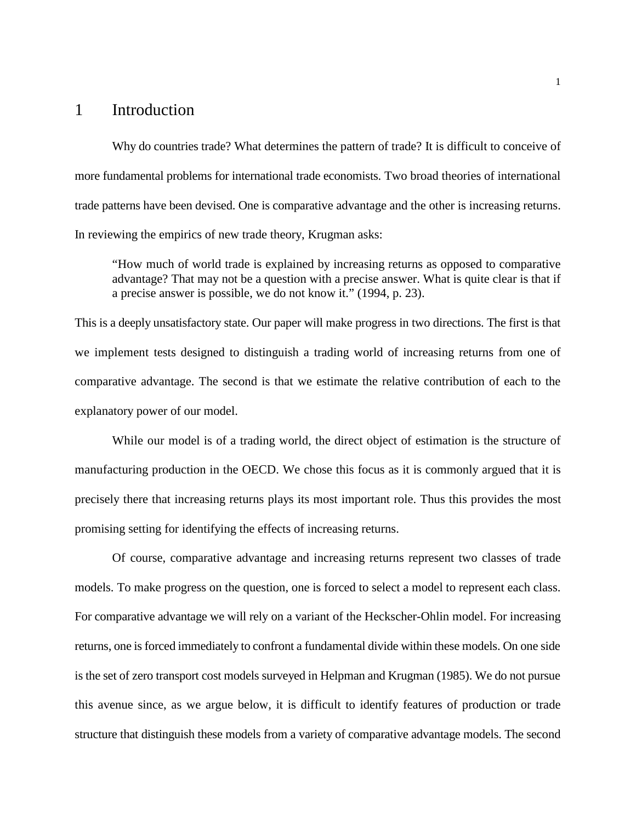### 1 Introduction

Why do countries trade? What determines the pattern of trade? It is difficult to conceive of more fundamental problems for international trade economists. Two broad theories of international trade patterns have been devised. One is comparative advantage and the other is increasing returns. In reviewing the empirics of new trade theory, Krugman asks:

"How much of world trade is explained by increasing returns as opposed to comparative advantage? That may not be a question with a precise answer. What is quite clear is that if a precise answer is possible, we do not know it." (1994, p. 23).

This is a deeply unsatisfactory state. Our paper will make progress in two directions. The first is that we implement tests designed to distinguish a trading world of increasing returns from one of comparative advantage. The second is that we estimate the relative contribution of each to the explanatory power of our model.

While our model is of a trading world, the direct object of estimation is the structure of manufacturing production in the OECD. We chose this focus as it is commonly argued that it is precisely there that increasing returns plays its most important role. Thus this provides the most promising setting for identifying the effects of increasing returns.

Of course, comparative advantage and increasing returns represent two classes of trade models. To make progress on the question, one is forced to select a model to represent each class. For comparative advantage we will rely on a variant of the Heckscher-Ohlin model. For increasing returns, one is forced immediately to confront a fundamental divide within these models. On one side is the set of zero transport cost models surveyed in Helpman and Krugman (1985). We do not pursue this avenue since, as we argue below, it is difficult to identify features of production or trade structure that distinguish these models from a variety of comparative advantage models. The second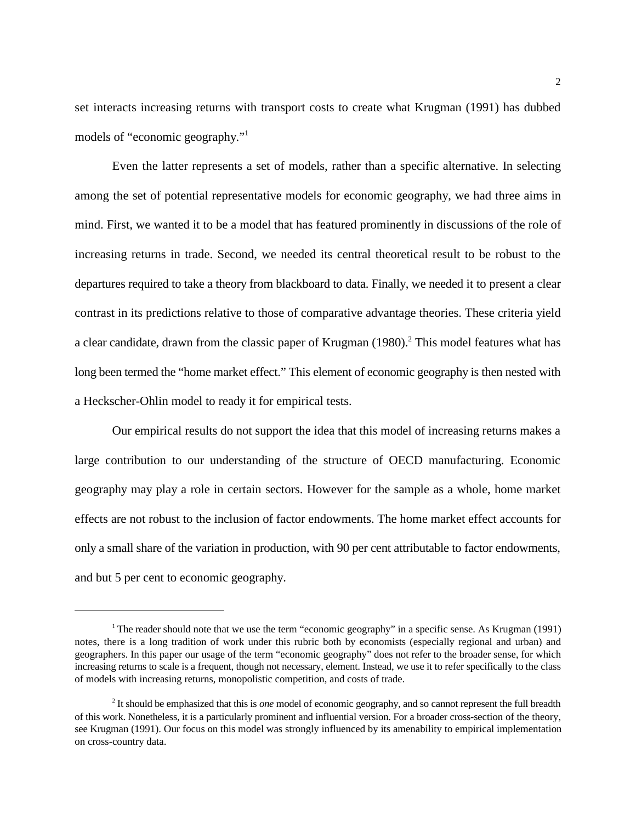set interacts increasing returns with transport costs to create what Krugman (1991) has dubbed models of "economic geography."1

Even the latter represents a set of models, rather than a specific alternative. In selecting among the set of potential representative models for economic geography, we had three aims in mind. First, we wanted it to be a model that has featured prominently in discussions of the role of increasing returns in trade. Second, we needed its central theoretical result to be robust to the departures required to take a theory from blackboard to data. Finally, we needed it to present a clear contrast in its predictions relative to those of comparative advantage theories. These criteria yield a clear candidate, drawn from the classic paper of Krugman (1980).<sup>2</sup> This model features what has long been termed the "home market effect." This element of economic geography is then nested with a Heckscher-Ohlin model to ready it for empirical tests.

Our empirical results do not support the idea that this model of increasing returns makes a large contribution to our understanding of the structure of OECD manufacturing. Economic geography may play a role in certain sectors. However for the sample as a whole, home market effects are not robust to the inclusion of factor endowments. The home market effect accounts for only a small share of the variation in production, with 90 per cent attributable to factor endowments, and but 5 per cent to economic geography.

<sup>&</sup>lt;sup>1</sup> The reader should note that we use the term "economic geography" in a specific sense. As Krugman (1991) notes, there is a long tradition of work under this rubric both by economists (especially regional and urban) and geographers. In this paper our usage of the term "economic geography" does not refer to the broader sense, for which increasing returns to scale is a frequent, though not necessary, element. Instead, we use it to refer specifically to the class of models with increasing returns, monopolistic competition, and costs of trade.

It should be emphasized that this is *one* model of economic geography, and so cannot represent the full breadth <sup>2</sup> of this work. Nonetheless, it is a particularly prominent and influential version. For a broader cross-section of the theory, see Krugman (1991). Our focus on this model was strongly influenced by its amenability to empirical implementation on cross-country data.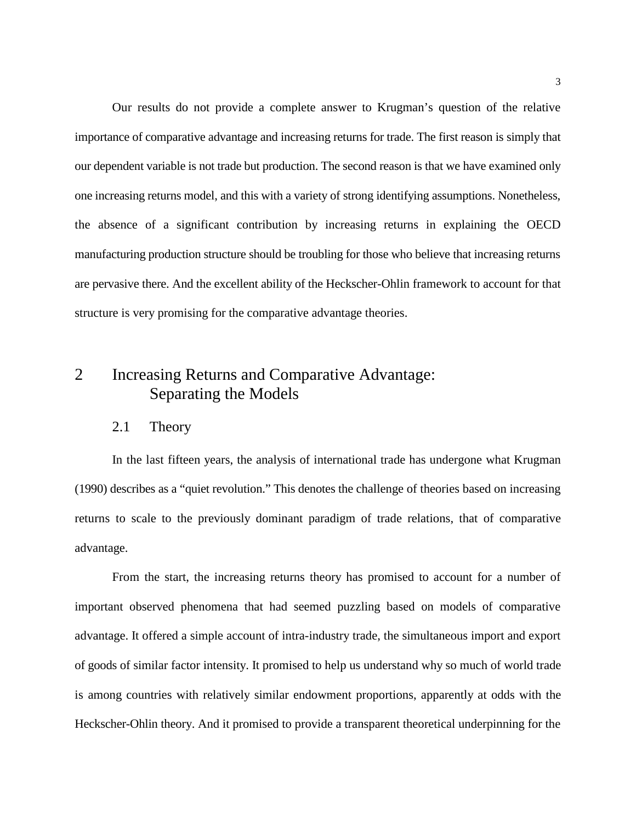Our results do not provide a complete answer to Krugman's question of the relative importance of comparative advantage and increasing returns for trade. The first reason is simply that our dependent variable is not trade but production. The second reason is that we have examined only one increasing returns model, and this with a variety of strong identifying assumptions. Nonetheless, the absence of a significant contribution by increasing returns in explaining the OECD manufacturing production structure should be troubling for those who believe that increasing returns are pervasive there. And the excellent ability of the Heckscher-Ohlin framework to account for that structure is very promising for the comparative advantage theories.

# 2 Increasing Returns and Comparative Advantage: Separating the Models

#### 2.1 Theory

In the last fifteen years, the analysis of international trade has undergone what Krugman (1990) describes as a "quiet revolution." This denotes the challenge of theories based on increasing returns to scale to the previously dominant paradigm of trade relations, that of comparative advantage.

From the start, the increasing returns theory has promised to account for a number of important observed phenomena that had seemed puzzling based on models of comparative advantage. It offered a simple account of intra-industry trade, the simultaneous import and export of goods of similar factor intensity. It promised to help us understand why so much of world trade is among countries with relatively similar endowment proportions, apparently at odds with the Heckscher-Ohlin theory. And it promised to provide a transparent theoretical underpinning for the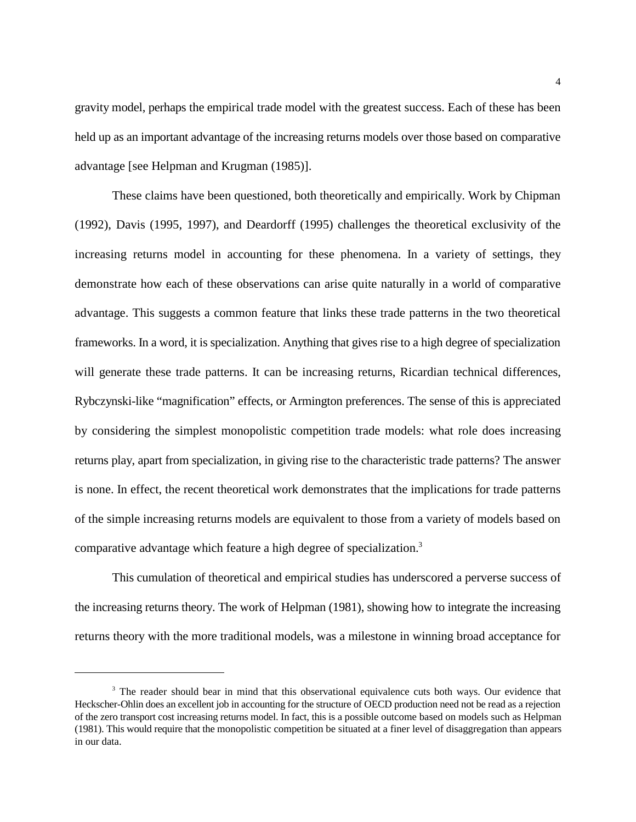gravity model, perhaps the empirical trade model with the greatest success. Each of these has been held up as an important advantage of the increasing returns models over those based on comparative advantage [see Helpman and Krugman (1985)].

These claims have been questioned, both theoretically and empirically. Work by Chipman (1992), Davis (1995, 1997), and Deardorff (1995) challenges the theoretical exclusivity of the increasing returns model in accounting for these phenomena. In a variety of settings, they demonstrate how each of these observations can arise quite naturally in a world of comparative advantage. This suggests a common feature that links these trade patterns in the two theoretical frameworks. In a word, it is specialization. Anything that gives rise to a high degree of specialization will generate these trade patterns. It can be increasing returns, Ricardian technical differences, Rybczynski-like "magnification" effects, or Armington preferences. The sense of this is appreciated by considering the simplest monopolistic competition trade models: what role does increasing returns play, apart from specialization, in giving rise to the characteristic trade patterns? The answer is none. In effect, the recent theoretical work demonstrates that the implications for trade patterns of the simple increasing returns models are equivalent to those from a variety of models based on comparative advantage which feature a high degree of specialization.<sup>3</sup>

This cumulation of theoretical and empirical studies has underscored a perverse success of the increasing returns theory. The work of Helpman (1981), showing how to integrate the increasing returns theory with the more traditional models, was a milestone in winning broad acceptance for

<sup>&</sup>lt;sup>3</sup> The reader should bear in mind that this observational equivalence cuts both ways. Our evidence that Heckscher-Ohlin does an excellent job in accounting for the structure of OECD production need not be read as a rejection of the zero transport cost increasing returns model. In fact, this is a possible outcome based on models such as Helpman (1981). This would require that the monopolistic competition be situated at a finer level of disaggregation than appears in our data.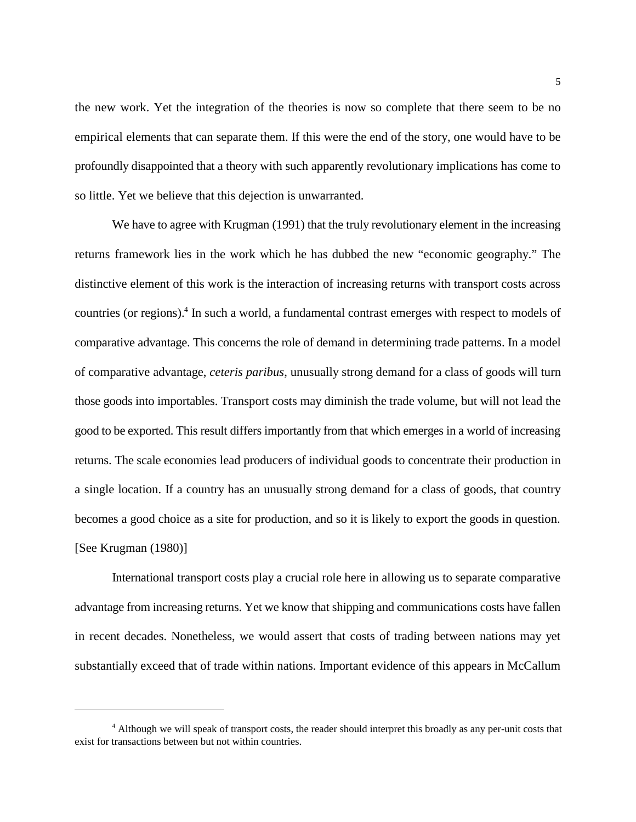the new work. Yet the integration of the theories is now so complete that there seem to be no empirical elements that can separate them. If this were the end of the story, one would have to be profoundly disappointed that a theory with such apparently revolutionary implications has come to so little. Yet we believe that this dejection is unwarranted.

We have to agree with Krugman (1991) that the truly revolutionary element in the increasing returns framework lies in the work which he has dubbed the new "economic geography." The distinctive element of this work is the interaction of increasing returns with transport costs across countries (or regions).<sup>4</sup> In such a world, a fundamental contrast emerges with respect to models of comparative advantage. This concerns the role of demand in determining trade patterns. In a model of comparative advantage, *ceteris paribus*, unusually strong demand for a class of goods will turn those goods into importables. Transport costs may diminish the trade volume, but will not lead the good to be exported. This result differs importantly from that which emerges in a world of increasing returns. The scale economies lead producers of individual goods to concentrate their production in a single location. If a country has an unusually strong demand for a class of goods, that country becomes a good choice as a site for production, and so it is likely to export the goods in question. [See Krugman (1980)]

International transport costs play a crucial role here in allowing us to separate comparative advantage from increasing returns. Yet we know that shipping and communications costs have fallen in recent decades. Nonetheless, we would assert that costs of trading between nations may yet substantially exceed that of trade within nations. Important evidence of this appears in McCallum

<sup>&</sup>lt;sup>4</sup> Although we will speak of transport costs, the reader should interpret this broadly as any per-unit costs that exist for transactions between but not within countries.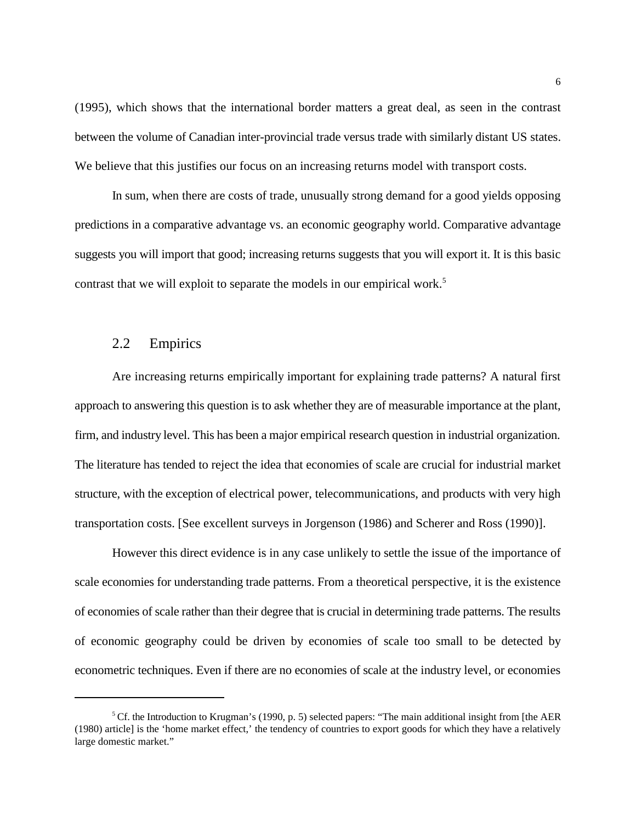(1995), which shows that the international border matters a great deal, as seen in the contrast between the volume of Canadian inter-provincial trade versus trade with similarly distant US states. We believe that this justifies our focus on an increasing returns model with transport costs.

In sum, when there are costs of trade, unusually strong demand for a good yields opposing predictions in a comparative advantage vs. an economic geography world. Comparative advantage suggests you will import that good; increasing returns suggests that you will export it. It is this basic contrast that we will exploit to separate the models in our empirical work.<sup>5</sup>

### 2.2 Empirics

Are increasing returns empirically important for explaining trade patterns? A natural first approach to answering this question is to ask whether they are of measurable importance at the plant, firm, and industry level. This has been a major empirical research question in industrial organization. The literature has tended to reject the idea that economies of scale are crucial for industrial market structure, with the exception of electrical power, telecommunications, and products with very high transportation costs. [See excellent surveys in Jorgenson (1986) and Scherer and Ross (1990)].

However this direct evidence is in any case unlikely to settle the issue of the importance of scale economies for understanding trade patterns. From a theoretical perspective, it is the existence of economies of scale rather than their degree that is crucial in determining trade patterns. The results of economic geography could be driven by economies of scale too small to be detected by econometric techniques. Even if there are no economies of scale at the industry level, or economies

<sup>&</sup>lt;sup>5</sup> Cf. the Introduction to Krugman's (1990, p. 5) selected papers: "The main additional insight from [the AER (1980) article] is the 'home market effect,' the tendency of countries to export goods for which they have a relatively large domestic market."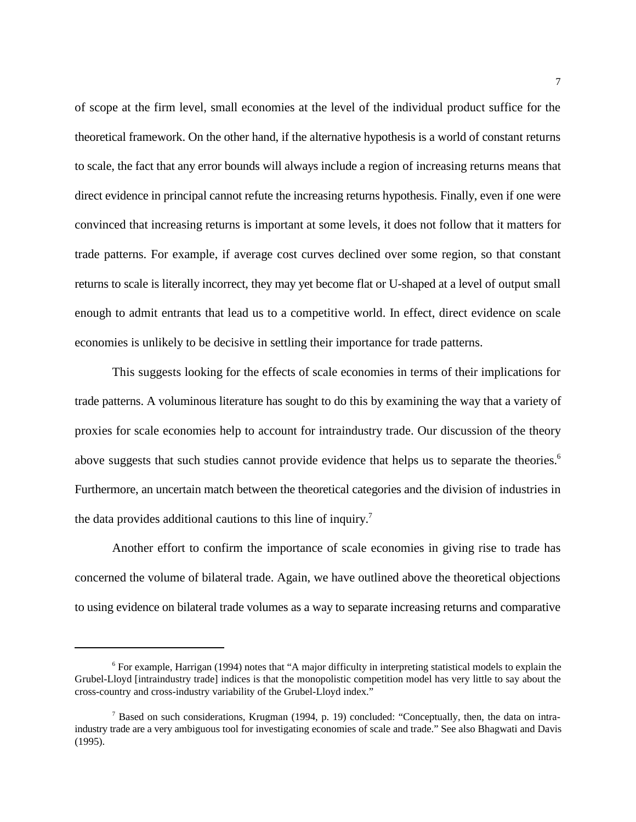of scope at the firm level, small economies at the level of the individual product suffice for the theoretical framework. On the other hand, if the alternative hypothesis is a world of constant returns to scale, the fact that any error bounds will always include a region of increasing returns means that direct evidence in principal cannot refute the increasing returns hypothesis. Finally, even if one were convinced that increasing returns is important at some levels, it does not follow that it matters for trade patterns. For example, if average cost curves declined over some region, so that constant returns to scale is literally incorrect, they may yet become flat or U-shaped at a level of output small enough to admit entrants that lead us to a competitive world. In effect, direct evidence on scale economies is unlikely to be decisive in settling their importance for trade patterns.

This suggests looking for the effects of scale economies in terms of their implications for trade patterns. A voluminous literature has sought to do this by examining the way that a variety of proxies for scale economies help to account for intraindustry trade. Our discussion of the theory above suggests that such studies cannot provide evidence that helps us to separate the theories.<sup>6</sup> Furthermore, an uncertain match between the theoretical categories and the division of industries in the data provides additional cautions to this line of inquiry.7

Another effort to confirm the importance of scale economies in giving rise to trade has concerned the volume of bilateral trade. Again, we have outlined above the theoretical objections to using evidence on bilateral trade volumes as a way to separate increasing returns and comparative

<sup>&</sup>lt;sup>6</sup> For example, Harrigan (1994) notes that "A major difficulty in interpreting statistical models to explain the Grubel-Lloyd [intraindustry trade] indices is that the monopolistic competition model has very little to say about the cross-country and cross-industry variability of the Grubel-Lloyd index."

 $<sup>7</sup>$  Based on such considerations, Krugman (1994, p. 19) concluded: "Conceptually, then, the data on intra-</sup> industry trade are a very ambiguous tool for investigating economies of scale and trade." See also Bhagwati and Davis (1995).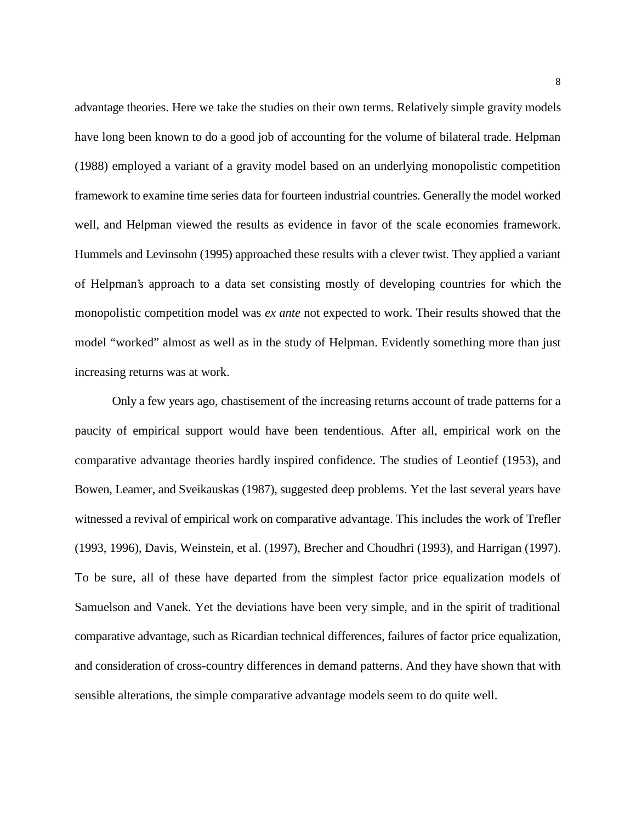advantage theories. Here we take the studies on their own terms. Relatively simple gravity models have long been known to do a good job of accounting for the volume of bilateral trade. Helpman (1988) employed a variant of a gravity model based on an underlying monopolistic competition framework to examine time series data for fourteen industrial countries. Generally the model worked well, and Helpman viewed the results as evidence in favor of the scale economies framework. Hummels and Levinsohn (1995) approached these results with a clever twist. They applied a variant of Helpman's approach to a data set consisting mostly of developing countries for which the monopolistic competition model was *ex ante* not expected to work. Their results showed that the model "worked" almost as well as in the study of Helpman. Evidently something more than just increasing returns was at work.

Only a few years ago, chastisement of the increasing returns account of trade patterns for a paucity of empirical support would have been tendentious. After all, empirical work on the comparative advantage theories hardly inspired confidence. The studies of Leontief (1953), and Bowen, Leamer, and Sveikauskas (1987), suggested deep problems. Yet the last several years have witnessed a revival of empirical work on comparative advantage. This includes the work of Trefler (1993, 1996), Davis, Weinstein, et al. (1997), Brecher and Choudhri (1993), and Harrigan (1997). To be sure, all of these have departed from the simplest factor price equalization models of Samuelson and Vanek. Yet the deviations have been very simple, and in the spirit of traditional comparative advantage, such as Ricardian technical differences, failures of factor price equalization, and consideration of cross-country differences in demand patterns. And they have shown that with sensible alterations, the simple comparative advantage models seem to do quite well.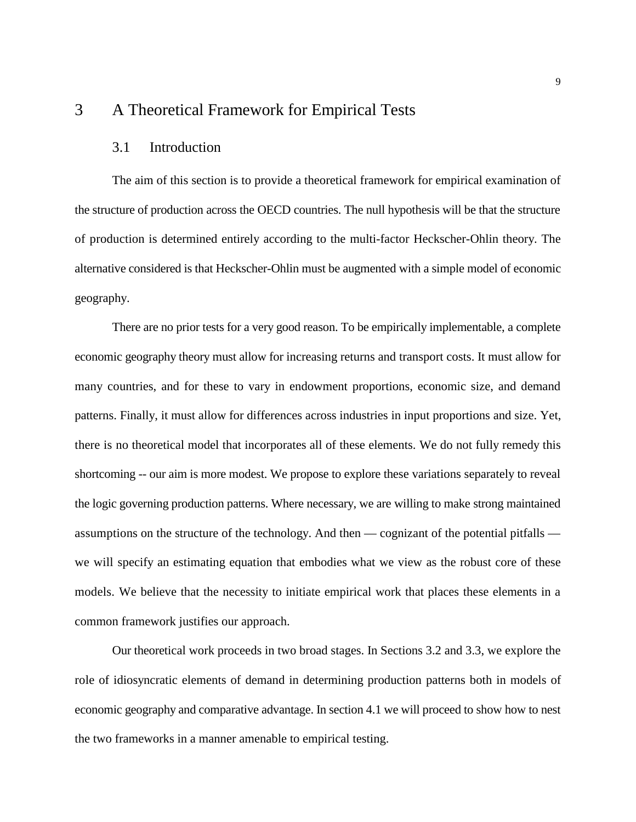### 3 A Theoretical Framework for Empirical Tests

#### 3.1 Introduction

The aim of this section is to provide a theoretical framework for empirical examination of the structure of production across the OECD countries. The null hypothesis will be that the structure of production is determined entirely according to the multi-factor Heckscher-Ohlin theory. The alternative considered is that Heckscher-Ohlin must be augmented with a simple model of economic geography.

There are no prior tests for a very good reason. To be empirically implementable, a complete economic geography theory must allow for increasing returns and transport costs. It must allow for many countries, and for these to vary in endowment proportions, economic size, and demand patterns. Finally, it must allow for differences across industries in input proportions and size. Yet, there is no theoretical model that incorporates all of these elements. We do not fully remedy this shortcoming -- our aim is more modest. We propose to explore these variations separately to reveal the logic governing production patterns. Where necessary, we are willing to make strong maintained assumptions on the structure of the technology. And then — cognizant of the potential pitfalls we will specify an estimating equation that embodies what we view as the robust core of these models. We believe that the necessity to initiate empirical work that places these elements in a common framework justifies our approach.

Our theoretical work proceeds in two broad stages. In Sections 3.2 and 3.3, we explore the role of idiosyncratic elements of demand in determining production patterns both in models of economic geography and comparative advantage. In section 4.1 we will proceed to show how to nest the two frameworks in a manner amenable to empirical testing.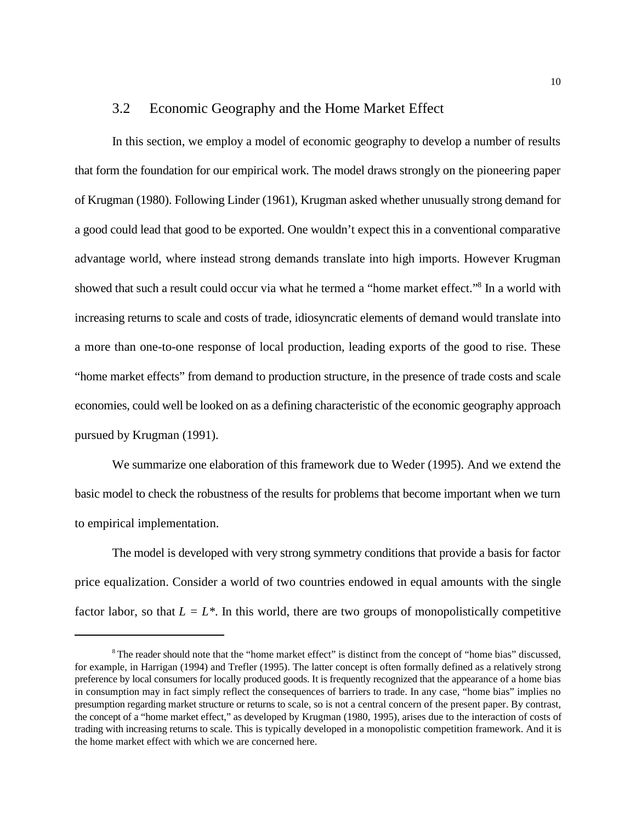#### 3.2 Economic Geography and the Home Market Effect

In this section, we employ a model of economic geography to develop a number of results that form the foundation for our empirical work. The model draws strongly on the pioneering paper of Krugman (1980). Following Linder (1961), Krugman asked whether unusually strong demand for a good could lead that good to be exported. One wouldn't expect this in a conventional comparative advantage world, where instead strong demands translate into high imports. However Krugman showed that such a result could occur via what he termed a "home market effect."<sup>8</sup> In a world with increasing returns to scale and costs of trade, idiosyncratic elements of demand would translate into a more than one-to-one response of local production, leading exports of the good to rise. These "home market effects" from demand to production structure, in the presence of trade costs and scale economies, could well be looked on as a defining characteristic of the economic geography approach pursued by Krugman (1991).

We summarize one elaboration of this framework due to Weder (1995). And we extend the basic model to check the robustness of the results for problems that become important when we turn to empirical implementation.

The model is developed with very strong symmetry conditions that provide a basis for factor price equalization. Consider a world of two countries endowed in equal amounts with the single factor labor, so that  $L = L^*$ . In this world, there are two groups of monopolistically competitive

<sup>&</sup>lt;sup>8</sup> The reader should note that the "home market effect" is distinct from the concept of "home bias" discussed, for example, in Harrigan (1994) and Trefler (1995). The latter concept is often formally defined as a relatively strong preference by local consumers for locally produced goods. It is frequently recognized that the appearance of a home bias in consumption may in fact simply reflect the consequences of barriers to trade. In any case, "home bias" implies no presumption regarding market structure or returns to scale, so is not a central concern of the present paper. By contrast, the concept of a "home market effect," as developed by Krugman (1980, 1995), arises due to the interaction of costs of trading with increasing returns to scale. This is typically developed in a monopolistic competition framework. And it is the home market effect with which we are concerned here.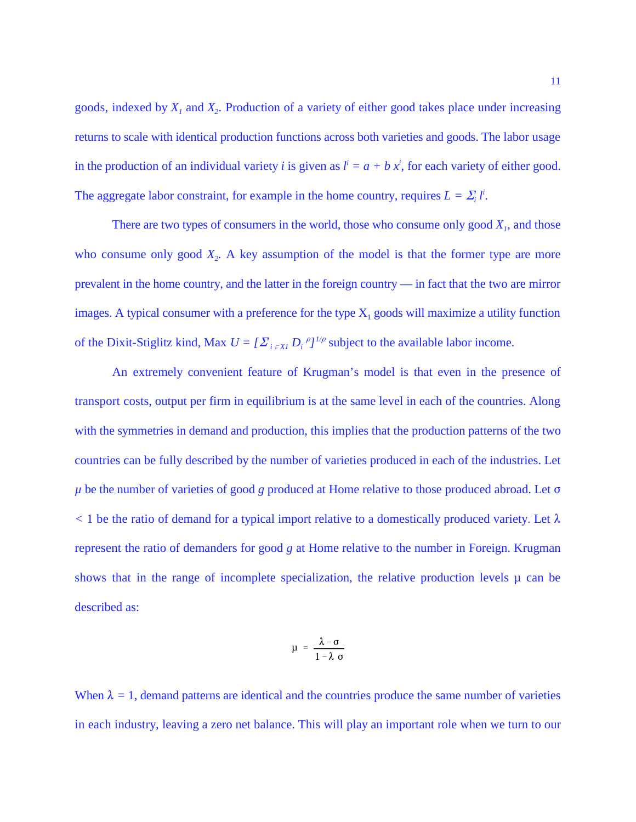goods, indexed by  $X_1$  and  $X_2$ . Production of a variety of either good takes place under increasing returns to scale with identical production functions across both varieties and goods. The labor usage in the production of an individual variety *i* is given as  $l^i = a + b x^i$ , for each variety of either good. The aggregate labor constraint, for example in the home country, requires  $L = \sum_i l^i$ .

There are two types of consumers in the world, those who consume only good  $X_i$ , and those who consume only good  $X_2$ . A key assumption of the model is that the former type are more prevalent in the home country, and the latter in the foreign country — in fact that the two are mirror images. A typical consumer with a preference for the type  $X_1$  goods will maximize a utility function of the Dixit-Stiglitz kind, Max  $U = \left[\sum_{i \in \mathbb{X}^I} D_i^{\beta} \right]^{1/\rho}$  subject to the available labor income.

An extremely convenient feature of Krugman's model is that even in the presence of transport costs, output per firm in equilibrium is at the same level in each of the countries. Along with the symmetries in demand and production, this implies that the production patterns of the two countries can be fully described by the number of varieties produced in each of the industries. Let  $\mu$  be the number of varieties of good *g* produced at Home relative to those produced abroad. Let  $\sigma$  $<$  1 be the ratio of demand for a typical import relative to a domestically produced variety. Let  $\lambda$ represent the ratio of demanders for good *g* at Home relative to the number in Foreign. Krugman shows that in the range of incomplete specialization, the relative production levels  $\mu$  can be described as:

$$
\mu\ =\ \frac{\lambda-\sigma}{1-\lambda\ \sigma}
$$

When  $\lambda = 1$ , demand patterns are identical and the countries produce the same number of varieties in each industry, leaving a zero net balance. This will play an important role when we turn to our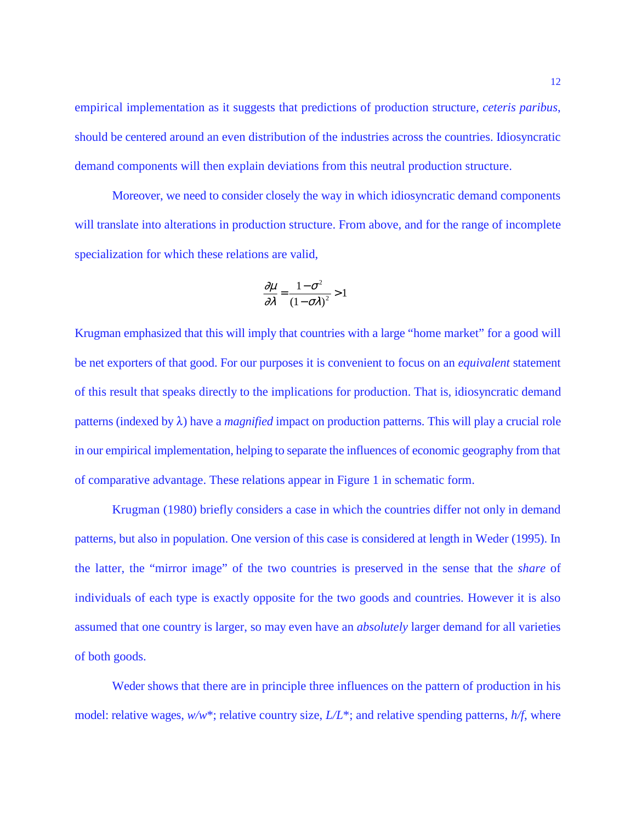empirical implementation as it suggests that predictions of production structure, *ceteris paribus*, should be centered around an even distribution of the industries across the countries. Idiosyncratic demand components will then explain deviations from this neutral production structure.

Moreover, we need to consider closely the way in which idiosyncratic demand components will translate into alterations in production structure. From above, and for the range of incomplete specialization for which these relations are valid,

$$
\frac{\partial \mu}{\partial \lambda} = \frac{1 - \sigma^2}{(1 - \sigma \lambda)^2} > 1
$$

Krugman emphasized that this will imply that countries with a large "home market" for a good will be net exporters of that good. For our purposes it is convenient to focus on an *equivalent* statement of this result that speaks directly to the implications for production. That is, idiosyncratic demand patterns (indexed by  $\lambda$ ) have a *magnified* impact on production patterns. This will play a crucial role in our empirical implementation, helping to separate the influences of economic geography from that of comparative advantage. These relations appear in Figure 1 in schematic form.

Krugman (1980) briefly considers a case in which the countries differ not only in demand patterns, but also in population. One version of this case is considered at length in Weder (1995). In the latter, the "mirror image" of the two countries is preserved in the sense that the *share* of individuals of each type is exactly opposite for the two goods and countries. However it is also assumed that one country is larger, so may even have an *absolutely* larger demand for all varieties of both goods.

Weder shows that there are in principle three influences on the pattern of production in his model: relative wages, *w/w*\*; relative country size, *L/L*\*; and relative spending patterns, *h/f*, where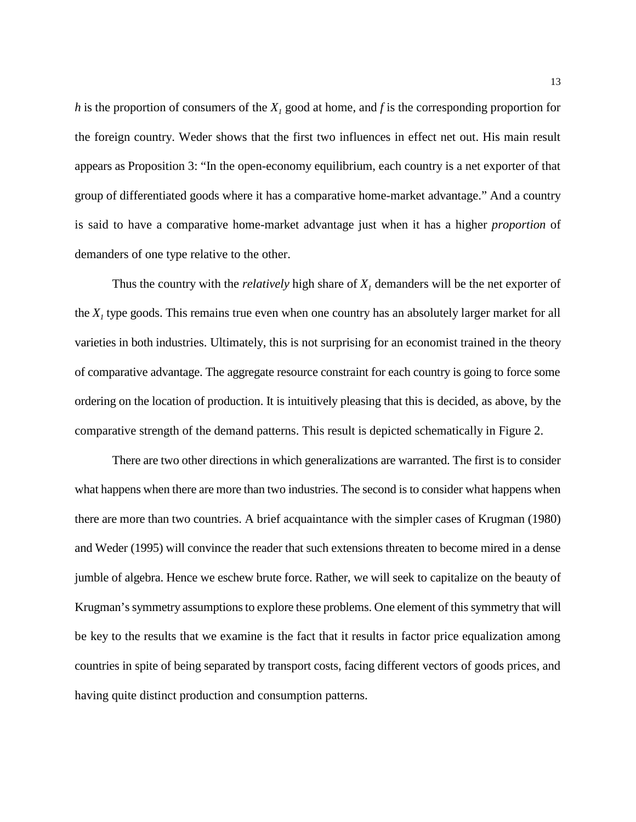*h* is the proportion of consumers of the  $X_i$  good at home, and *f* is the corresponding proportion for the foreign country. Weder shows that the first two influences in effect net out. His main result appears as Proposition 3: "In the open-economy equilibrium, each country is a net exporter of that group of differentiated goods where it has a comparative home-market advantage." And a country is said to have a comparative home-market advantage just when it has a higher *proportion* of demanders of one type relative to the other.

Thus the country with the *relatively* high share of  $X_i$  demanders will be the net exporter of the  $X_t$  type goods. This remains true even when one country has an absolutely larger market for all varieties in both industries. Ultimately, this is not surprising for an economist trained in the theory of comparative advantage. The aggregate resource constraint for each country is going to force some ordering on the location of production. It is intuitively pleasing that this is decided, as above, by the comparative strength of the demand patterns. This result is depicted schematically in Figure 2.

There are two other directions in which generalizations are warranted. The first is to consider what happens when there are more than two industries. The second is to consider what happens when there are more than two countries. A brief acquaintance with the simpler cases of Krugman (1980) and Weder (1995) will convince the reader that such extensions threaten to become mired in a dense jumble of algebra. Hence we eschew brute force. Rather, we will seek to capitalize on the beauty of Krugman's symmetry assumptions to explore these problems. One element of this symmetry that will be key to the results that we examine is the fact that it results in factor price equalization among countries in spite of being separated by transport costs, facing different vectors of goods prices, and having quite distinct production and consumption patterns.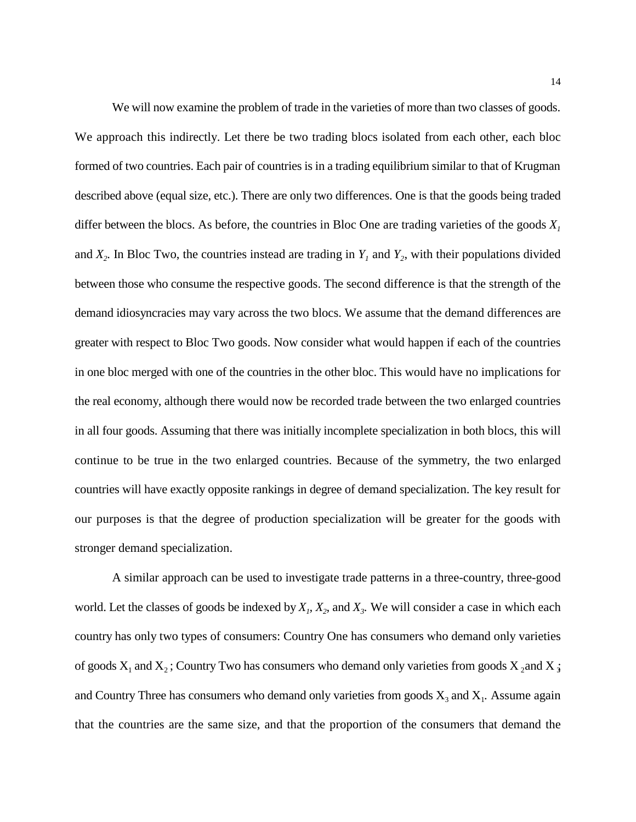We will now examine the problem of trade in the varieties of more than two classes of goods. We approach this indirectly. Let there be two trading blocs isolated from each other, each bloc formed of two countries. Each pair of countries is in a trading equilibrium similar to that of Krugman described above (equal size, etc.). There are only two differences. One is that the goods being traded differ between the blocs. As before, the countries in Bloc One are trading varieties of the goods  $X<sub>1</sub>$ and  $X_2$ . In Bloc Two, the countries instead are trading in  $Y_1$  and  $Y_2$ , with their populations divided between those who consume the respective goods. The second difference is that the strength of the demand idiosyncracies may vary across the two blocs. We assume that the demand differences are greater with respect to Bloc Two goods. Now consider what would happen if each of the countries in one bloc merged with one of the countries in the other bloc. This would have no implications for the real economy, although there would now be recorded trade between the two enlarged countries in all four goods. Assuming that there was initially incomplete specialization in both blocs, this will continue to be true in the two enlarged countries. Because of the symmetry, the two enlarged countries will have exactly opposite rankings in degree of demand specialization. The key result for our purposes is that the degree of production specialization will be greater for the goods with stronger demand specialization.

A similar approach can be used to investigate trade patterns in a three-country, three-good world. Let the classes of goods be indexed by  $X_i$ ,  $X_2$ , and  $X_3$ . We will consider a case in which each country has only two types of consumers: Country One has consumers who demand only varieties of goods  $X_1$  and  $X_2$ ; Country Two has consumers who demand only varieties from goods  $X_2$  and  $X_3$ and Country Three has consumers who demand only varieties from goods  $X_3$  and  $X_1$ . Assume again that the countries are the same size, and that the proportion of the consumers that demand the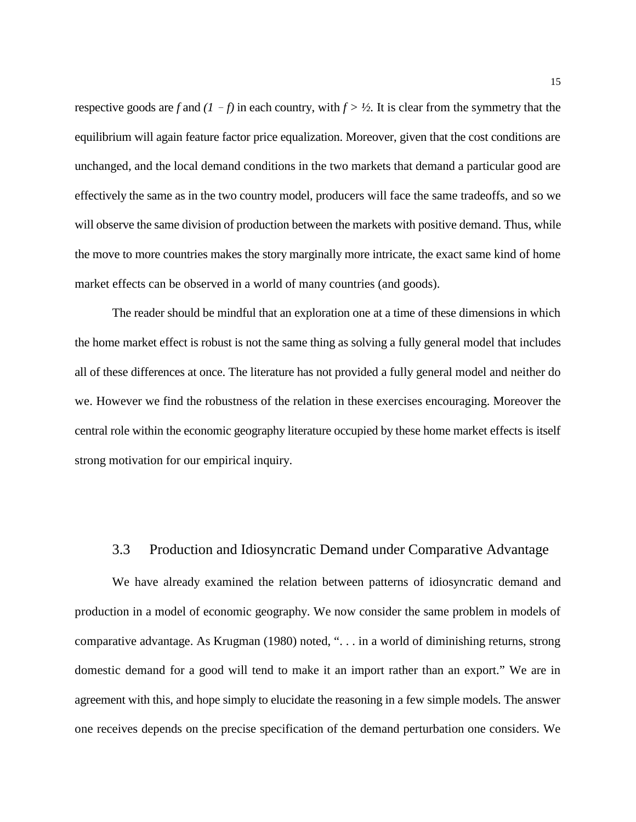respective goods are *f* and  $(1 - f)$  in each country, with  $f > \frac{1}{2}$ . It is clear from the symmetry that the equilibrium will again feature factor price equalization. Moreover, given that the cost conditions are unchanged, and the local demand conditions in the two markets that demand a particular good are effectively the same as in the two country model, producers will face the same tradeoffs, and so we will observe the same division of production between the markets with positive demand. Thus, while the move to more countries makes the story marginally more intricate, the exact same kind of home market effects can be observed in a world of many countries (and goods).

The reader should be mindful that an exploration one at a time of these dimensions in which the home market effect is robust is not the same thing as solving a fully general model that includes all of these differences at once. The literature has not provided a fully general model and neither do we. However we find the robustness of the relation in these exercises encouraging. Moreover the central role within the economic geography literature occupied by these home market effects is itself strong motivation for our empirical inquiry.

#### 3.3 Production and Idiosyncratic Demand under Comparative Advantage

We have already examined the relation between patterns of idiosyncratic demand and production in a model of economic geography. We now consider the same problem in models of comparative advantage. As Krugman (1980) noted, ". . . in a world of diminishing returns, strong domestic demand for a good will tend to make it an import rather than an export." We are in agreement with this, and hope simply to elucidate the reasoning in a few simple models. The answer one receives depends on the precise specification of the demand perturbation one considers. We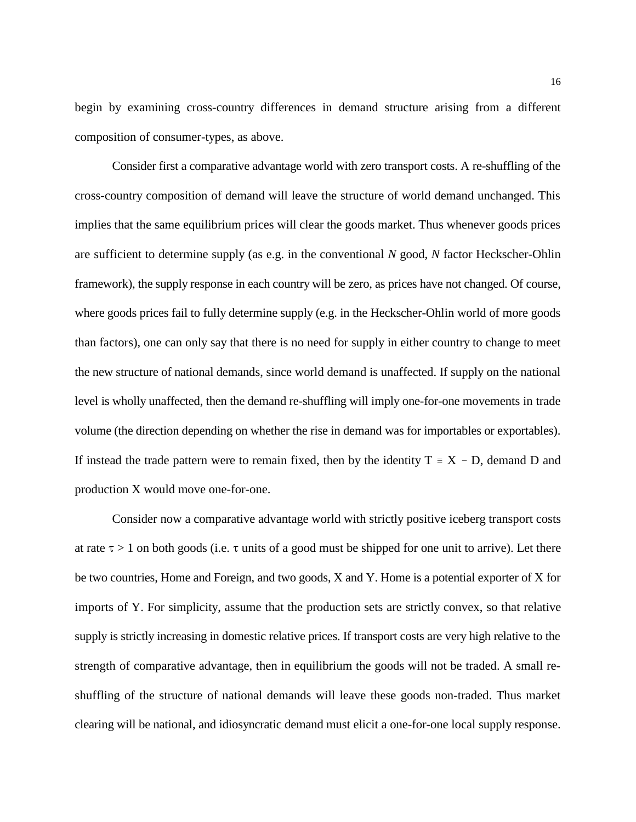begin by examining cross-country differences in demand structure arising from a different composition of consumer-types, as above.

Consider first a comparative advantage world with zero transport costs. A re-shuffling of the cross-country composition of demand will leave the structure of world demand unchanged. This implies that the same equilibrium prices will clear the goods market. Thus whenever goods prices are sufficient to determine supply (as e.g. in the conventional *N* good, *N* factor Heckscher-Ohlin framework), the supply response in each country will be zero, as prices have not changed. Of course, where goods prices fail to fully determine supply (e.g. in the Heckscher-Ohlin world of more goods than factors), one can only say that there is no need for supply in either country to change to meet the new structure of national demands, since world demand is unaffected. If supply on the national level is wholly unaffected, then the demand re-shuffling will imply one-for-one movements in trade volume (the direction depending on whether the rise in demand was for importables or exportables). If instead the trade pattern were to remain fixed, then by the identity  $T = X - D$ , demand D and production X would move one-for-one.

Consider now a comparative advantage world with strictly positive iceberg transport costs at rate  $\tau > 1$  on both goods (i.e.  $\tau$  units of a good must be shipped for one unit to arrive). Let there be two countries, Home and Foreign, and two goods, X and Y. Home is a potential exporter of X for imports of Y. For simplicity, assume that the production sets are strictly convex, so that relative supply is strictly increasing in domestic relative prices. If transport costs are very high relative to the strength of comparative advantage, then in equilibrium the goods will not be traded. A small reshuffling of the structure of national demands will leave these goods non-traded. Thus market clearing will be national, and idiosyncratic demand must elicit a one-for-one local supply response.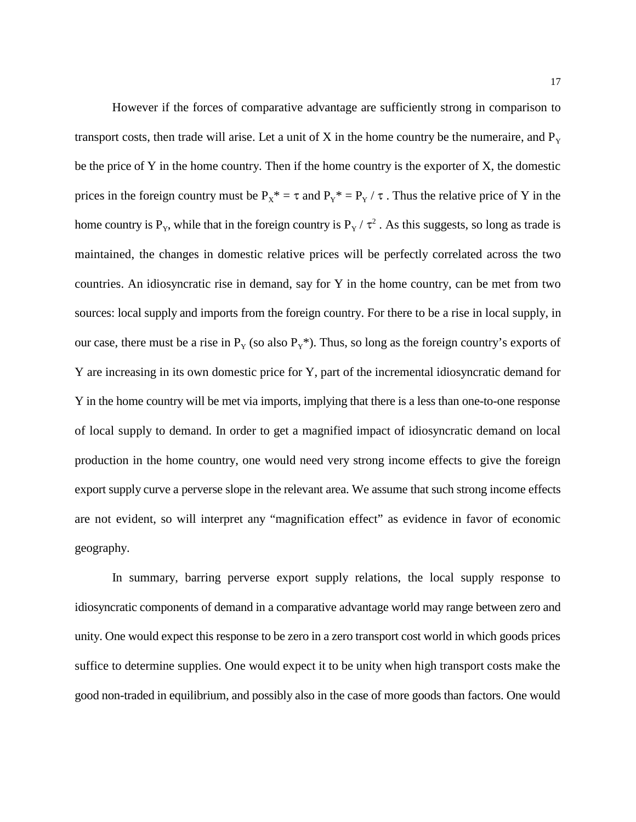However if the forces of comparative advantage are sufficiently strong in comparison to transport costs, then trade will arise. Let a unit of X in the home country be the numeraire, and  $P_y$ be the price of Y in the home country. Then if the home country is the exporter of X, the domestic prices in the foreign country must be  $P_x^* = \tau$  and  $P_y^* = P_y / \tau$ . Thus the relative price of Y in the home country is  $P_{Y}$ , while that in the foreign country is  $P_{Y}$  /  $\tau^2$  . As this suggests, so long as trade is maintained, the changes in domestic relative prices will be perfectly correlated across the two countries. An idiosyncratic rise in demand, say for Y in the home country, can be met from two sources: local supply and imports from the foreign country. For there to be a rise in local supply, in our case, there must be a rise in  $P_y$  (so also  $P_y^*$ ). Thus, so long as the foreign country's exports of Y are increasing in its own domestic price for Y, part of the incremental idiosyncratic demand for Y in the home country will be met via imports, implying that there is a less than one-to-one response of local supply to demand. In order to get a magnified impact of idiosyncratic demand on local production in the home country, one would need very strong income effects to give the foreign export supply curve a perverse slope in the relevant area. We assume that such strong income effects are not evident, so will interpret any "magnification effect" as evidence in favor of economic geography.

In summary, barring perverse export supply relations, the local supply response to idiosyncratic components of demand in a comparative advantage world may range between zero and unity. One would expect this response to be zero in a zero transport cost world in which goods prices suffice to determine supplies. One would expect it to be unity when high transport costs make the good non-traded in equilibrium, and possibly also in the case of more goods than factors. One would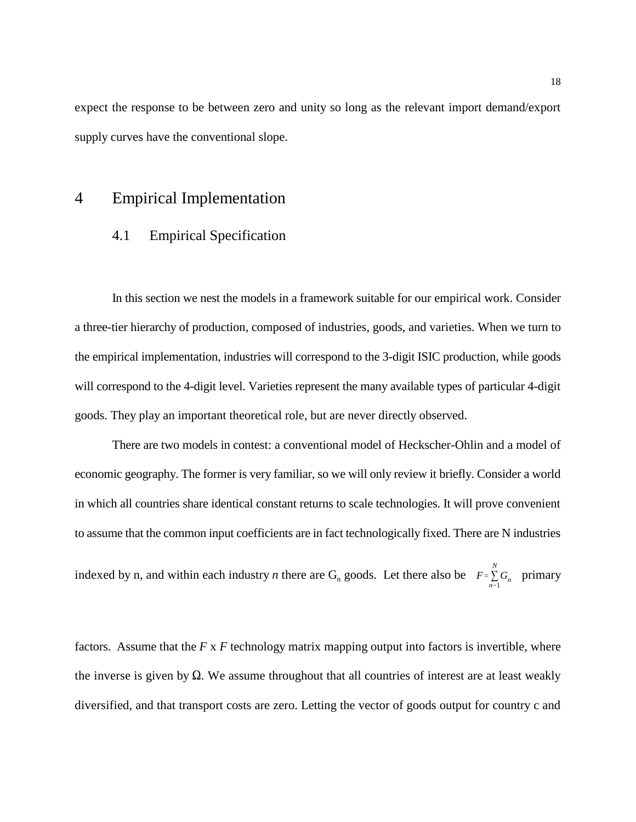expect the response to be between zero and unity so long as the relevant import demand/export supply curves have the conventional slope.

### 4 Empirical Implementation

#### 4.1 Empirical Specification

In this section we nest the models in a framework suitable for our empirical work. Consider a three-tier hierarchy of production, composed of industries, goods, and varieties. When we turn to the empirical implementation, industries will correspond to the 3-digit ISIC production, while goods will correspond to the 4-digit level. Varieties represent the many available types of particular 4-digit goods. They play an important theoretical role, but are never directly observed.

 $F = \sum_{i=1}^{N}$ indexed by n, and within each industry *n* there are G<sub>n</sub> goods. Let there also be  $F = \sum_{n=1} G_n$  primary There are two models in contest: a conventional model of Heckscher-Ohlin and a model of economic geography. The former is very familiar, so we will only review it briefly. Consider a world in which all countries share identical constant returns to scale technologies. It will prove convenient to assume that the common input coefficients are in fact technologically fixed. There are N industries

factors. Assume that the *F* x *F* technology matrix mapping output into factors is invertible, where the inverse is given by  $\Omega$ . We assume throughout that all countries of interest are at least weakly diversified, and that transport costs are zero. Letting the vector of goods output for country c and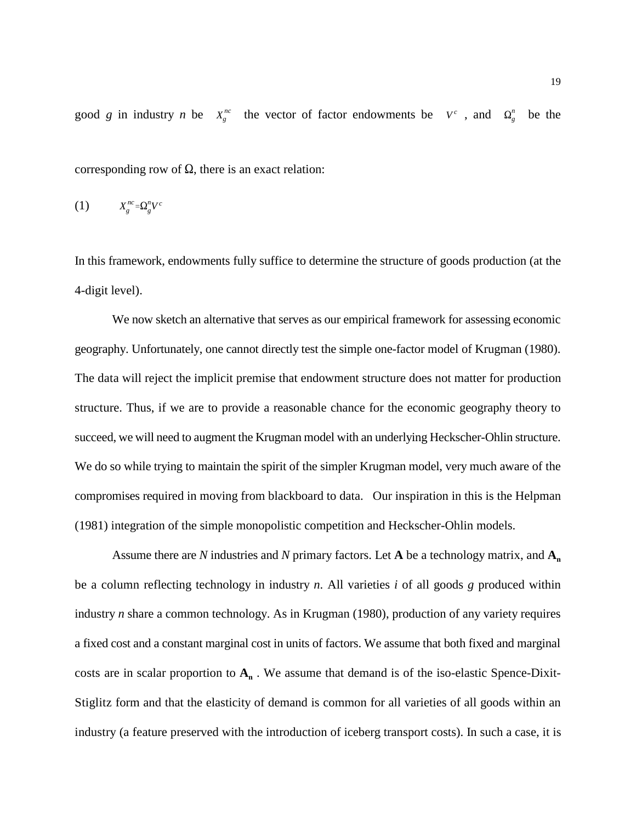good *g* in industry *n* be  $X_g^{nc}$  the vector of factor endowments be  $V^c$ , and  $\Omega_g^n$  be the

corresponding row of  $\Omega$ , there is an exact relation:

$$
(1) \tXgnc = \Omegagn Vc
$$

In this framework, endowments fully suffice to determine the structure of goods production (at the 4-digit level).

We now sketch an alternative that serves as our empirical framework for assessing economic geography. Unfortunately, one cannot directly test the simple one-factor model of Krugman (1980). The data will reject the implicit premise that endowment structure does not matter for production structure. Thus, if we are to provide a reasonable chance for the economic geography theory to succeed, we will need to augment the Krugman model with an underlying Heckscher-Ohlin structure. We do so while trying to maintain the spirit of the simpler Krugman model, very much aware of the compromises required in moving from blackboard to data. Our inspiration in this is the Helpman (1981) integration of the simple monopolistic competition and Heckscher-Ohlin models.

Assume there are *N* industries and *N* primary factors. Let **A** be a technology matrix, and **An** be a column reflecting technology in industry *n*. All varieties *i* of all goods *g* produced within industry *n* share a common technology. As in Krugman (1980), production of any variety requires a fixed cost and a constant marginal cost in units of factors. We assume that both fixed and marginal costs are in scalar proportion to  $A_n$ . We assume that demand is of the iso-elastic Spence-Dixit-Stiglitz form and that the elasticity of demand is common for all varieties of all goods within an industry (a feature preserved with the introduction of iceberg transport costs). In such a case, it is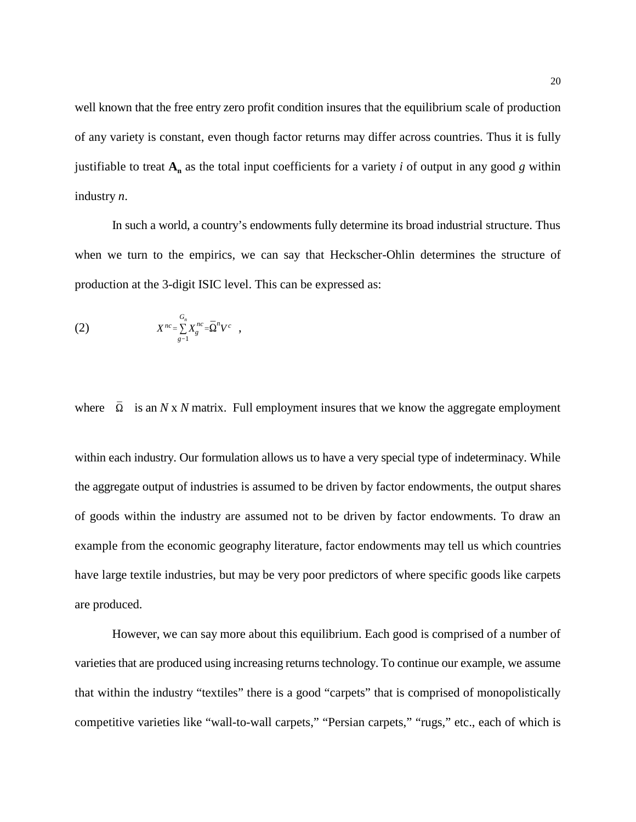well known that the free entry zero profit condition insures that the equilibrium scale of production of any variety is constant, even though factor returns may differ across countries. Thus it is fully justifiable to treat  $A_n$  as the total input coefficients for a variety *i* of output in any good *g* within industry *n*.

In such a world, a country's endowments fully determine its broad industrial structure. Thus when we turn to the empirics, we can say that Heckscher-Ohlin determines the structure of production at the 3-digit ISIC level. This can be expressed as:

$$
(2) \tX^{nc} = \sum_{g=1}^{G_n} X_g^{nc} = \overline{\Omega}^n V^c ,
$$

where  $\bar{\Omega}$  is an *N* x *N* matrix. Full employment insures that we know the aggregate employment

within each industry. Our formulation allows us to have a very special type of indeterminacy. While the aggregate output of industries is assumed to be driven by factor endowments, the output shares of goods within the industry are assumed not to be driven by factor endowments. To draw an example from the economic geography literature, factor endowments may tell us which countries have large textile industries, but may be very poor predictors of where specific goods like carpets are produced.

However, we can say more about this equilibrium. Each good is comprised of a number of varieties that are produced using increasing returns technology. To continue our example, we assume that within the industry "textiles" there is a good "carpets" that is comprised of monopolistically competitive varieties like "wall-to-wall carpets," "Persian carpets," "rugs," etc., each of which is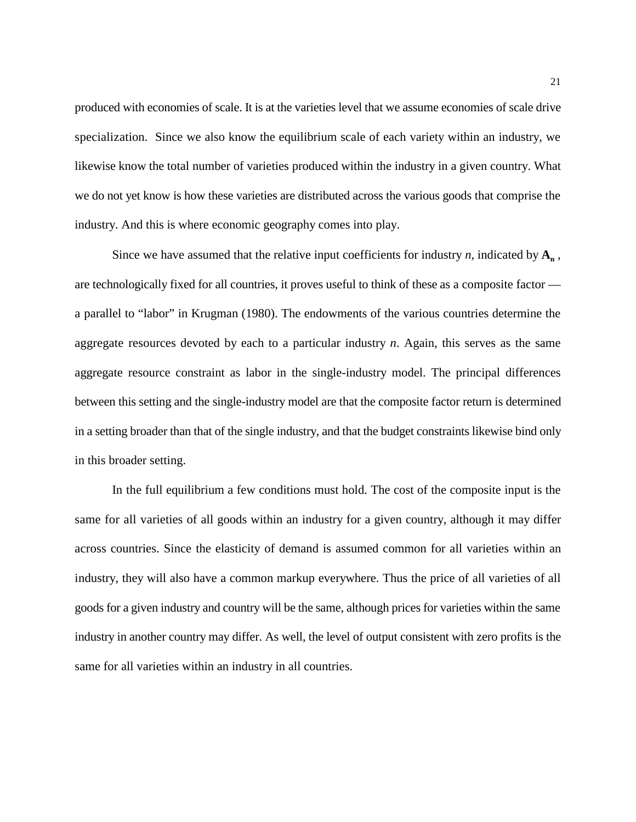produced with economies of scale. It is at the varieties level that we assume economies of scale drive specialization. Since we also know the equilibrium scale of each variety within an industry, we likewise know the total number of varieties produced within the industry in a given country. What we do not yet know is how these varieties are distributed across the various goods that comprise the industry. And this is where economic geography comes into play.

Since we have assumed that the relative input coefficients for industry *n*, indicated by  $A_n$ , are technologically fixed for all countries, it proves useful to think of these as a composite factor a parallel to "labor" in Krugman (1980). The endowments of the various countries determine the aggregate resources devoted by each to a particular industry *n*. Again, this serves as the same aggregate resource constraint as labor in the single-industry model. The principal differences between this setting and the single-industry model are that the composite factor return is determined in a setting broader than that of the single industry, and that the budget constraints likewise bind only in this broader setting.

In the full equilibrium a few conditions must hold. The cost of the composite input is the same for all varieties of all goods within an industry for a given country, although it may differ across countries. Since the elasticity of demand is assumed common for all varieties within an industry, they will also have a common markup everywhere. Thus the price of all varieties of all goods for a given industry and country will be the same, although prices for varieties within the same industry in another country may differ. As well, the level of output consistent with zero profits is the same for all varieties within an industry in all countries.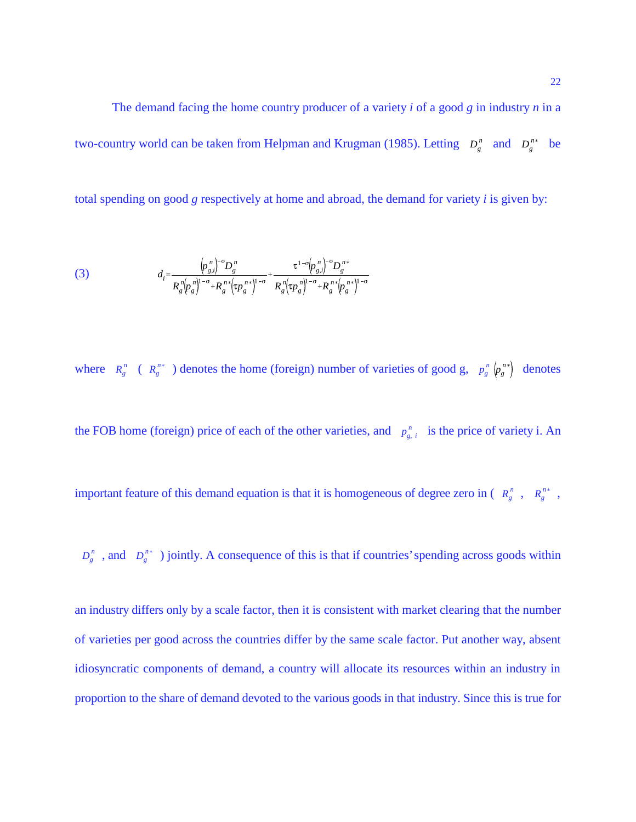*two-country world can be taken from Helpman and Krugman (1985). Letting*  $D_g^n$  *and*  $D_g^{n*}$  *be* The demand facing the home country producer of a variety *i* of a good *g* in industry *n* in a

total spending on good *g* respectively at home and abroad, the demand for variety *i* is given by:

(3) 
$$
d_{i} = \frac{\left\langle p_{g,i}^{n}\right\rangle^{\sigma}D_{g}^{n}}{R_{g}^{n}\left\langle p_{g}\right\rangle^{n_{1}-\sigma}+R_{g}^{n*}\left\langle \tau p_{g}^{n*}\right\rangle^{1-\sigma}} + \frac{\tau^{1-\sigma}\left\langle p_{g,i}^{n}\right\rangle^{\sigma}D_{g}^{n*}}{R_{g}^{n}\left\langle \tau p_{g}^{n}\right\rangle^{1-\sigma}+R_{g}^{n*}\left\langle p_{g}^{n*}\right\rangle^{1-\sigma}}
$$

where  $R_g^n$  ( $R_g^{n*}$ ) denotes the home (foreign) number of varieties of good g,  $p_g^n(p_g^{n*})$  denotes

the FOB home (foreign) price of each of the other varieties, and  $p_{g,i}^n$  is the price of variety i. An

*important feature of this demand equation is that it is homogeneous of degree zero in (* $R_g^n$ *,*  $R_g^{n*}$ *,* 

 $D_g^n$ , and  $D_g^{n*}$ ) jointly. A consequence of this is that if countries' spending across goods within

an industry differs only by a scale factor, then it is consistent with market clearing that the number of varieties per good across the countries differ by the same scale factor. Put another way, absent idiosyncratic components of demand, a country will allocate its resources within an industry in proportion to the share of demand devoted to the various goods in that industry. Since this is true for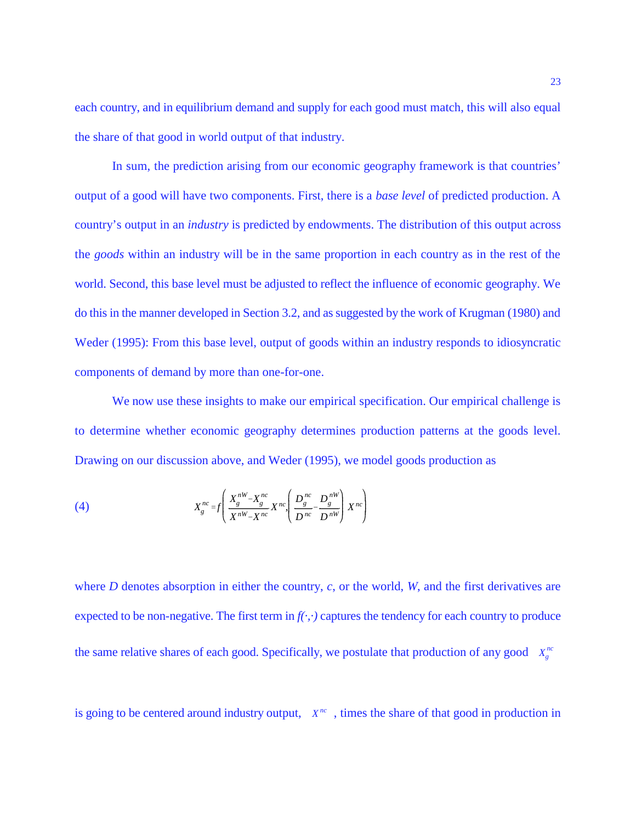each country, and in equilibrium demand and supply for each good must match, this will also equal the share of that good in world output of that industry.

In sum, the prediction arising from our economic geography framework is that countries' output of a good will have two components. First, there is a *base level* of predicted production. A country's output in an *industry* is predicted by endowments. The distribution of this output across the *goods* within an industry will be in the same proportion in each country as in the rest of the world. Second, this base level must be adjusted to reflect the influence of economic geography. We do this in the manner developed in Section 3.2, and as suggested by the work of Krugman (1980) and Weder (1995): From this base level, output of goods within an industry responds to idiosyncratic components of demand by more than one-for-one.

We now use these insights to make our empirical specification. Our empirical challenge is to determine whether economic geography determines production patterns at the goods level. Drawing on our discussion above, and Weder (1995), we model goods production as

(4) 
$$
X_{g}^{nc} = f\left(\frac{X_{g}^{nW} - X_{g}^{nc}}{X^{nW} - X^{nc}} X^{nc} \left(\frac{D_{g}^{nc}}{D^{nc}} - \frac{D_{g}^{nW}}{D^{nw}}\right) X^{nc}\right)
$$

the same relative shares of each good. Specifically, we postulate that production of any good  $X_g^{nc}$ where *D* denotes absorption in either the country, *c*, or the world, *W*, and the first derivatives are expected to be non-negative. The first term in  $f(\cdot, \cdot)$  captures the tendency for each country to produce

is going to be centered around industry output,  $X<sup>nc</sup>$ , times the share of that good in production in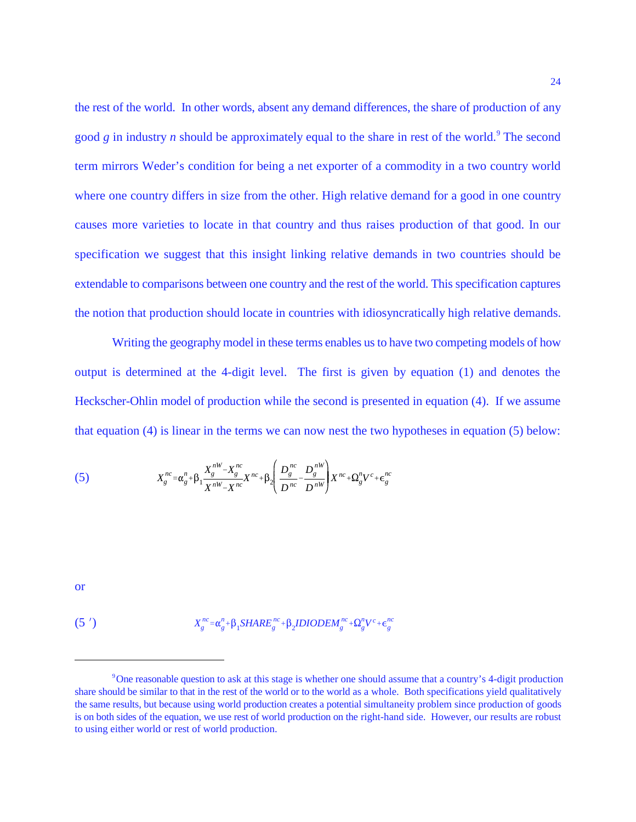the rest of the world. In other words, absent any demand differences, the share of production of any good *g* in industry *n* should be approximately equal to the share in rest of the world.<sup>9</sup> The second term mirrors Weder's condition for being a net exporter of a commodity in a two country world where one country differs in size from the other. High relative demand for a good in one country causes more varieties to locate in that country and thus raises production of that good. In our specification we suggest that this insight linking relative demands in two countries should be extendable to comparisons between one country and the rest of the world. This specification captures the notion that production should locate in countries with idiosyncratically high relative demands.

Writing the geography model in these terms enables us to have two competing models of how output is determined at the 4-digit level. The first is given by equation (1) and denotes the Heckscher-Ohlin model of production while the second is presented in equation (4). If we assume that equation (4) is linear in the terms we can now nest the two hypotheses in equation (5) below:

(5) 
$$
X_{g}^{nc} = \alpha_{g}^{n} + \beta_{1} \frac{X_{g}^{nW} - X_{g}^{nc}}{X^{nW} - X^{nc}} X^{nc} + \beta_{2} \left( \frac{D_{g}^{nc}}{D^{nc}} - \frac{D_{g}^{nW}}{D^{nW}} \right) X^{nc} + \Omega_{g}^{n} V^{c} + \epsilon_{g}^{nc}
$$

or

(5') 
$$
X_g^{nc} = \alpha_g^n + \beta_1 SHARE_g^{nc} + \beta_2 IDIODEM_g^{nc} + \Omega_g^n V^c + \epsilon_g^{nc}
$$

<sup>&</sup>lt;sup>9</sup>One reasonable question to ask at this stage is whether one should assume that a country's 4-digit production share should be similar to that in the rest of the world or to the world as a whole. Both specifications yield qualitatively the same results, but because using world production creates a potential simultaneity problem since production of goods is on both sides of the equation, we use rest of world production on the right-hand side. However, our results are robust to using either world or rest of world production.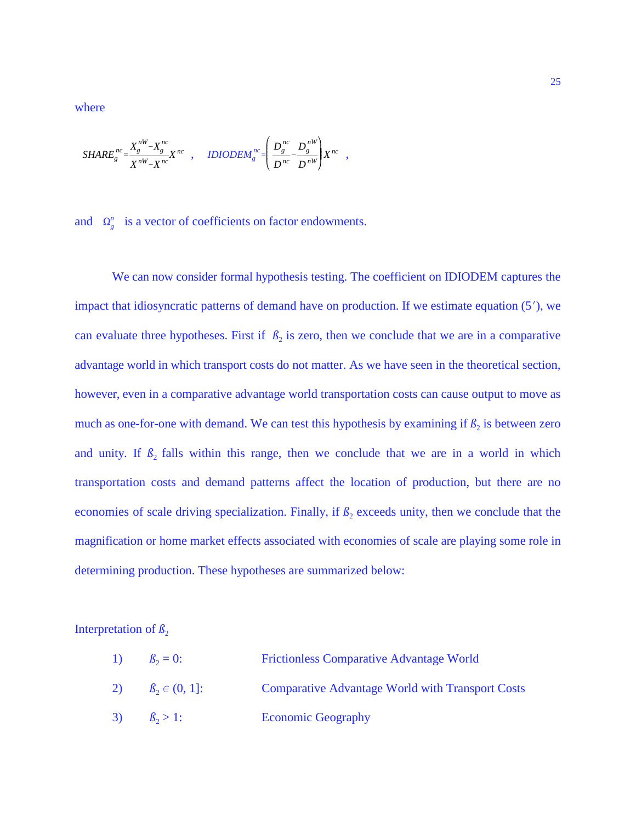where

$$
SHARE_g^{nc} = \frac{X_g^{nW} - X_g^{nc}}{X^{nW} - X^{nc}} \quad , \quad IDIODEM_g^{nc} = \left(\frac{D_g^{nc}}{D^{nc}} - \frac{D_g^{nW}}{D^{nW}}\right)X^{nc} \quad ,
$$

and  $\Omega_g^n$  is a vector of coefficients on factor endowments.

We can now consider formal hypothesis testing. The coefficient on IDIODEM captures the impact that idiosyncratic patterns of demand have on production. If we estimate equation  $(5)$ , we can evaluate three hypotheses. First if  $\beta_2$  is zero, then we conclude that we are in a comparative advantage world in which transport costs do not matter. As we have seen in the theoretical section, however, even in a comparative advantage world transportation costs can cause output to move as much as one-for-one with demand. We can test this hypothesis by examining if  $\beta_2$  is between zero and unity. If  $\beta_2$  falls within this range, then we conclude that we are in a world in which transportation costs and demand patterns affect the location of production, but there are no economies of scale driving specialization. Finally, if  $\beta_2$  exceeds unity, then we conclude that the magnification or home market effects associated with economies of scale are playing some role in determining production. These hypotheses are summarized below:

Interpretation of  $\beta_2$ 

| $\beta_2=0$ : | <b>Frictionless Comparative Advantage World</b> |
|---------------|-------------------------------------------------|
|---------------|-------------------------------------------------|

- 2)  $\beta_2 \in (0, 1]$ : Comparative Advantage World with Transport Costs
- 3)  $\beta_2 > 1$ : Economic Geography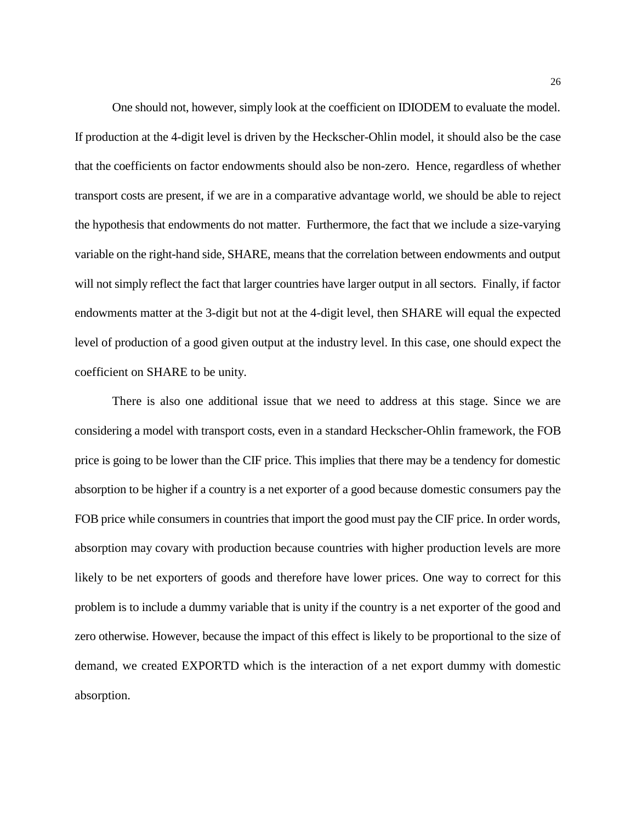One should not, however, simply look at the coefficient on IDIODEM to evaluate the model. If production at the 4-digit level is driven by the Heckscher-Ohlin model, it should also be the case that the coefficients on factor endowments should also be non-zero. Hence, regardless of whether transport costs are present, if we are in a comparative advantage world, we should be able to reject the hypothesis that endowments do not matter. Furthermore, the fact that we include a size-varying variable on the right-hand side, SHARE, means that the correlation between endowments and output will not simply reflect the fact that larger countries have larger output in all sectors. Finally, if factor endowments matter at the 3-digit but not at the 4-digit level, then SHARE will equal the expected level of production of a good given output at the industry level. In this case, one should expect the coefficient on SHARE to be unity.

There is also one additional issue that we need to address at this stage. Since we are considering a model with transport costs, even in a standard Heckscher-Ohlin framework, the FOB price is going to be lower than the CIF price. This implies that there may be a tendency for domestic absorption to be higher if a country is a net exporter of a good because domestic consumers pay the FOB price while consumers in countries that import the good must pay the CIF price. In order words, absorption may covary with production because countries with higher production levels are more likely to be net exporters of goods and therefore have lower prices. One way to correct for this problem is to include a dummy variable that is unity if the country is a net exporter of the good and zero otherwise. However, because the impact of this effect is likely to be proportional to the size of demand, we created EXPORTD which is the interaction of a net export dummy with domestic absorption.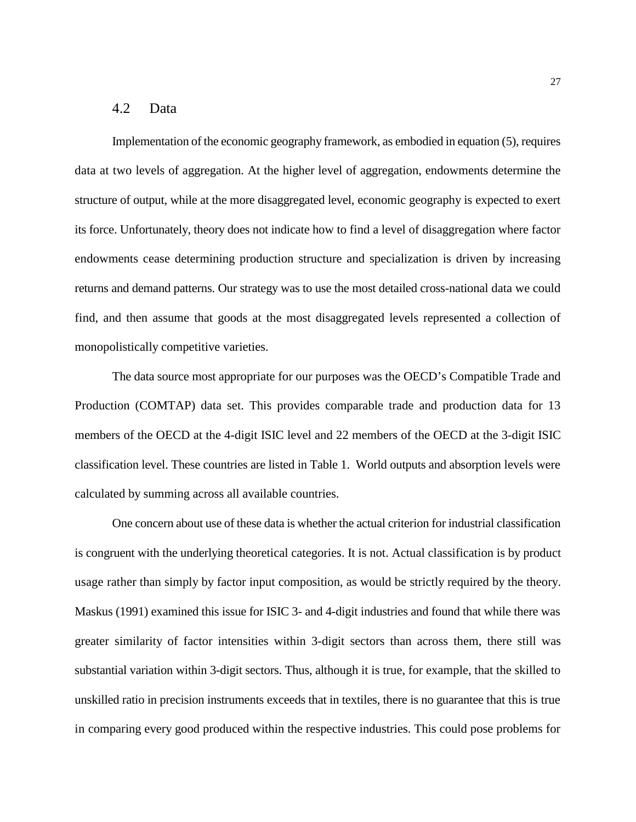#### 4.2 Data

Implementation of the economic geography framework, as embodied in equation (5), requires data at two levels of aggregation. At the higher level of aggregation, endowments determine the structure of output, while at the more disaggregated level, economic geography is expected to exert its force. Unfortunately, theory does not indicate how to find a level of disaggregation where factor endowments cease determining production structure and specialization is driven by increasing returns and demand patterns. Our strategy was to use the most detailed cross-national data we could find, and then assume that goods at the most disaggregated levels represented a collection of monopolistically competitive varieties.

The data source most appropriate for our purposes was the OECD's Compatible Trade and Production (COMTAP) data set. This provides comparable trade and production data for 13 members of the OECD at the 4-digit ISIC level and 22 members of the OECD at the 3-digit ISIC classification level. These countries are listed in Table 1. World outputs and absorption levels were calculated by summing across all available countries.

One concern about use of these data is whether the actual criterion for industrial classification is congruent with the underlying theoretical categories. It is not. Actual classification is by product usage rather than simply by factor input composition, as would be strictly required by the theory. Maskus (1991) examined this issue for ISIC 3- and 4-digit industries and found that while there was greater similarity of factor intensities within 3-digit sectors than across them, there still was substantial variation within 3-digit sectors. Thus, although it is true, for example, that the skilled to unskilled ratio in precision instruments exceeds that in textiles, there is no guarantee that this is true in comparing every good produced within the respective industries. This could pose problems for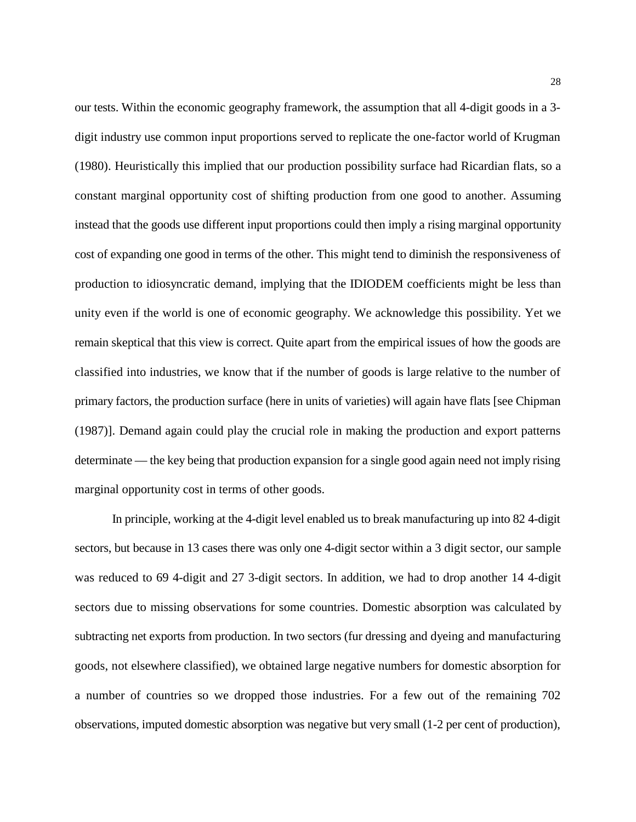our tests. Within the economic geography framework, the assumption that all 4-digit goods in a 3 digit industry use common input proportions served to replicate the one-factor world of Krugman (1980). Heuristically this implied that our production possibility surface had Ricardian flats, so a constant marginal opportunity cost of shifting production from one good to another. Assuming instead that the goods use different input proportions could then imply a rising marginal opportunity cost of expanding one good in terms of the other. This might tend to diminish the responsiveness of production to idiosyncratic demand, implying that the IDIODEM coefficients might be less than unity even if the world is one of economic geography. We acknowledge this possibility. Yet we remain skeptical that this view is correct. Quite apart from the empirical issues of how the goods are classified into industries, we know that if the number of goods is large relative to the number of primary factors, the production surface (here in units of varieties) will again have flats [see Chipman (1987)]. Demand again could play the crucial role in making the production and export patterns determinate — the key being that production expansion for a single good again need not imply rising marginal opportunity cost in terms of other goods.

In principle, working at the 4-digit level enabled us to break manufacturing up into 82 4-digit sectors, but because in 13 cases there was only one 4-digit sector within a 3 digit sector, our sample was reduced to 69 4-digit and 27 3-digit sectors. In addition, we had to drop another 14 4-digit sectors due to missing observations for some countries. Domestic absorption was calculated by subtracting net exports from production. In two sectors (fur dressing and dyeing and manufacturing goods, not elsewhere classified), we obtained large negative numbers for domestic absorption for a number of countries so we dropped those industries. For a few out of the remaining 702 observations, imputed domestic absorption was negative but very small (1-2 per cent of production),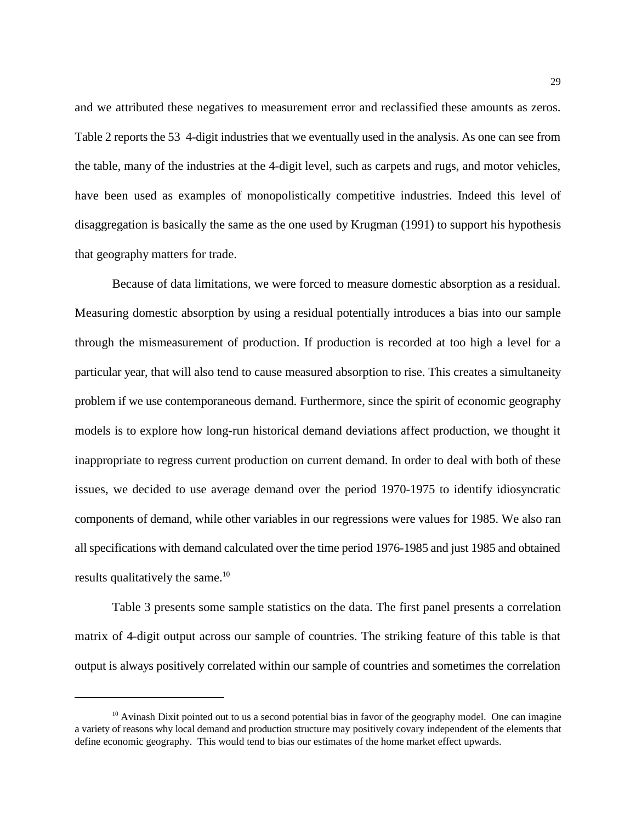and we attributed these negatives to measurement error and reclassified these amounts as zeros. Table 2 reports the 53 4-digit industries that we eventually used in the analysis. As one can see from the table, many of the industries at the 4-digit level, such as carpets and rugs, and motor vehicles, have been used as examples of monopolistically competitive industries. Indeed this level of disaggregation is basically the same as the one used by Krugman (1991) to support his hypothesis that geography matters for trade.

Because of data limitations, we were forced to measure domestic absorption as a residual. Measuring domestic absorption by using a residual potentially introduces a bias into our sample through the mismeasurement of production. If production is recorded at too high a level for a particular year, that will also tend to cause measured absorption to rise. This creates a simultaneity problem if we use contemporaneous demand. Furthermore, since the spirit of economic geography models is to explore how long-run historical demand deviations affect production, we thought it inappropriate to regress current production on current demand. In order to deal with both of these issues, we decided to use average demand over the period 1970-1975 to identify idiosyncratic components of demand, while other variables in our regressions were values for 1985. We also ran all specifications with demand calculated over the time period 1976-1985 and just 1985 and obtained results qualitatively the same.<sup>10</sup>

Table 3 presents some sample statistics on the data. The first panel presents a correlation matrix of 4-digit output across our sample of countries. The striking feature of this table is that output is always positively correlated within our sample of countries and sometimes the correlation

 $^{10}$  Avinash Dixit pointed out to us a second potential bias in favor of the geography model. One can imagine a variety of reasons why local demand and production structure may positively covary independent of the elements that define economic geography. This would tend to bias our estimates of the home market effect upwards.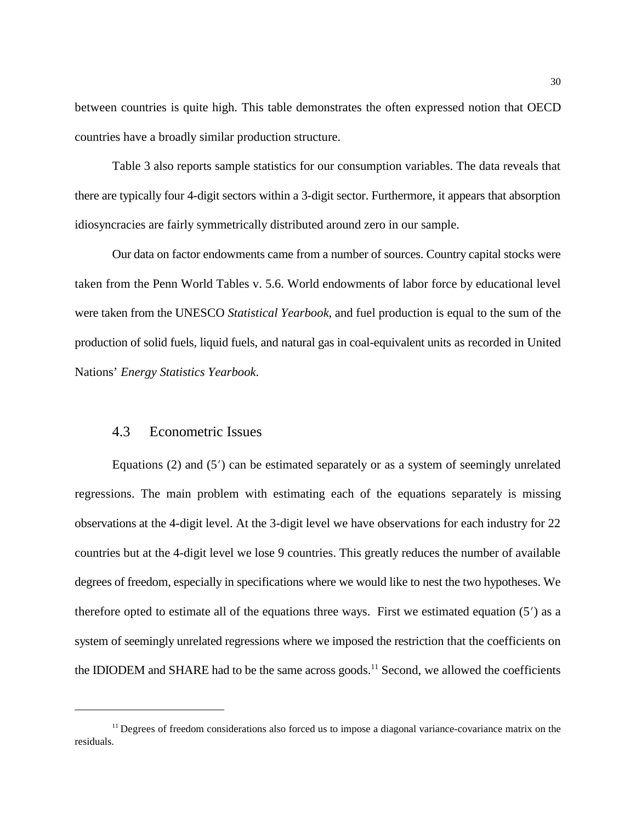between countries is quite high. This table demonstrates the often expressed notion that OECD countries have a broadly similar production structure.

Table 3 also reports sample statistics for our consumption variables. The data reveals that there are typically four 4-digit sectors within a 3-digit sector. Furthermore, it appears that absorption idiosyncracies are fairly symmetrically distributed around zero in our sample.

Our data on factor endowments came from a number of sources. Country capital stocks were taken from the Penn World Tables v. 5.6. World endowments of labor force by educational level were taken from the UNESCO *Statistical Yearbook*, and fuel production is equal to the sum of the production of solid fuels, liquid fuels, and natural gas in coal-equivalent units as recorded in United Nations' *Energy Statistics Yearbook*.

#### 4.3 Econometric Issues

Equations  $(2)$  and  $(5')$  can be estimated separately or as a system of seemingly unrelated regressions. The main problem with estimating each of the equations separately is missing observations at the 4-digit level. At the 3-digit level we have observations for each industry for 22 countries but at the 4-digit level we lose 9 countries. This greatly reduces the number of available degrees of freedom, especially in specifications where we would like to nest the two hypotheses. We therefore opted to estimate all of the equations three ways. First we estimated equation  $(5')$  as a system of seemingly unrelated regressions where we imposed the restriction that the coefficients on the IDIODEM and SHARE had to be the same across goods.<sup>11</sup> Second, we allowed the coefficients

<sup>&</sup>lt;sup>11</sup> Degrees of freedom considerations also forced us to impose a diagonal variance-covariance matrix on the residuals.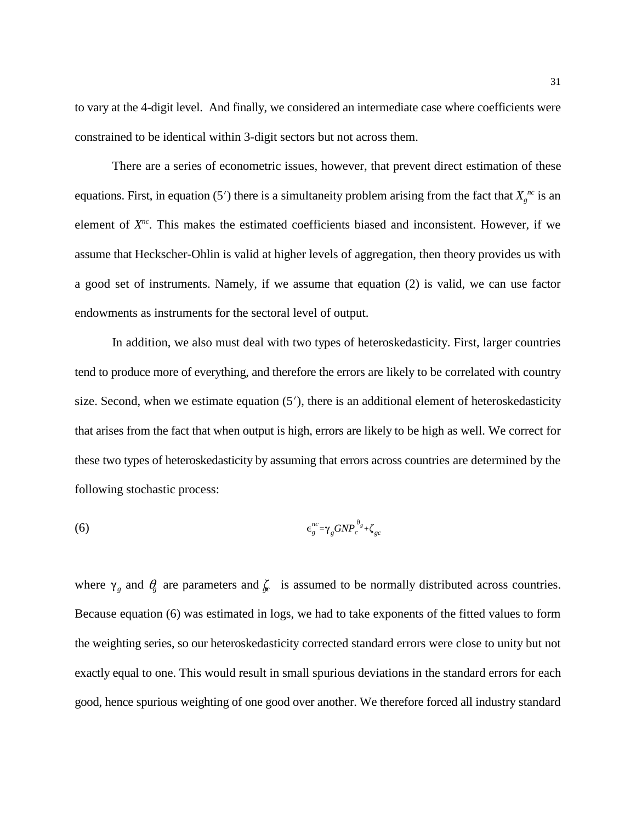to vary at the 4-digit level. And finally, we considered an intermediate case where coefficients were constrained to be identical within 3-digit sectors but not across them.

There are a series of econometric issues, however, that prevent direct estimation of these equations. First, in equation (5') there is a simultaneity problem arising from the fact that  $X_g^{nc}$  is an element of  $X<sup>nc</sup>$ . This makes the estimated coefficients biased and inconsistent. However, if we assume that Heckscher-Ohlin is valid at higher levels of aggregation, then theory provides us with a good set of instruments. Namely, if we assume that equation (2) is valid, we can use factor endowments as instruments for the sectoral level of output.

In addition, we also must deal with two types of heteroskedasticity. First, larger countries tend to produce more of everything, and therefore the errors are likely to be correlated with country size. Second, when we estimate equation  $(5)$ , there is an additional element of heteroskedasticity that arises from the fact that when output is high, errors are likely to be high as well. We correct for these two types of heteroskedasticity by assuming that errors across countries are determined by the following stochastic process:

$$
\epsilon_{g}^{nc} = \gamma_{g} G N P_{c}^{\theta_{g}} + \zeta_{gc}
$$

where  $\gamma_g$  and  $\theta_g$  are parameters and  $\zeta$  is assumed to be normally distributed across countries. Because equation (6) was estimated in logs, we had to take exponents of the fitted values to form the weighting series, so our heteroskedasticity corrected standard errors were close to unity but not exactly equal to one. This would result in small spurious deviations in the standard errors for each good, hence spurious weighting of one good over another. We therefore forced all industry standard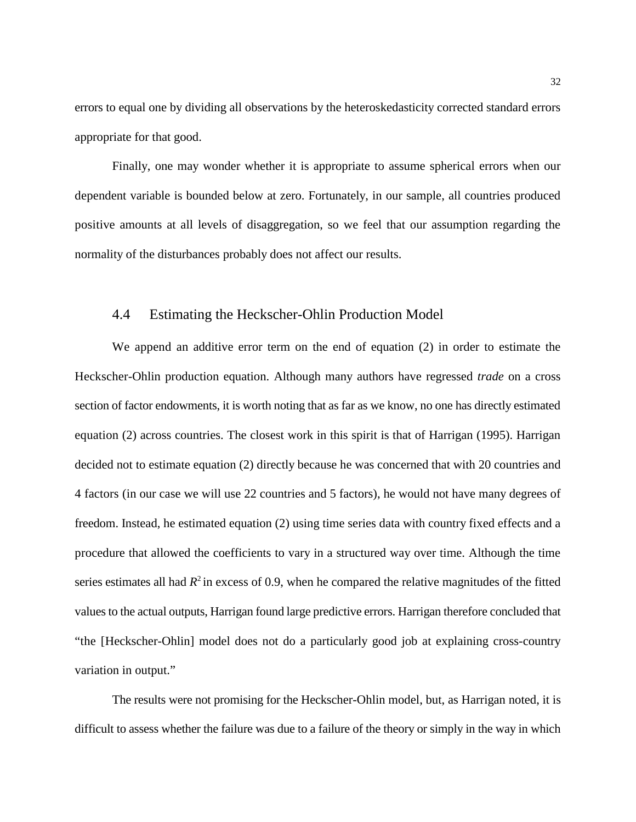errors to equal one by dividing all observations by the heteroskedasticity corrected standard errors appropriate for that good.

Finally, one may wonder whether it is appropriate to assume spherical errors when our dependent variable is bounded below at zero. Fortunately, in our sample, all countries produced positive amounts at all levels of disaggregation, so we feel that our assumption regarding the normality of the disturbances probably does not affect our results.

#### 4.4 Estimating the Heckscher-Ohlin Production Model

We append an additive error term on the end of equation (2) in order to estimate the Heckscher-Ohlin production equation. Although many authors have regressed *trade* on a cross section of factor endowments, it is worth noting that as far as we know, no one has directly estimated equation (2) across countries. The closest work in this spirit is that of Harrigan (1995). Harrigan decided not to estimate equation (2) directly because he was concerned that with 20 countries and 4 factors (in our case we will use 22 countries and 5 factors), he would not have many degrees of freedom. Instead, he estimated equation (2) using time series data with country fixed effects and a procedure that allowed the coefficients to vary in a structured way over time. Although the time series estimates all had  $R^2$  in excess of 0.9, when he compared the relative magnitudes of the fitted values to the actual outputs, Harrigan found large predictive errors. Harrigan therefore concluded that "the [Heckscher-Ohlin] model does not do a particularly good job at explaining cross-country variation in output."

The results were not promising for the Heckscher-Ohlin model, but, as Harrigan noted, it is difficult to assess whether the failure was due to a failure of the theory or simply in the way in which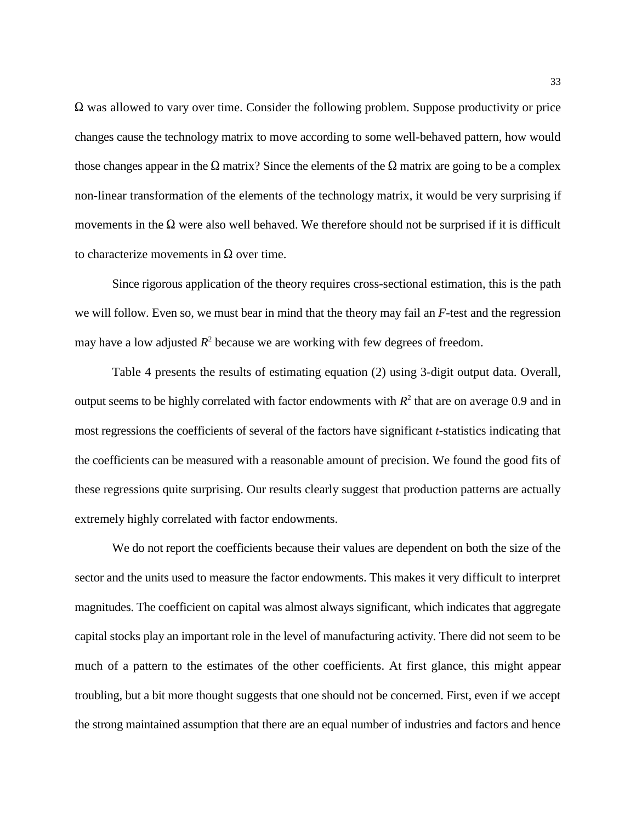$\Omega$  was allowed to vary over time. Consider the following problem. Suppose productivity or price changes cause the technology matrix to move according to some well-behaved pattern, how would those changes appear in the  $\Omega$  matrix? Since the elements of the  $\Omega$  matrix are going to be a complex non-linear transformation of the elements of the technology matrix, it would be very surprising if movements in the  $\Omega$  were also well behaved. We therefore should not be surprised if it is difficult to characterize movements in  $\Omega$  over time.

Since rigorous application of the theory requires cross-sectional estimation, this is the path we will follow. Even so, we must bear in mind that the theory may fail an *F*-test and the regression may have a low adjusted  $R^2$  because we are working with few degrees of freedom.

Table 4 presents the results of estimating equation (2) using 3-digit output data. Overall, output seems to be highly correlated with factor endowments with  $R^2$  that are on average 0.9 and in most regressions the coefficients of several of the factors have significant *t*-statistics indicating that the coefficients can be measured with a reasonable amount of precision. We found the good fits of these regressions quite surprising. Our results clearly suggest that production patterns are actually extremely highly correlated with factor endowments.

We do not report the coefficients because their values are dependent on both the size of the sector and the units used to measure the factor endowments. This makes it very difficult to interpret magnitudes. The coefficient on capital was almost always significant, which indicates that aggregate capital stocks play an important role in the level of manufacturing activity. There did not seem to be much of a pattern to the estimates of the other coefficients. At first glance, this might appear troubling, but a bit more thought suggests that one should not be concerned. First, even if we accept the strong maintained assumption that there are an equal number of industries and factors and hence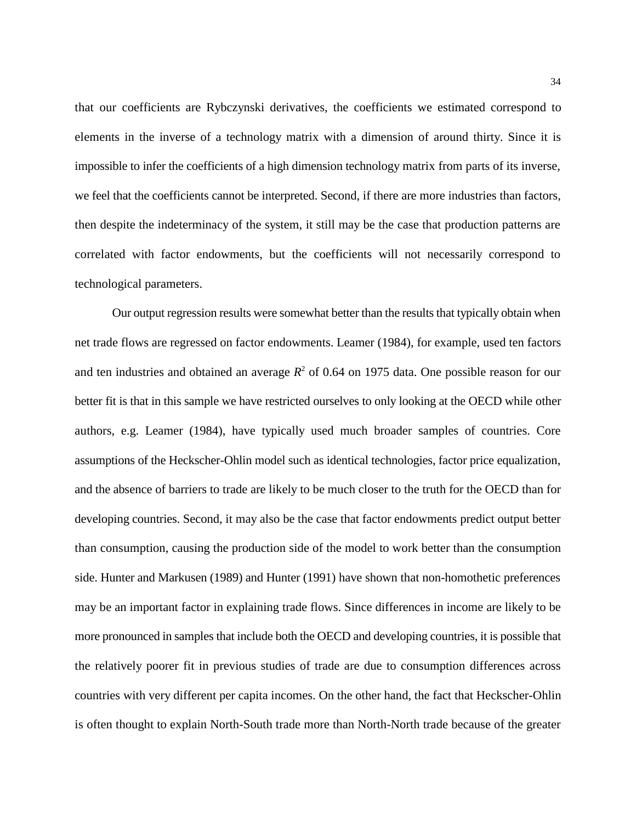that our coefficients are Rybczynski derivatives, the coefficients we estimated correspond to elements in the inverse of a technology matrix with a dimension of around thirty. Since it is impossible to infer the coefficients of a high dimension technology matrix from parts of its inverse, we feel that the coefficients cannot be interpreted. Second, if there are more industries than factors, then despite the indeterminacy of the system, it still may be the case that production patterns are correlated with factor endowments, but the coefficients will not necessarily correspond to technological parameters.

Our output regression results were somewhat better than the results that typically obtain when net trade flows are regressed on factor endowments. Leamer (1984), for example, used ten factors and ten industries and obtained an average  $R^2$  of 0.64 on 1975 data. One possible reason for our better fit is that in this sample we have restricted ourselves to only looking at the OECD while other authors, e.g. Leamer (1984), have typically used much broader samples of countries. Core assumptions of the Heckscher-Ohlin model such as identical technologies, factor price equalization, and the absence of barriers to trade are likely to be much closer to the truth for the OECD than for developing countries. Second, it may also be the case that factor endowments predict output better than consumption, causing the production side of the model to work better than the consumption side. Hunter and Markusen (1989) and Hunter (1991) have shown that non-homothetic preferences may be an important factor in explaining trade flows. Since differences in income are likely to be more pronounced in samples that include both the OECD and developing countries, it is possible that the relatively poorer fit in previous studies of trade are due to consumption differences across countries with very different per capita incomes. On the other hand, the fact that Heckscher-Ohlin is often thought to explain North-South trade more than North-North trade because of the greater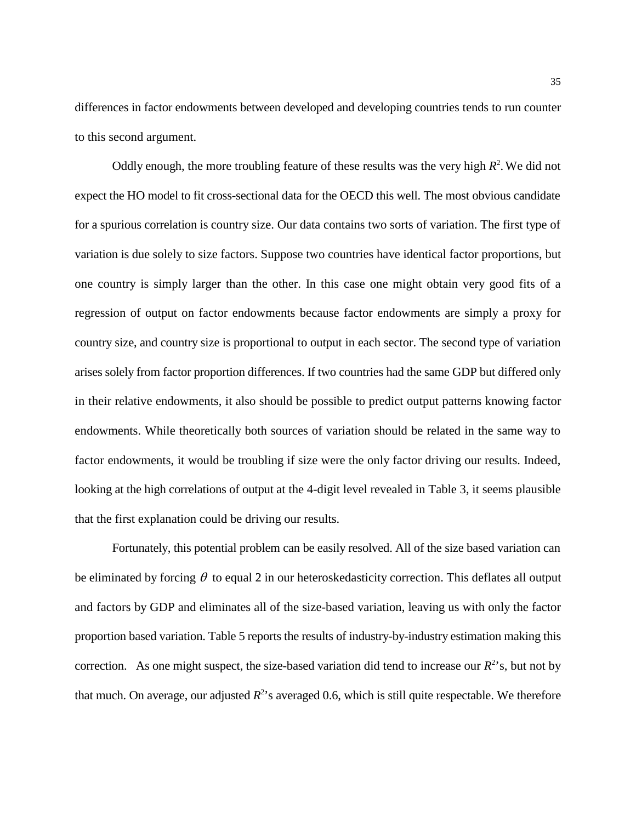differences in factor endowments between developed and developing countries tends to run counter to this second argument.

Oddly enough, the more troubling feature of these results was the very high  $R<sup>2</sup>$ . We did not expect the HO model to fit cross-sectional data for the OECD this well. The most obvious candidate for a spurious correlation is country size. Our data contains two sorts of variation. The first type of variation is due solely to size factors. Suppose two countries have identical factor proportions, but one country is simply larger than the other. In this case one might obtain very good fits of a regression of output on factor endowments because factor endowments are simply a proxy for country size, and country size is proportional to output in each sector. The second type of variation arises solely from factor proportion differences. If two countries had the same GDP but differed only in their relative endowments, it also should be possible to predict output patterns knowing factor endowments. While theoretically both sources of variation should be related in the same way to factor endowments, it would be troubling if size were the only factor driving our results. Indeed, looking at the high correlations of output at the 4-digit level revealed in Table 3, it seems plausible that the first explanation could be driving our results.

Fortunately, this potential problem can be easily resolved. All of the size based variation can be eliminated by forcing  $\theta$  to equal 2 in our heteroskedasticity correction. This deflates all output and factors by GDP and eliminates all of the size-based variation, leaving us with only the factor proportion based variation. Table 5 reports the results of industry-by-industry estimation making this correction. As one might suspect, the size-based variation did tend to increase our  $R<sup>2</sup>$ 's, but not by that much. On average, our adjusted  $R<sup>2</sup>$ 's averaged 0.6, which is still quite respectable. We therefore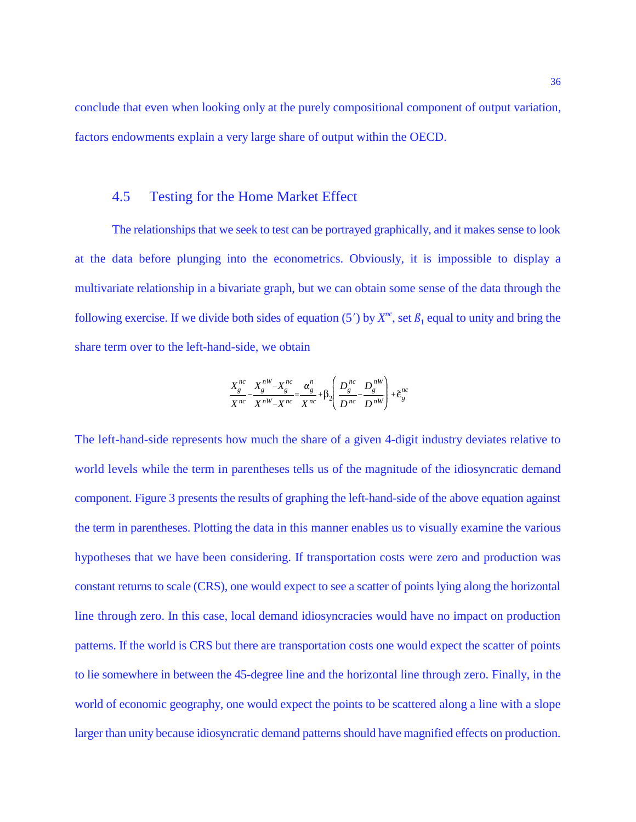conclude that even when looking only at the purely compositional component of output variation, factors endowments explain a very large share of output within the OECD.

#### 4.5 Testing for the Home Market Effect

The relationships that we seek to test can be portrayed graphically, and it makes sense to look at the data before plunging into the econometrics. Obviously, it is impossible to display a multivariate relationship in a bivariate graph, but we can obtain some sense of the data through the following exercise. If we divide both sides of equation (5') by  $X^{nc}$ , set  $\beta_1$  equal to unity and bring the share term over to the left-hand-side, we obtain

$$
\frac{X_g^{nc}}{X^{nc}} - \frac{X_g^{nW} - X_g^{nc}}{X^{nW} - X^{nc}} = \frac{\alpha_g^n}{X^{nc}} + \beta_2 \left( \frac{D_g^{nc}}{D^{nc}} - \frac{D_g^{nW}}{D^{nW}} \right) + \tilde{\epsilon}_g^{nc}
$$

The left-hand-side represents how much the share of a given 4-digit industry deviates relative to world levels while the term in parentheses tells us of the magnitude of the idiosyncratic demand component. Figure 3 presents the results of graphing the left-hand-side of the above equation against the term in parentheses. Plotting the data in this manner enables us to visually examine the various hypotheses that we have been considering. If transportation costs were zero and production was constant returns to scale (CRS), one would expect to see a scatter of points lying along the horizontal line through zero. In this case, local demand idiosyncracies would have no impact on production patterns. If the world is CRS but there are transportation costs one would expect the scatter of points to lie somewhere in between the 45-degree line and the horizontal line through zero. Finally, in the world of economic geography, one would expect the points to be scattered along a line with a slope larger than unity because idiosyncratic demand patterns should have magnified effects on production.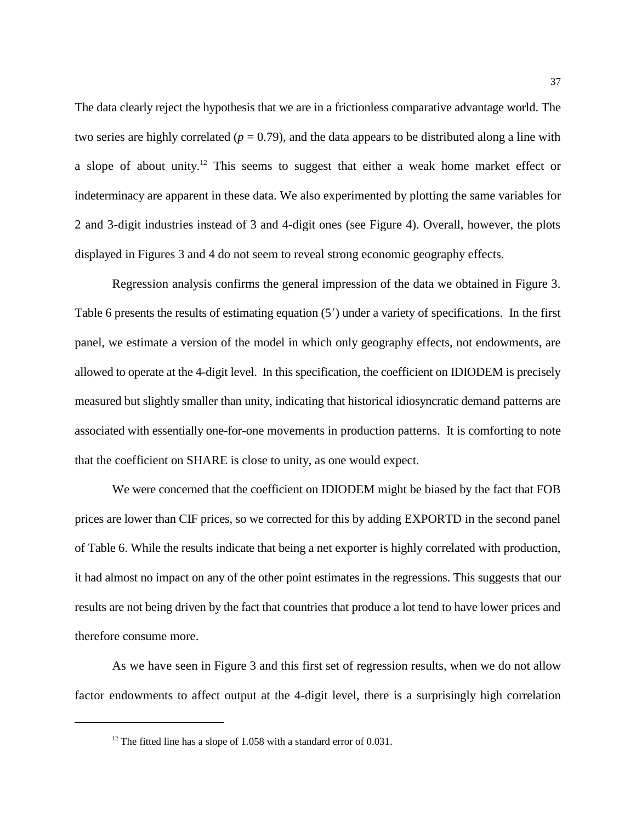The data clearly reject the hypothesis that we are in a frictionless comparative advantage world. The two series are highly correlated ( $p = 0.79$ ), and the data appears to be distributed along a line with a slope of about unity.<sup>12</sup> This seems to suggest that either a weak home market effect or indeterminacy are apparent in these data. We also experimented by plotting the same variables for 2 and 3-digit industries instead of 3 and 4-digit ones (see Figure 4). Overall, however, the plots displayed in Figures 3 and 4 do not seem to reveal strong economic geography effects.

Regression analysis confirms the general impression of the data we obtained in Figure 3. Table 6 presents the results of estimating equation  $(5')$  under a variety of specifications. In the first panel, we estimate a version of the model in which only geography effects, not endowments, are allowed to operate at the 4-digit level. In this specification, the coefficient on IDIODEM is precisely measured but slightly smaller than unity, indicating that historical idiosyncratic demand patterns are associated with essentially one-for-one movements in production patterns. It is comforting to note that the coefficient on SHARE is close to unity, as one would expect.

We were concerned that the coefficient on IDIODEM might be biased by the fact that FOB prices are lower than CIF prices, so we corrected for this by adding EXPORTD in the second panel of Table 6. While the results indicate that being a net exporter is highly correlated with production, it had almost no impact on any of the other point estimates in the regressions. This suggests that our results are not being driven by the fact that countries that produce a lot tend to have lower prices and therefore consume more.

As we have seen in Figure 3 and this first set of regression results, when we do not allow factor endowments to affect output at the 4-digit level, there is a surprisingly high correlation

 $12$  The fitted line has a slope of 1.058 with a standard error of 0.031.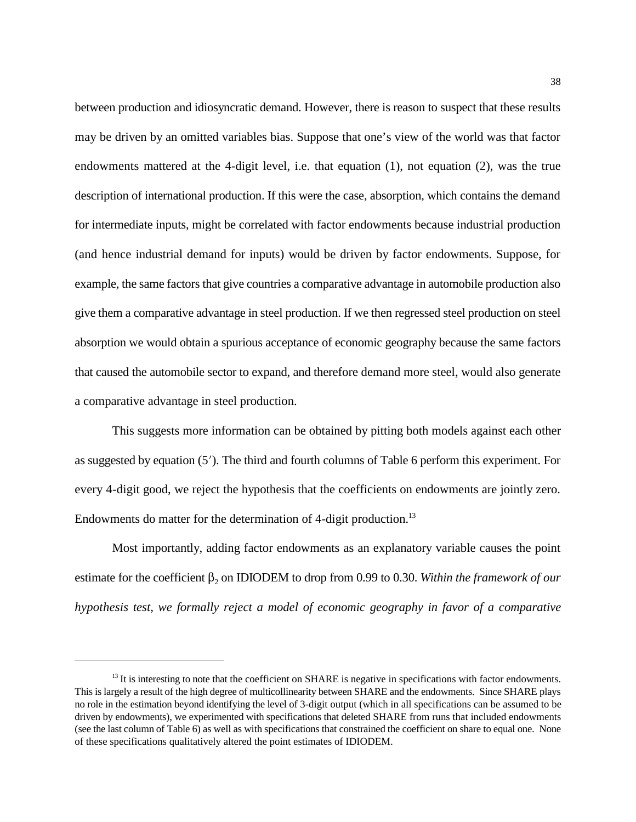between production and idiosyncratic demand. However, there is reason to suspect that these results may be driven by an omitted variables bias. Suppose that one's view of the world was that factor endowments mattered at the 4-digit level, i.e. that equation (1), not equation (2), was the true description of international production. If this were the case, absorption, which contains the demand for intermediate inputs, might be correlated with factor endowments because industrial production (and hence industrial demand for inputs) would be driven by factor endowments. Suppose, for example, the same factors that give countries a comparative advantage in automobile production also give them a comparative advantage in steel production. If we then regressed steel production on steel absorption we would obtain a spurious acceptance of economic geography because the same factors that caused the automobile sector to expand, and therefore demand more steel, would also generate a comparative advantage in steel production.

This suggests more information can be obtained by pitting both models against each other as suggested by equation  $(5')$ . The third and fourth columns of Table 6 perform this experiment. For every 4-digit good, we reject the hypothesis that the coefficients on endowments are jointly zero. Endowments do matter for the determination of 4-digit production.<sup>13</sup>

Most importantly, adding factor endowments as an explanatory variable causes the point estimate for the coefficient  $\beta$ , on IDIODEM to drop from 0.99 to 0.30. Within the framework of our *hypothesis test, we formally reject a model of economic geography in favor of a comparative*

 $<sup>13</sup>$  It is interesting to note that the coefficient on SHARE is negative in specifications with factor endowments.</sup> This is largely a result of the high degree of multicollinearity between SHARE and the endowments. Since SHARE plays no role in the estimation beyond identifying the level of 3-digit output (which in all specifications can be assumed to be driven by endowments), we experimented with specifications that deleted SHARE from runs that included endowments (see the last column of Table 6) as well as with specifications that constrained the coefficient on share to equal one. None of these specifications qualitatively altered the point estimates of IDIODEM.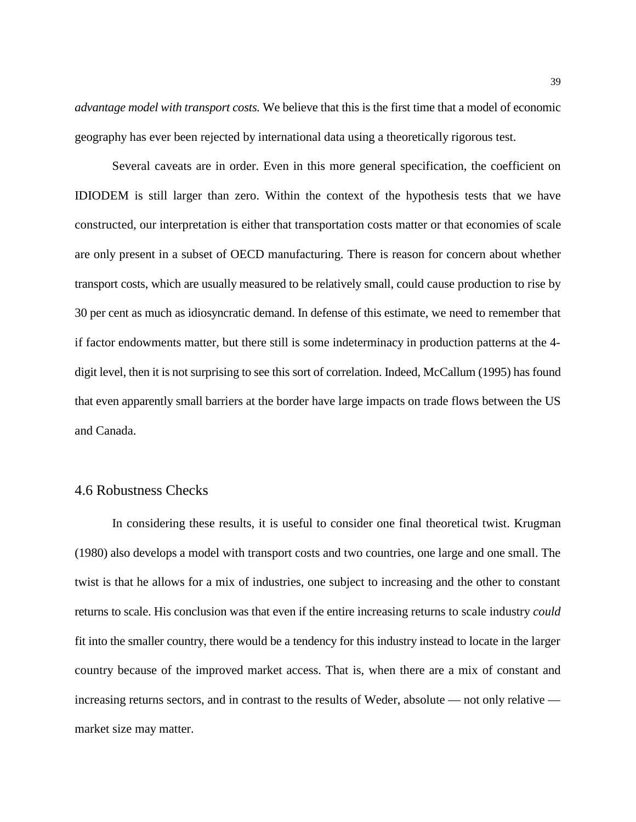*advantage model with transport costs.* We believe that this is the first time that a model of economic geography has ever been rejected by international data using a theoretically rigorous test.

Several caveats are in order. Even in this more general specification, the coefficient on IDIODEM is still larger than zero. Within the context of the hypothesis tests that we have constructed, our interpretation is either that transportation costs matter or that economies of scale are only present in a subset of OECD manufacturing. There is reason for concern about whether transport costs, which are usually measured to be relatively small, could cause production to rise by 30 per cent as much as idiosyncratic demand. In defense of this estimate, we need to remember that if factor endowments matter, but there still is some indeterminacy in production patterns at the 4 digit level, then it is not surprising to see this sort of correlation. Indeed, McCallum (1995) has found that even apparently small barriers at the border have large impacts on trade flows between the US and Canada.

#### 4.6 Robustness Checks

In considering these results, it is useful to consider one final theoretical twist. Krugman (1980) also develops a model with transport costs and two countries, one large and one small. The twist is that he allows for a mix of industries, one subject to increasing and the other to constant returns to scale. His conclusion was that even if the entire increasing returns to scale industry *could* fit into the smaller country, there would be a tendency for this industry instead to locate in the larger country because of the improved market access. That is, when there are a mix of constant and increasing returns sectors, and in contrast to the results of Weder, absolute — not only relative market size may matter.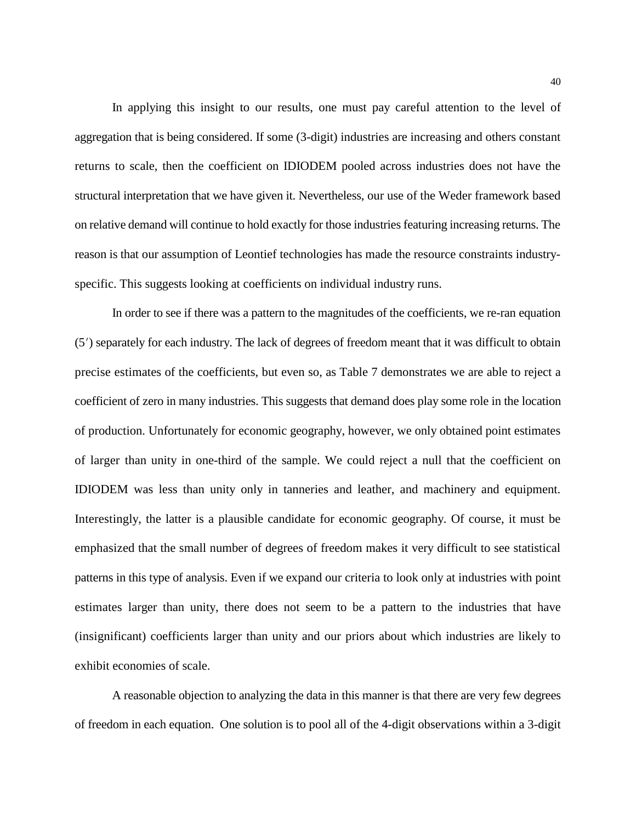In applying this insight to our results, one must pay careful attention to the level of aggregation that is being considered. If some (3-digit) industries are increasing and others constant returns to scale, then the coefficient on IDIODEM pooled across industries does not have the structural interpretation that we have given it. Nevertheless, our use of the Weder framework based on relative demand will continue to hold exactly for those industries featuring increasing returns. The reason is that our assumption of Leontief technologies has made the resource constraints industryspecific. This suggests looking at coefficients on individual industry runs.

In order to see if there was a pattern to the magnitudes of the coefficients, we re-ran equation  $(5)$  separately for each industry. The lack of degrees of freedom meant that it was difficult to obtain precise estimates of the coefficients, but even so, as Table 7 demonstrates we are able to reject a coefficient of zero in many industries. This suggests that demand does play some role in the location of production. Unfortunately for economic geography, however, we only obtained point estimates of larger than unity in one-third of the sample. We could reject a null that the coefficient on IDIODEM was less than unity only in tanneries and leather, and machinery and equipment. Interestingly, the latter is a plausible candidate for economic geography. Of course, it must be emphasized that the small number of degrees of freedom makes it very difficult to see statistical patterns in this type of analysis. Even if we expand our criteria to look only at industries with point estimates larger than unity, there does not seem to be a pattern to the industries that have (insignificant) coefficients larger than unity and our priors about which industries are likely to exhibit economies of scale.

A reasonable objection to analyzing the data in this manner is that there are very few degrees of freedom in each equation. One solution is to pool all of the 4-digit observations within a 3-digit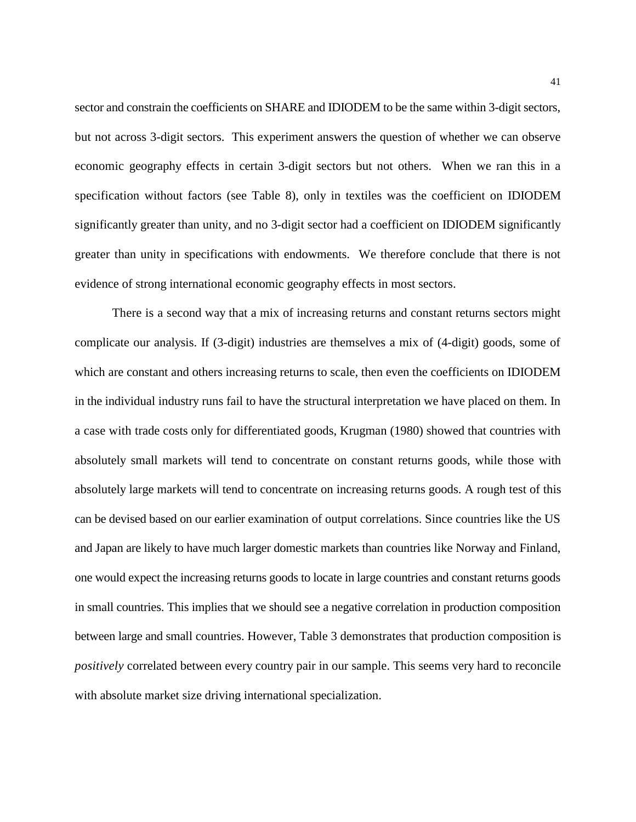sector and constrain the coefficients on SHARE and IDIODEM to be the same within 3-digit sectors, but not across 3-digit sectors. This experiment answers the question of whether we can observe economic geography effects in certain 3-digit sectors but not others. When we ran this in a specification without factors (see Table 8), only in textiles was the coefficient on IDIODEM significantly greater than unity, and no 3-digit sector had a coefficient on IDIODEM significantly greater than unity in specifications with endowments. We therefore conclude that there is not evidence of strong international economic geography effects in most sectors.

There is a second way that a mix of increasing returns and constant returns sectors might complicate our analysis. If (3-digit) industries are themselves a mix of (4-digit) goods, some of which are constant and others increasing returns to scale, then even the coefficients on IDIODEM in the individual industry runs fail to have the structural interpretation we have placed on them. In a case with trade costs only for differentiated goods, Krugman (1980) showed that countries with absolutely small markets will tend to concentrate on constant returns goods, while those with absolutely large markets will tend to concentrate on increasing returns goods. A rough test of this can be devised based on our earlier examination of output correlations. Since countries like the US and Japan are likely to have much larger domestic markets than countries like Norway and Finland, one would expect the increasing returns goods to locate in large countries and constant returns goods in small countries. This implies that we should see a negative correlation in production composition between large and small countries. However, Table 3 demonstrates that production composition is *positively* correlated between every country pair in our sample. This seems very hard to reconcile with absolute market size driving international specialization.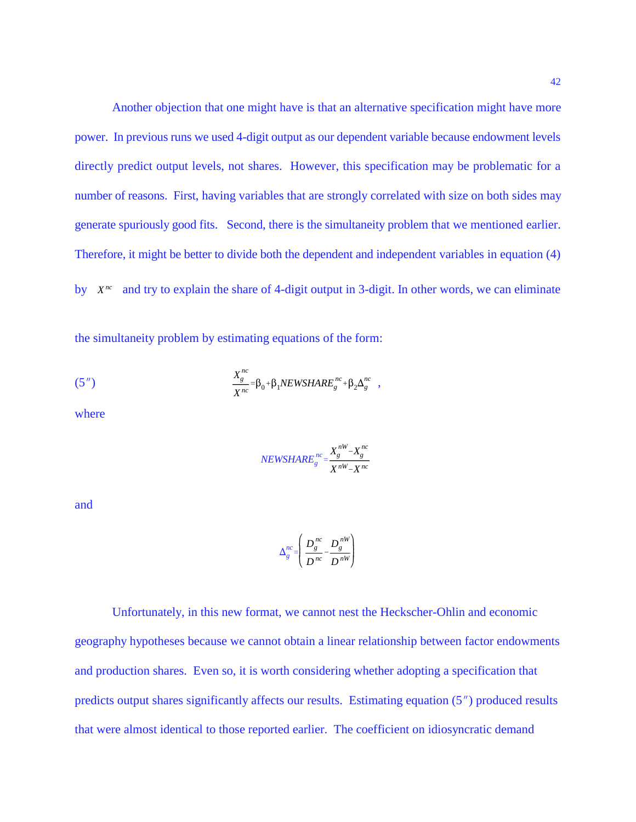by  $X^{nc}$  and try to explain the share of 4-digit output in 3-digit. In other words, we can eliminate Another objection that one might have is that an alternative specification might have more power. In previous runs we used 4-digit output as our dependent variable because endowment levels directly predict output levels, not shares. However, this specification may be problematic for a number of reasons. First, having variables that are strongly correlated with size on both sides may generate spuriously good fits. Second, there is the simultaneity problem that we mentioned earlier. Therefore, it might be better to divide both the dependent and independent variables in equation (4)

the simultaneity problem by estimating equations of the form:

(5") 
$$
\frac{X_g^{nc}}{X^{nc}} = \beta_0 + \beta_1 N EWSHARE_g^{nc} + \beta_2 \Delta_g^{nc}
$$

where

$$
NEWSHARE_g^{nc} = \frac{X_g^{nW} - X_g^{nc}}{X^{nW} - X^{nc}}
$$

and

$$
\Delta_g^{nc} = \left(\frac{D_g^{nc}}{D^{nc}} - \frac{D_g^{nW}}{D^{nW}}\right)
$$

Unfortunately, in this new format, we cannot nest the Heckscher-Ohlin and economic geography hypotheses because we cannot obtain a linear relationship between factor endowments and production shares. Even so, it is worth considering whether adopting a specification that predicts output shares significantly affects our results. Estimating equation  $(5<sup>n</sup>)$  produced results that were almost identical to those reported earlier. The coefficient on idiosyncratic demand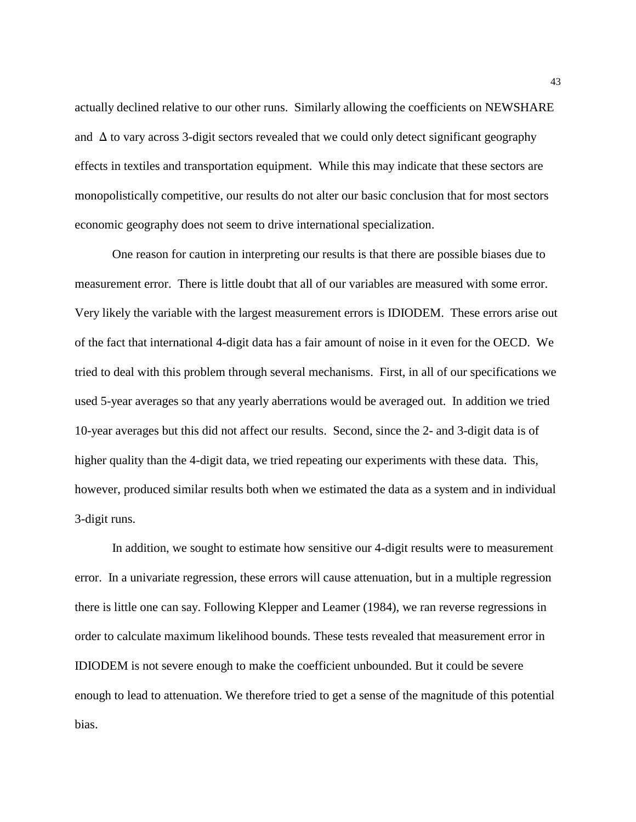actually declined relative to our other runs. Similarly allowing the coefficients on NEWSHARE and  $\Delta$  to vary across 3-digit sectors revealed that we could only detect significant geography effects in textiles and transportation equipment. While this may indicate that these sectors are monopolistically competitive, our results do not alter our basic conclusion that for most sectors economic geography does not seem to drive international specialization.

One reason for caution in interpreting our results is that there are possible biases due to measurement error. There is little doubt that all of our variables are measured with some error. Very likely the variable with the largest measurement errors is IDIODEM. These errors arise out of the fact that international 4-digit data has a fair amount of noise in it even for the OECD. We tried to deal with this problem through several mechanisms. First, in all of our specifications we used 5-year averages so that any yearly aberrations would be averaged out. In addition we tried 10-year averages but this did not affect our results. Second, since the 2- and 3-digit data is of higher quality than the 4-digit data, we tried repeating our experiments with these data. This, however, produced similar results both when we estimated the data as a system and in individual 3-digit runs.

In addition, we sought to estimate how sensitive our 4-digit results were to measurement error. In a univariate regression, these errors will cause attenuation, but in a multiple regression there is little one can say. Following Klepper and Leamer (1984), we ran reverse regressions in order to calculate maximum likelihood bounds. These tests revealed that measurement error in IDIODEM is not severe enough to make the coefficient unbounded. But it could be severe enough to lead to attenuation. We therefore tried to get a sense of the magnitude of this potential bias.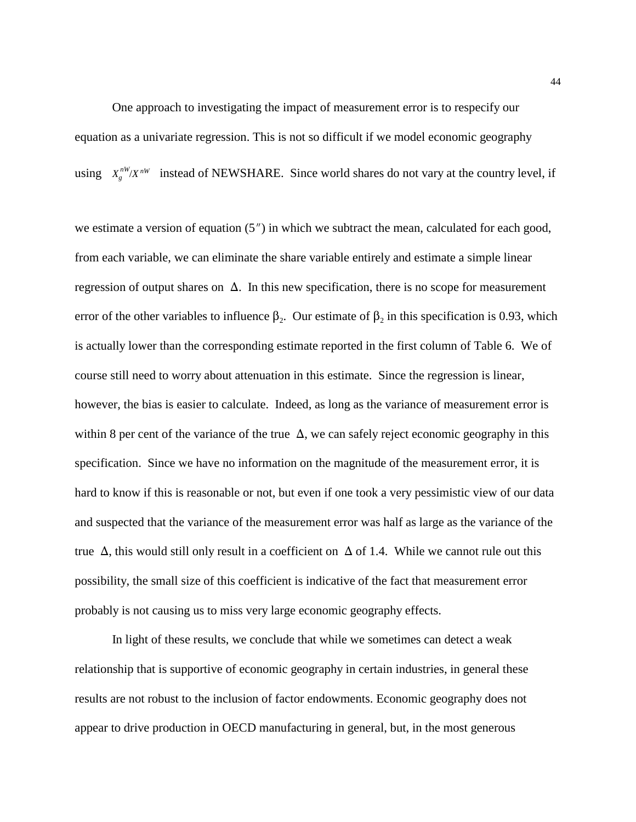using  $X_s^{nW}/X^{nW}$  instead of NEWSHARE. Since world shares do not vary at the country level, if One approach to investigating the impact of measurement error is to respecify our equation as a univariate regression. This is not so difficult if we model economic geography

we estimate a version of equation  $(5<sup>n</sup>)$  in which we subtract the mean, calculated for each good, from each variable, we can eliminate the share variable entirely and estimate a simple linear regression of output shares on  $\Delta$ . In this new specification, there is no scope for measurement error of the other variables to influence  $\beta_2$ . Our estimate of  $\beta_2$  in this specification is 0.93, which is actually lower than the corresponding estimate reported in the first column of Table 6. We of course still need to worry about attenuation in this estimate. Since the regression is linear, however, the bias is easier to calculate. Indeed, as long as the variance of measurement error is within 8 per cent of the variance of the true  $\Delta$ , we can safely reject economic geography in this specification. Since we have no information on the magnitude of the measurement error, it is hard to know if this is reasonable or not, but even if one took a very pessimistic view of our data and suspected that the variance of the measurement error was half as large as the variance of the true  $\Delta$ , this would still only result in a coefficient on  $\Delta$  of 1.4. While we cannot rule out this possibility, the small size of this coefficient is indicative of the fact that measurement error probably is not causing us to miss very large economic geography effects.

In light of these results, we conclude that while we sometimes can detect a weak relationship that is supportive of economic geography in certain industries, in general these results are not robust to the inclusion of factor endowments. Economic geography does not appear to drive production in OECD manufacturing in general, but, in the most generous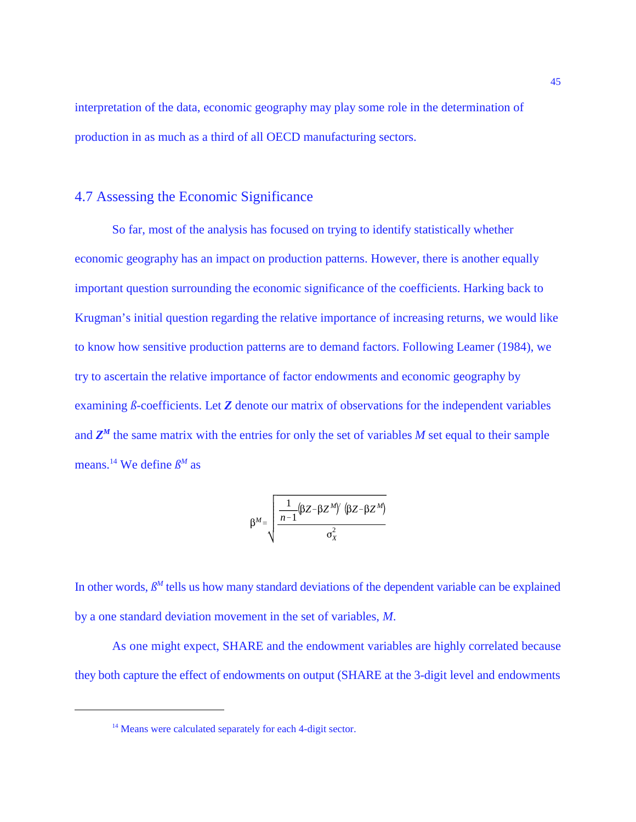interpretation of the data, economic geography may play some role in the determination of production in as much as a third of all OECD manufacturing sectors.

### 4.7 Assessing the Economic Significance

So far, most of the analysis has focused on trying to identify statistically whether economic geography has an impact on production patterns. However, there is another equally important question surrounding the economic significance of the coefficients. Harking back to Krugman's initial question regarding the relative importance of increasing returns, we would like to know how sensitive production patterns are to demand factors. Following Leamer (1984), we try to ascertain the relative importance of factor endowments and economic geography by examining  $\beta$ -coefficients. Let  $\boldsymbol{Z}$  denote our matrix of observations for the independent variables and  $Z^M$  the same matrix with the entries for only the set of variables M set equal to their sample means.<sup>14</sup> We define  $\beta^M$  as

$$
\beta^M = \sqrt{\frac{\frac{1}{n-1}(\beta Z - \beta Z^M)'(\beta Z - \beta Z^M)}{\sigma_X^2}}
$$

In other words,  $\beta^M$  tells us how many standard deviations of the dependent variable can be explained by a one standard deviation movement in the set of variables, *M*.

As one might expect, SHARE and the endowment variables are highly correlated because they both capture the effect of endowments on output (SHARE at the 3-digit level and endowments

 $14$  Means were calculated separately for each 4-digit sector.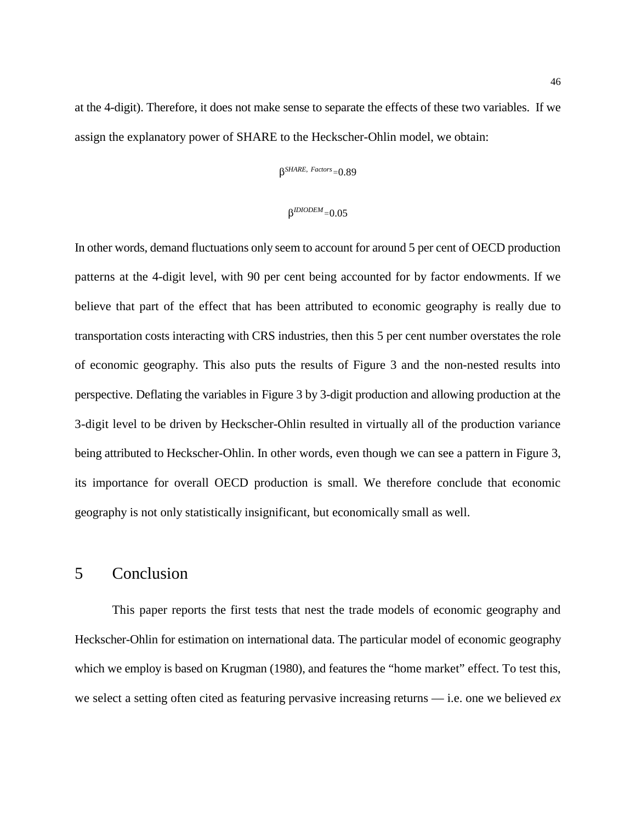at the 4-digit). Therefore, it does not make sense to separate the effects of these two variables. If we assign the explanatory power of SHARE to the Heckscher-Ohlin model, we obtain:

$$
\beta^{\text{SHARE}, \text{ Factors}}{=}0.89
$$

$$
\beta^{\text{IDIODEM}}\text{=0.05}
$$

In other words, demand fluctuations only seem to account for around 5 per cent of OECD production patterns at the 4-digit level, with 90 per cent being accounted for by factor endowments. If we believe that part of the effect that has been attributed to economic geography is really due to transportation costs interacting with CRS industries, then this 5 per cent number overstates the role of economic geography. This also puts the results of Figure 3 and the non-nested results into perspective. Deflating the variables in Figure 3 by 3-digit production and allowing production at the 3-digit level to be driven by Heckscher-Ohlin resulted in virtually all of the production variance being attributed to Heckscher-Ohlin. In other words, even though we can see a pattern in Figure 3, its importance for overall OECD production is small. We therefore conclude that economic geography is not only statistically insignificant, but economically small as well.

#### 5 Conclusion

This paper reports the first tests that nest the trade models of economic geography and Heckscher-Ohlin for estimation on international data. The particular model of economic geography which we employ is based on Krugman (1980), and features the "home market" effect. To test this, we select a setting often cited as featuring pervasive increasing returns — i.e. one we believed *ex*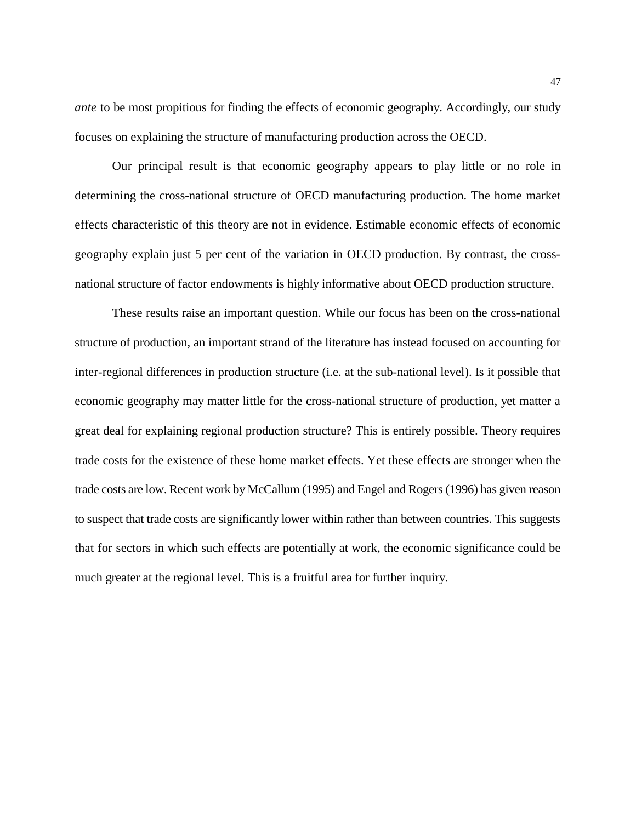*ante* to be most propitious for finding the effects of economic geography. Accordingly, our study focuses on explaining the structure of manufacturing production across the OECD.

Our principal result is that economic geography appears to play little or no role in determining the cross-national structure of OECD manufacturing production. The home market effects characteristic of this theory are not in evidence. Estimable economic effects of economic geography explain just 5 per cent of the variation in OECD production. By contrast, the crossnational structure of factor endowments is highly informative about OECD production structure.

These results raise an important question. While our focus has been on the cross-national structure of production, an important strand of the literature has instead focused on accounting for inter-regional differences in production structure (i.e. at the sub-national level). Is it possible that economic geography may matter little for the cross-national structure of production, yet matter a great deal for explaining regional production structure? This is entirely possible. Theory requires trade costs for the existence of these home market effects. Yet these effects are stronger when the trade costs are low. Recent work by McCallum (1995) and Engel and Rogers (1996) has given reason to suspect that trade costs are significantly lower within rather than between countries. This suggests that for sectors in which such effects are potentially at work, the economic significance could be much greater at the regional level. This is a fruitful area for further inquiry.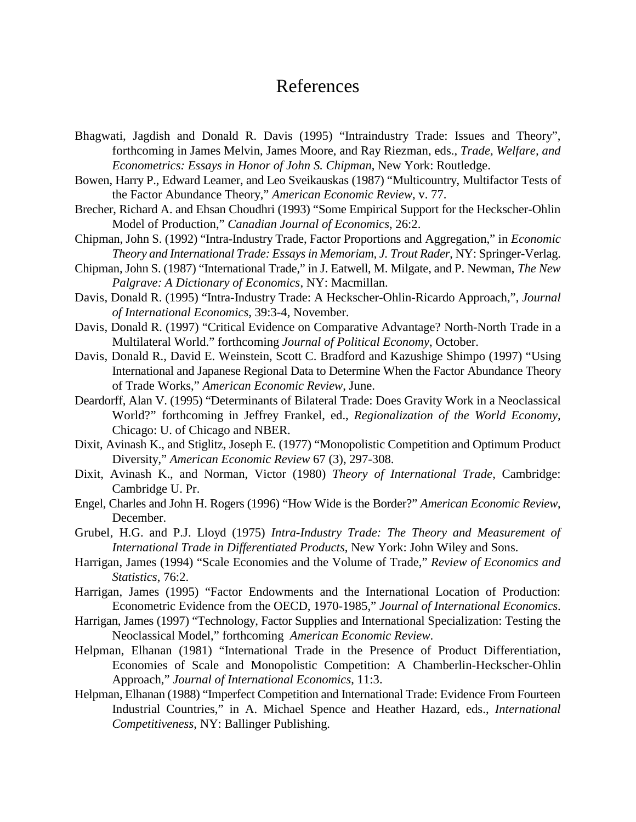# References

- Bhagwati, Jagdish and Donald R. Davis (1995) "Intraindustry Trade: Issues and Theory", forthcoming in James Melvin, James Moore, and Ray Riezman, eds., *Trade, Welfare, and Econometrics: Essays in Honor of John S. Chipman*, New York: Routledge.
- Bowen, Harry P., Edward Leamer, and Leo Sveikauskas (1987) "Multicountry, Multifactor Tests of the Factor Abundance Theory," *American Economic Review*, v. 77.
- Brecher, Richard A. and Ehsan Choudhri (1993) "Some Empirical Support for the Heckscher-Ohlin Model of Production," *Canadian Journal of Economics*, 26:2.
- Chipman, John S. (1992) "Intra-Industry Trade, Factor Proportions and Aggregation," in *Economic Theory and International Trade: Essays in Memoriam, J. Trout Rader*, NY: Springer-Verlag.
- Chipman, John S. (1987) "International Trade," in J. Eatwell, M. Milgate, and P. Newman, *The New Palgrave: A Dictionary of Economics*, NY: Macmillan.
- Davis, Donald R. (1995) "Intra-Industry Trade: A Heckscher-Ohlin-Ricardo Approach,", *Journal of International Economics*, 39:3-4, November.
- Davis, Donald R. (1997) "Critical Evidence on Comparative Advantage? North-North Trade in a Multilateral World." forthcoming *Journal of Political Economy*, October.
- Davis, Donald R., David E. Weinstein, Scott C. Bradford and Kazushige Shimpo (1997) "Using International and Japanese Regional Data to Determine When the Factor Abundance Theory of Trade Works," *American Economic Review*, June.
- Deardorff, Alan V. (1995) "Determinants of Bilateral Trade: Does Gravity Work in a Neoclassical World?" forthcoming in Jeffrey Frankel, ed., *Regionalization of the World Economy*, Chicago: U. of Chicago and NBER.
- Dixit, Avinash K., and Stiglitz, Joseph E. (1977) "Monopolistic Competition and Optimum Product Diversity," *American Economic Review* 67 (3), 297-308.
- Dixit, Avinash K., and Norman, Victor (1980) *Theory of International Trade*, Cambridge: Cambridge U. Pr.
- Engel, Charles and John H. Rogers (1996) "How Wide is the Border?" *American Economic Review*, December.
- Grubel, H.G. and P.J. Lloyd (1975) *Intra-Industry Trade: The Theory and Measurement of International Trade in Differentiated Products*, New York: John Wiley and Sons.
- Harrigan, James (1994) "Scale Economies and the Volume of Trade," *Review of Economics and Statistics*, 76:2.
- Harrigan, James (1995) "Factor Endowments and the International Location of Production: Econometric Evidence from the OECD, 1970-1985," *Journal of International Economics*.
- Harrigan, James (1997) "Technology, Factor Supplies and International Specialization: Testing the Neoclassical Model," forthcoming *American Economic Review*.
- Helpman, Elhanan (1981) "International Trade in the Presence of Product Differentiation, Economies of Scale and Monopolistic Competition: A Chamberlin-Heckscher-Ohlin Approach," *Journal of International Economics*, 11:3.
- Helpman, Elhanan (1988) "Imperfect Competition and International Trade: Evidence From Fourteen Industrial Countries," in A. Michael Spence and Heather Hazard, eds., *International Competitiveness*, NY: Ballinger Publishing.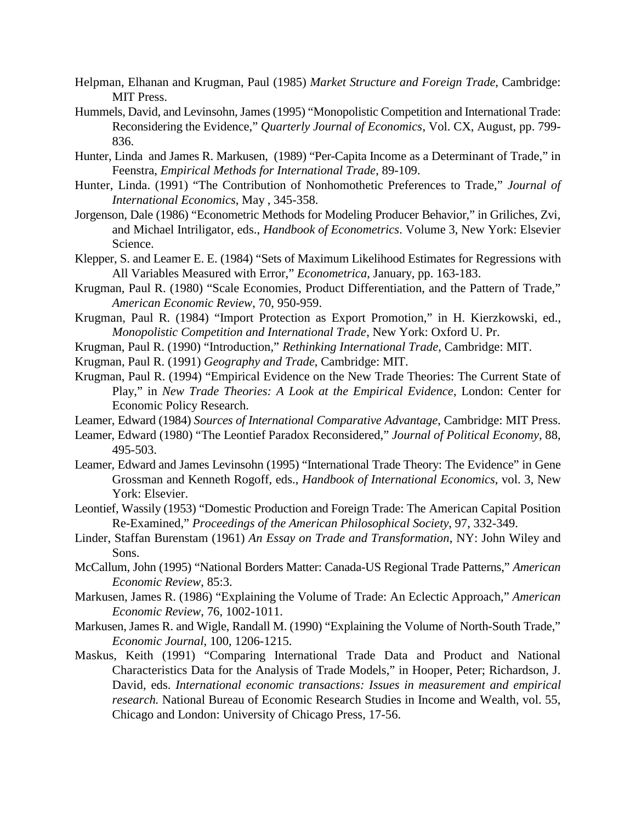- Helpman, Elhanan and Krugman, Paul (1985) *Market Structure and Foreign Trade*, Cambridge: MIT Press.
- Hummels, David, and Levinsohn, James (1995) "Monopolistic Competition and International Trade: Reconsidering the Evidence," *Quarterly Journal of Economics*, Vol. CX, August, pp. 799- 836.
- Hunter, Linda and James R. Markusen, (1989) "Per-Capita Income as a Determinant of Trade," in Feenstra, *Empirical Methods for International Trade*, 89-109.
- Hunter, Linda. (1991) "The Contribution of Nonhomothetic Preferences to Trade," *Journal of International Economics*, May , 345-358.
- Jorgenson, Dale (1986) "Econometric Methods for Modeling Producer Behavior," in Griliches, Zvi, and Michael Intriligator, eds., *Handbook of Econometrics*. Volume 3, New York: Elsevier Science.
- Klepper, S. and Leamer E. E. (1984) "Sets of Maximum Likelihood Estimates for Regressions with All Variables Measured with Error," *Econometrica*, January, pp. 163-183.
- Krugman, Paul R. (1980) "Scale Economies, Product Differentiation, and the Pattern of Trade," *American Economic Review*, 70, 950-959.
- Krugman, Paul R. (1984) "Import Protection as Export Promotion," in H. Kierzkowski, ed., *Monopolistic Competition and International Trade*, New York: Oxford U. Pr.
- Krugman, Paul R. (1990) "Introduction," *Rethinking International Trade*, Cambridge: MIT.
- Krugman, Paul R. (1991) *Geography and Trade*, Cambridge: MIT.
- Krugman, Paul R. (1994) "Empirical Evidence on the New Trade Theories: The Current State of Play," in *New Trade Theories: A Look at the Empirical Evidence*, London: Center for Economic Policy Research.
- Leamer, Edward (1984) *Sources of International Comparative Advantage*, Cambridge: MIT Press.
- Leamer, Edward (1980) "The Leontief Paradox Reconsidered," *Journal of Political Economy*, 88, 495-503.
- Leamer, Edward and James Levinsohn (1995) "International Trade Theory: The Evidence" in Gene Grossman and Kenneth Rogoff, eds., *Handbook of International Economics*, vol. 3, New York: Elsevier.
- Leontief, Wassily (1953) "Domestic Production and Foreign Trade: The American Capital Position Re-Examined," *Proceedings of the American Philosophical Society*, 97, 332-349.
- Linder, Staffan Burenstam (1961) *An Essay on Trade and Transformation*, NY: John Wiley and Sons.
- McCallum, John (1995) "National Borders Matter: Canada-US Regional Trade Patterns," *American Economic Review*, 85:3.
- Markusen, James R. (1986) "Explaining the Volume of Trade: An Eclectic Approach," *American Economic Review*, 76, 1002-1011.
- Markusen, James R. and Wigle, Randall M. (1990) "Explaining the Volume of North-South Trade," *Economic Journal*, 100, 1206-1215.
- Maskus, Keith (1991) "Comparing International Trade Data and Product and National Characteristics Data for the Analysis of Trade Models," in Hooper, Peter; Richardson, J. David, eds. *International economic transactions: Issues in measurement and empirical research.* National Bureau of Economic Research Studies in Income and Wealth, vol. 55, Chicago and London: University of Chicago Press, 17-56.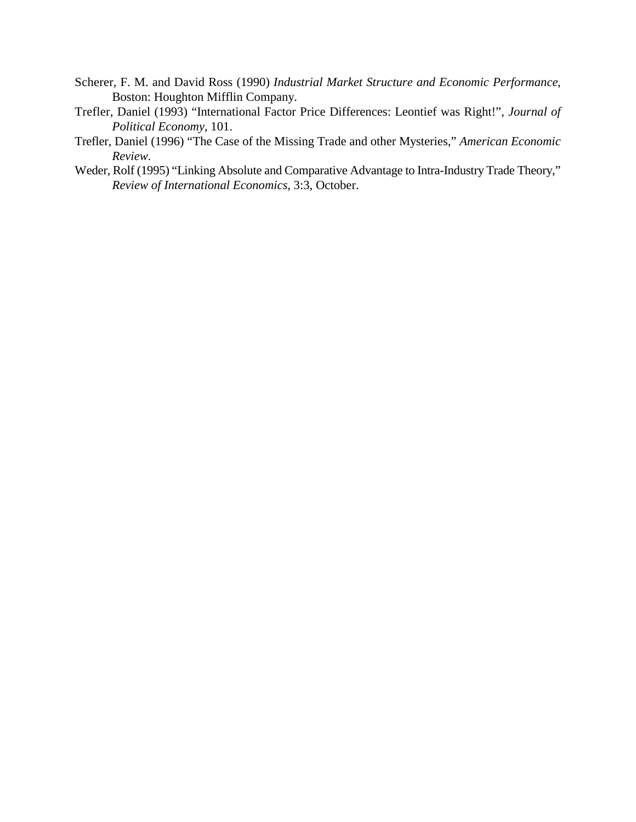- Scherer, F. M. and David Ross (1990) *Industrial Market Structure and Economic Performance*, Boston: Houghton Mifflin Company.
- Trefler, Daniel (1993) "International Factor Price Differences: Leontief was Right!", *Journal of Political Economy*, 101.
- Trefler, Daniel (1996) "The Case of the Missing Trade and other Mysteries," *American Economic Review.*
- Weder, Rolf (1995) "Linking Absolute and Comparative Advantage to Intra-Industry Trade Theory," *Review of International Economics*, 3:3, October.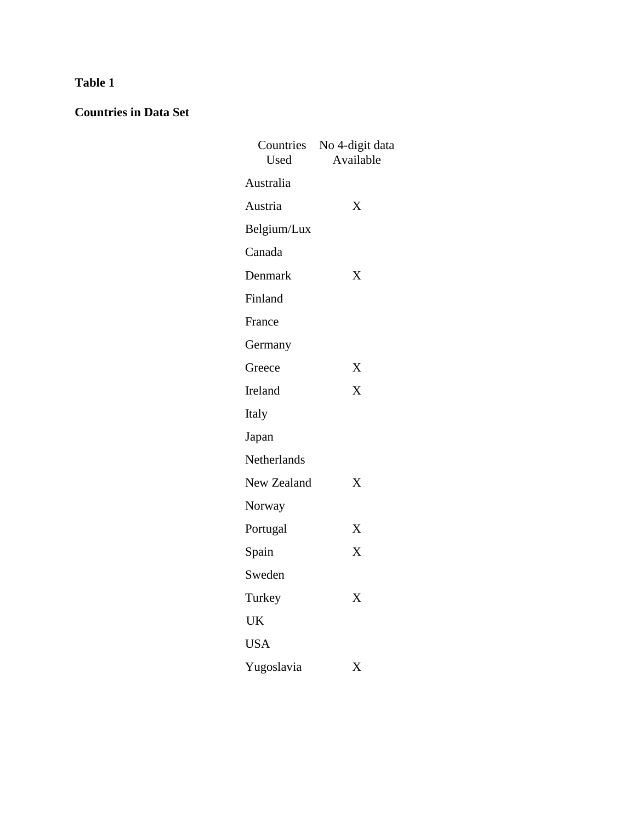### **Table 1**

#### **Countries in Data Set**

| Used        | Countries No 4-digit data<br>Available |
|-------------|----------------------------------------|
| Australia   |                                        |
| Austria     | $\overline{X}$                         |
| Belgium/Lux |                                        |
| Canada      |                                        |
| Denmark     | X                                      |
| Finland     |                                        |
| France      |                                        |
| Germany     |                                        |
| Greece      | X                                      |
| Ireland     | $\overline{X}$                         |
| Italy       |                                        |
| Japan       |                                        |
| Netherlands |                                        |
| New Zealand | $\overline{X}$                         |
| Norway      |                                        |
| Portugal    | X                                      |
| Spain       | $\overline{X}$                         |
| Sweden      |                                        |
| Turkey      | $\overline{X}$                         |
| <b>UK</b>   |                                        |
| <b>USA</b>  |                                        |
| Yugoslavia  | X                                      |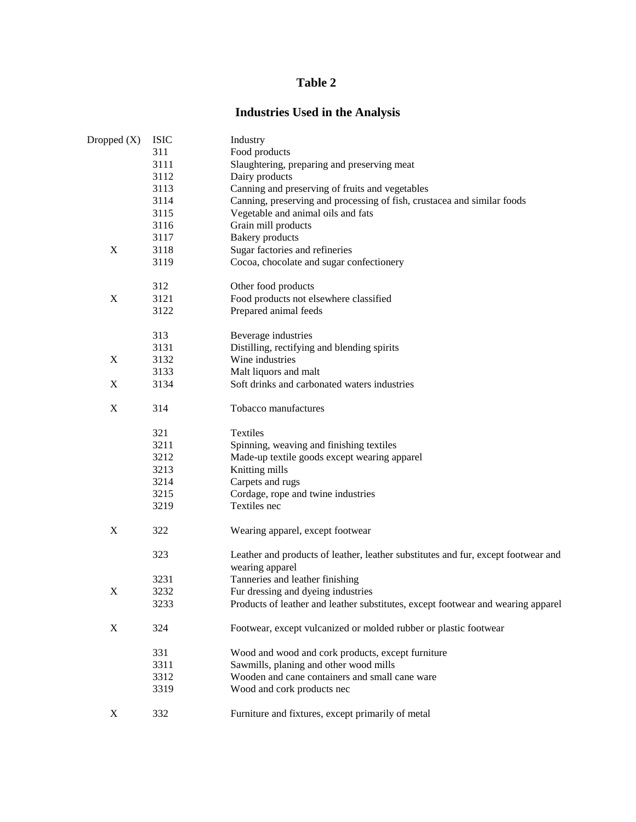# **Table 2**

# **Industries Used in the Analysis**

| Dropped $(X)$             | <b>ISIC</b> | Industry                                                                                             |
|---------------------------|-------------|------------------------------------------------------------------------------------------------------|
|                           | 311         | Food products                                                                                        |
|                           | 3111        | Slaughtering, preparing and preserving meat                                                          |
|                           | 3112        | Dairy products                                                                                       |
|                           | 3113        | Canning and preserving of fruits and vegetables                                                      |
|                           | 3114        | Canning, preserving and processing of fish, crustacea and similar foods                              |
|                           | 3115        | Vegetable and animal oils and fats                                                                   |
|                           | 3116        | Grain mill products                                                                                  |
|                           | 3117        | <b>Bakery</b> products                                                                               |
| X                         | 3118        | Sugar factories and refineries                                                                       |
|                           | 3119        | Cocoa, chocolate and sugar confectionery                                                             |
|                           | 312         | Other food products                                                                                  |
| $\boldsymbol{\mathrm{X}}$ | 3121        | Food products not elsewhere classified                                                               |
|                           | 3122        | Prepared animal feeds                                                                                |
|                           | 313         | Beverage industries                                                                                  |
|                           | 3131        | Distilling, rectifying and blending spirits                                                          |
| X                         | 3132        | Wine industries                                                                                      |
|                           | 3133        | Malt liquors and malt                                                                                |
| X                         | 3134        | Soft drinks and carbonated waters industries                                                         |
| $\boldsymbol{\mathrm{X}}$ | 314         | Tobacco manufactures                                                                                 |
|                           | 321         | Textiles                                                                                             |
|                           | 3211        | Spinning, weaving and finishing textiles                                                             |
|                           | 3212        | Made-up textile goods except wearing apparel                                                         |
|                           | 3213        | Knitting mills                                                                                       |
|                           | 3214        | Carpets and rugs                                                                                     |
|                           | 3215        | Cordage, rope and twine industries                                                                   |
|                           | 3219        | Textiles nec                                                                                         |
| X                         | 322         | Wearing apparel, except footwear                                                                     |
|                           | 323         | Leather and products of leather, leather substitutes and fur, except footwear and<br>wearing apparel |
|                           | 3231        | Tanneries and leather finishing                                                                      |
| X                         | 3232        | Fur dressing and dyeing industries                                                                   |
|                           | 3233        | Products of leather and leather substitutes, except footwear and wearing apparel                     |
| X                         | 324         | Footwear, except vulcanized or molded rubber or plastic footwear                                     |
|                           | 331         | Wood and wood and cork products, except furniture                                                    |
|                           | 3311        | Sawmills, planing and other wood mills                                                               |
|                           | 3312        | Wooden and cane containers and small cane ware                                                       |
|                           | 3319        | Wood and cork products nec                                                                           |
| X                         | 332         | Furniture and fixtures, except primarily of metal                                                    |
|                           |             |                                                                                                      |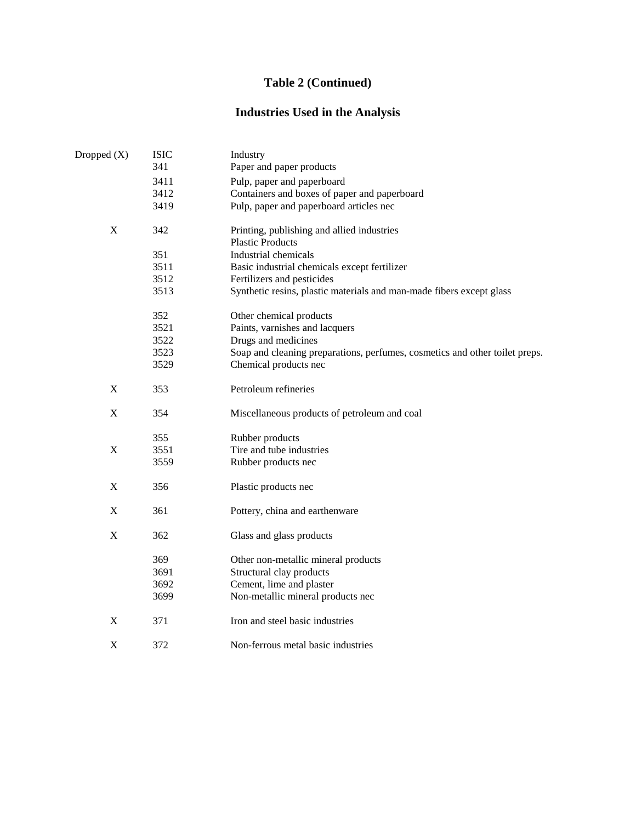# **Table 2 (Continued)**

# **Industries Used in the Analysis**

| Dropped $(X)$             | <b>ISIC</b> | Industry                                                                    |
|---------------------------|-------------|-----------------------------------------------------------------------------|
|                           | 341         | Paper and paper products                                                    |
|                           | 3411        | Pulp, paper and paperboard                                                  |
|                           | 3412        | Containers and boxes of paper and paperboard                                |
|                           | 3419        | Pulp, paper and paperboard articles nec                                     |
| $\mathbf X$               | 342         | Printing, publishing and allied industries<br><b>Plastic Products</b>       |
|                           | 351         | Industrial chemicals                                                        |
|                           | 3511        | Basic industrial chemicals except fertilizer                                |
|                           | 3512        | Fertilizers and pesticides                                                  |
|                           | 3513        | Synthetic resins, plastic materials and man-made fibers except glass        |
|                           | 352         | Other chemical products                                                     |
|                           | 3521        | Paints, varnishes and lacquers                                              |
|                           | 3522        | Drugs and medicines                                                         |
|                           | 3523        | Soap and cleaning preparations, perfumes, cosmetics and other toilet preps. |
|                           | 3529        | Chemical products nec                                                       |
| $\mathbf X$               | 353         | Petroleum refineries                                                        |
| X                         | 354         | Miscellaneous products of petroleum and coal                                |
|                           | 355         | Rubber products                                                             |
| $\boldsymbol{\mathrm{X}}$ | 3551        | Tire and tube industries                                                    |
|                           | 3559        | Rubber products nec                                                         |
| $\mathbf X$               | 356         | Plastic products nec                                                        |
| $\mathbf X$               | 361         | Pottery, china and earthenware                                              |
| $\mathbf X$               | 362         | Glass and glass products                                                    |
|                           | 369         | Other non-metallic mineral products                                         |
|                           | 3691        | Structural clay products                                                    |
|                           | 3692        | Cement, lime and plaster                                                    |
|                           | 3699        | Non-metallic mineral products nec                                           |
| $\mathbf X$               | 371         | Iron and steel basic industries                                             |
| $\mathbf X$               | 372         | Non-ferrous metal basic industries                                          |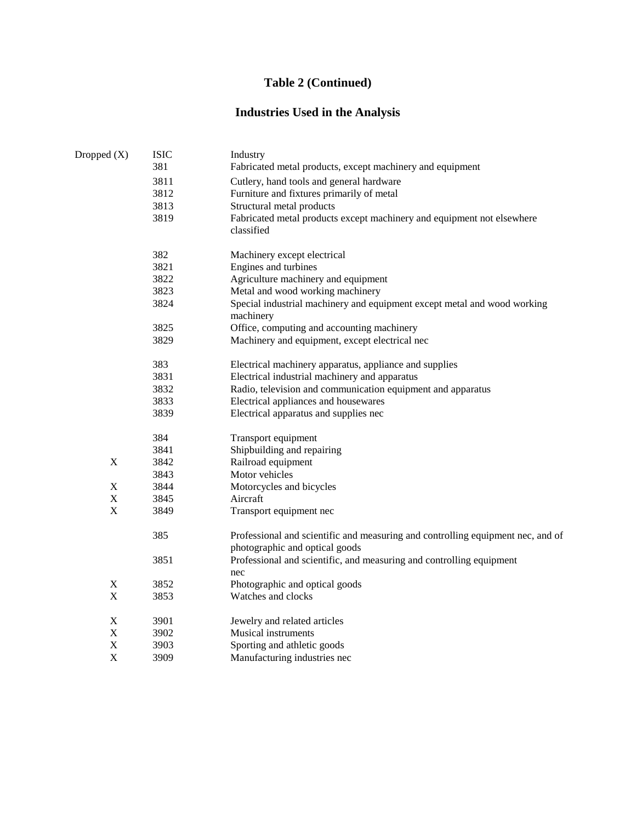# **Table 2 (Continued)**

# **Industries Used in the Analysis**

| Dropped $(X)$ | <b>ISIC</b><br>381 | Industry<br>Fabricated metal products, except machinery and equipment                                             |
|---------------|--------------------|-------------------------------------------------------------------------------------------------------------------|
|               | 3811               |                                                                                                                   |
|               | 3812               | Cutlery, hand tools and general hardware                                                                          |
|               |                    | Furniture and fixtures primarily of metal                                                                         |
|               | 3813               | Structural metal products                                                                                         |
|               | 3819               | Fabricated metal products except machinery and equipment not elsewhere<br>classified                              |
|               | 382                | Machinery except electrical                                                                                       |
|               | 3821               | Engines and turbines                                                                                              |
|               | 3822               | Agriculture machinery and equipment                                                                               |
|               | 3823               | Metal and wood working machinery                                                                                  |
|               | 3824               | Special industrial machinery and equipment except metal and wood working<br>machinery                             |
|               | 3825               | Office, computing and accounting machinery                                                                        |
|               | 3829               | Machinery and equipment, except electrical nec                                                                    |
|               | 383                | Electrical machinery apparatus, appliance and supplies                                                            |
|               | 3831               | Electrical industrial machinery and apparatus                                                                     |
|               | 3832               | Radio, television and communication equipment and apparatus                                                       |
|               | 3833               | Electrical appliances and housewares                                                                              |
|               | 3839               | Electrical apparatus and supplies nec                                                                             |
|               | 384                | Transport equipment                                                                                               |
|               | 3841               | Shipbuilding and repairing                                                                                        |
| $\mathbf X$   | 3842               | Railroad equipment                                                                                                |
|               | 3843               | Motor vehicles                                                                                                    |
| $\mathbf X$   | 3844               | Motorcycles and bicycles                                                                                          |
| $\mathbf X$   | 3845               | Aircraft                                                                                                          |
| $\mathbf X$   | 3849               | Transport equipment nec                                                                                           |
|               | 385                | Professional and scientific and measuring and controlling equipment nec, and of<br>photographic and optical goods |
|               | 3851               | Professional and scientific, and measuring and controlling equipment                                              |
|               |                    | nec                                                                                                               |
| $\mathbf X$   | 3852               | Photographic and optical goods                                                                                    |
| $\mathbf X$   | 3853               | Watches and clocks                                                                                                |
| $\mathbf X$   | 3901               | Jewelry and related articles                                                                                      |
| $\mathbf X$   | 3902               | Musical instruments                                                                                               |
| $\mathbf X$   | 3903               | Sporting and athletic goods                                                                                       |
| $\mathbf X$   | 3909               | Manufacturing industries nec                                                                                      |
|               |                    |                                                                                                                   |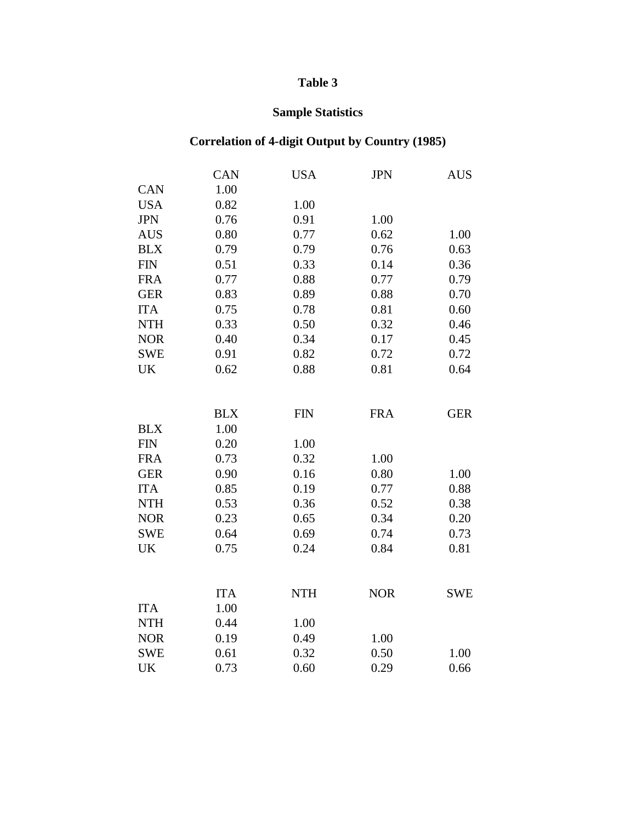# **Table 3**

# **Sample Statistics**

# **Correlation of 4-digit Output by Country (1985)**

|            | CAN        | <b>USA</b> | <b>JPN</b> | <b>AUS</b> |
|------------|------------|------------|------------|------------|
| <b>CAN</b> | 1.00       |            |            |            |
| <b>USA</b> | 0.82       | 1.00       |            |            |
| <b>JPN</b> | 0.76       | 0.91       | 1.00       |            |
| <b>AUS</b> | 0.80       | 0.77       | 0.62       | 1.00       |
| <b>BLX</b> | 0.79       | 0.79       | 0.76       | 0.63       |
| <b>FIN</b> | 0.51       | 0.33       | 0.14       | 0.36       |
| <b>FRA</b> | 0.77       | 0.88       | 0.77       | 0.79       |
| <b>GER</b> | 0.83       | 0.89       | 0.88       | 0.70       |
| <b>ITA</b> | 0.75       | 0.78       | 0.81       | 0.60       |
| <b>NTH</b> | 0.33       | 0.50       | 0.32       | 0.46       |
| <b>NOR</b> | 0.40       | 0.34       | 0.17       | 0.45       |
| <b>SWE</b> | 0.91       | 0.82       | 0.72       | 0.72       |
| <b>UK</b>  | 0.62       | 0.88       | 0.81       | 0.64       |
|            |            |            |            |            |
|            |            |            |            |            |
|            | <b>BLX</b> | <b>FIN</b> | <b>FRA</b> | <b>GER</b> |
| <b>BLX</b> | 1.00       |            |            |            |
| <b>FIN</b> | 0.20       | 1.00       |            |            |
| <b>FRA</b> | 0.73       | 0.32       | 1.00       |            |
| <b>GER</b> | 0.90       | 0.16       | 0.80       | 1.00       |
| <b>ITA</b> | 0.85       | 0.19       | 0.77       | 0.88       |
| <b>NTH</b> | 0.53       | 0.36       | 0.52       | 0.38       |
| <b>NOR</b> | 0.23       | 0.65       | 0.34       | 0.20       |
| <b>SWE</b> | 0.64       | 0.69       | 0.74       | 0.73       |
| UK         | 0.75       | 0.24       | 0.84       | 0.81       |
|            |            |            |            |            |
|            |            |            |            |            |
|            | <b>ITA</b> | <b>NTH</b> | <b>NOR</b> | <b>SWE</b> |
| <b>ITA</b> | 1.00       |            |            |            |
| <b>NTH</b> | 0.44       | 1.00       |            |            |
| <b>NOR</b> | 0.19       | 0.49       | 1.00       |            |
| <b>SWE</b> | 0.61       | 0.32       | 0.50       | 1.00       |
| UK         | 0.73       | 0.60       | 0.29       | 0.66       |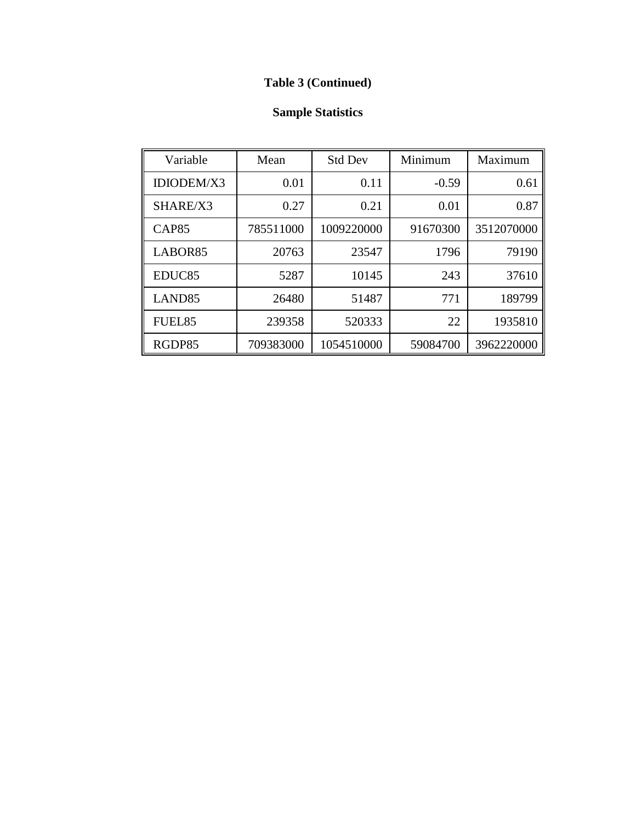# **Table 3 (Continued)**

# **Sample Statistics**

| Variable           | Mean      | <b>Std Dev</b> | Minimum  | Maximum    |
|--------------------|-----------|----------------|----------|------------|
| IDIODEM/X3         | 0.01      | 0.11           | $-0.59$  | 0.61       |
| SHARE/X3           | 0.27      | 0.21           | 0.01     | 0.87       |
| CAP <sub>85</sub>  | 785511000 | 1009220000     | 91670300 | 3512070000 |
| LABOR85            | 20763     | 23547          | 1796     | 79190      |
| EDUC <sub>85</sub> | 5287      | 10145          | 243      | 37610      |
| LAND <sub>85</sub> | 26480     | 51487          | 771      | 189799     |
| FUEL <sub>85</sub> | 239358    | 520333         | 22       | 1935810    |
| RGDP85             | 709383000 | 1054510000     | 59084700 | 3962220000 |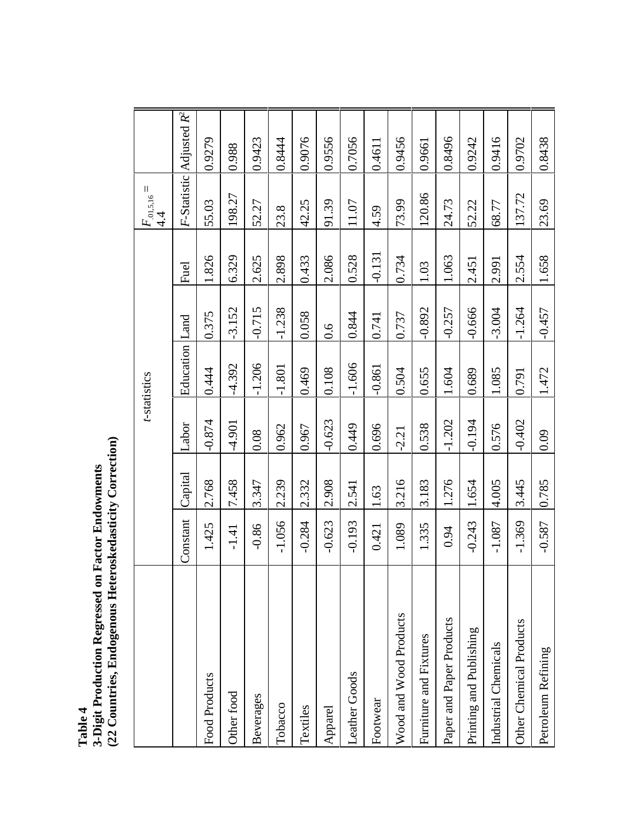|         | 3-Digit Production Regressed on Factor Endowments | (22 Countries, Endogenous Heteroskedasticity Correction) |
|---------|---------------------------------------------------|----------------------------------------------------------|
| Table 4 |                                                   |                                                          |

|                          |          |                 |          | t-statistics |          |          | $F_{.01,5,16} =$<br>4.4 |                                     |
|--------------------------|----------|-----------------|----------|--------------|----------|----------|-------------------------|-------------------------------------|
|                          | Constant | ${\rm Capital}$ | Labor    | Education    | Land     | Fuel     |                         | F-Statistic Adjusted R <sup>2</sup> |
| Food Products            | 1.425    | 2.768           | $-0.874$ | 0.444        | 0.375    | 1.826    | 55.03                   | 0.9279                              |
| Other food               | $-1.41$  | 7.458           | $-4.901$ | $-4.392$     | $-3.152$ | 6.329    | 198.27                  | 886.0                               |
| Beverages                | $-0.86$  | 3.347           | 0.08     | $-1.206$     | $-0.715$ | 2.625    | 52.27                   | 0.9423                              |
| Tobacco                  | $-1.056$ | 2.239           | 0.962    | $-1.801$     | $-1.238$ | 2.898    | 23.8                    | 0.8444                              |
| Textiles                 | $-0.284$ | 2.332           | 0.967    | 0.469        | 0.058    | 0.433    | 42.25                   | 0.9076                              |
| Apparel                  | $-0.623$ | 2.908           | $-0.623$ | 0.108        | 0.6      | 2.086    | 91.39                   | 0.9556                              |
| Leather Goods            | $-0.193$ | 2.541           | 0.449    | $-1.606$     | 0.844    | 0.528    | 11.07                   | 0.7056                              |
| Footwear                 | 0.421    | 1.63            | 0.696    | $-0.861$     | 0.741    | $-0.131$ | 4.59                    | 0.4611                              |
| Wood and Wood Products   | 1.089    | 3.216           | $-2.21$  | 0.504        | 0.737    | 0.734    | 73.99                   | 0.9456                              |
| Furniture and Fixtures   | 1.335    | 3.183           | 0.538    | 0.655        | $-0.892$ | 1.03     | 120.86                  | 0.9661                              |
| Paper and Paper Products | 0.94     | 1.276           | $-1.202$ | 1.604        | $-0.257$ | 1.063    | 24.73                   | 0.8496                              |
| Printing and Publishing  | $-0.243$ | 1.654           | $-0.194$ | 0.689        | $-0.666$ | 2.451    | 52.22                   | 0.9242                              |
| Industrial Chemicals     | $-1.087$ | 4.005           | 0.576    | 1.085        | $-3.004$ | 2.991    | 68.77                   | 0.9416                              |
| Other Chemical Products  | $-1.369$ | 3.445           | $-0.402$ | 0.791        | $-1.264$ | 2.554    | 137.72                  | 0.9702                              |
| Petroleum Refining       | $-0.587$ | 0.785           | 0.09     | 1.472        | $-0.457$ | 1.658    | 23.69                   | 0.8438                              |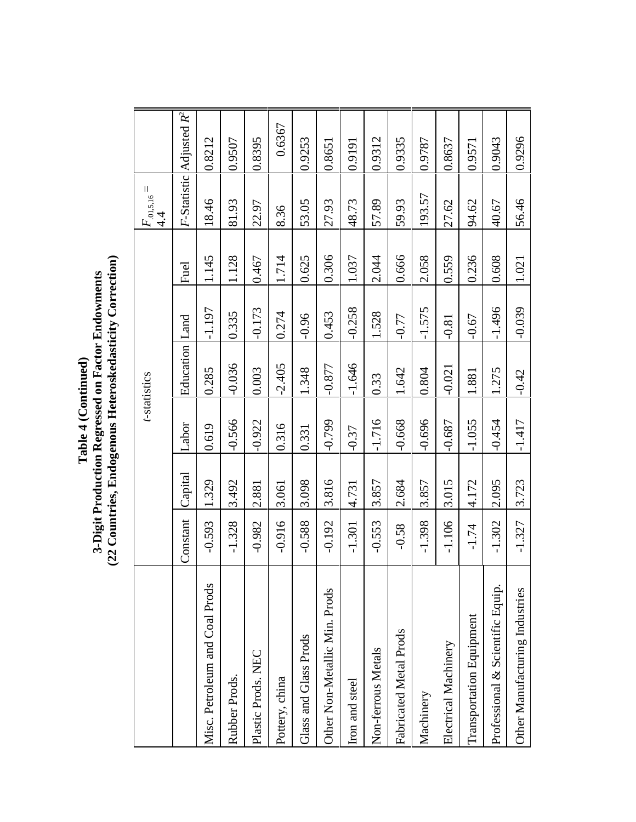Table 4 (Continued)<br>3-Digit Production Regressed on Factor Endowments<br>(22 Countries, Endogenous Heteroskedasticity Correction) **(22 Countries, Endogenous Heteroskedasticity Correction) 3-Digit Production Regressed on Factor Endowments Table 4 (Continued)**

|                                  |          |                 |          | t-statistics |          |       | $F_{.01,5,16} =$<br>$\frac{4}{1}$ |                |
|----------------------------------|----------|-----------------|----------|--------------|----------|-------|-----------------------------------|----------------|
|                                  | Constant | ${\rm Capital}$ | Labor    | Education    | Land     | Fuel  | F-Statistic                       | Adjusted $R^2$ |
| Misc. Petroleum and Coal Prods   | $-0.593$ | 1.329           | 0.619    | 0.285        | $-1.197$ | 1.145 | 18.46                             | 0.8212         |
| Rubber Prods.                    | $-1.328$ | 3.492           | $-0.566$ | $-0.036$     | 0.335    | 1.128 | 81.93                             | 0.9507         |
| Plastic Prods. NEC               | $-0.982$ | 2.881           | $-0.922$ | 0.003        | $-0.173$ | 0.467 | 22.97                             | 0.8395         |
| Pottery, china                   | $-0.916$ | 3.061           | 0.316    | $-2.405$     | 0.274    | 1.714 | 8.36                              | 0.6367         |
| Glass and Glass Prods            | $-0.588$ | 3.098           | 0.331    | 1.348        | $-0.96$  | 0.625 | 53.05                             | 0.9253         |
| Other Non-Metallic Min. Prods    | $-0.192$ | 3.816           | $-0.799$ | $-0.877$     | 0.453    | 0.306 | 27.93                             | 0.8651         |
| Iron and steel                   | $-1.301$ | 4.731           | $-0.37$  | $-1.646$     | $-0.258$ | 1.037 | 48.73                             | 0.9191         |
| Non-ferrous Metals               | $-0.553$ | 3.857           | $-1.716$ | 0.33         | 1.528    | 2.044 | 57.89                             | 0.9312         |
| Fabricated Metal Prods           | $-0.58$  | 2.684           | $-0.668$ | 1.642        | $-0.77$  | 0.666 | 59.93                             | 0.9335         |
| Machinery                        | $-1.398$ | 3.857           | $-0.696$ | 0.804        | $-1.575$ | 2.058 | 193.57                            | 0.9787         |
| Electrical Machinery             | $-1.106$ | 3.015           | $-0.687$ | $-0.021$     | $-0.81$  | 0.559 | 27.62                             | 0.8637         |
| <b>Transportation Equipment</b>  | $-1.74$  | 4.172           | $-1.055$ | 1.881        | $-0.67$  | 0.236 | 94.62                             | 0.9571         |
| Professional & Scientific Equip. | $-1.302$ | 2.095           | $-0.454$ | 1.275        | $-1.496$ | 0.608 | 40.67                             | 0.9043         |
| Other Manufacturing Industries   | $-1.327$ | 3.723           | $-1.417$ | $-0.42$      | $-0.039$ | 1.021 | 56.46                             | 0.9296         |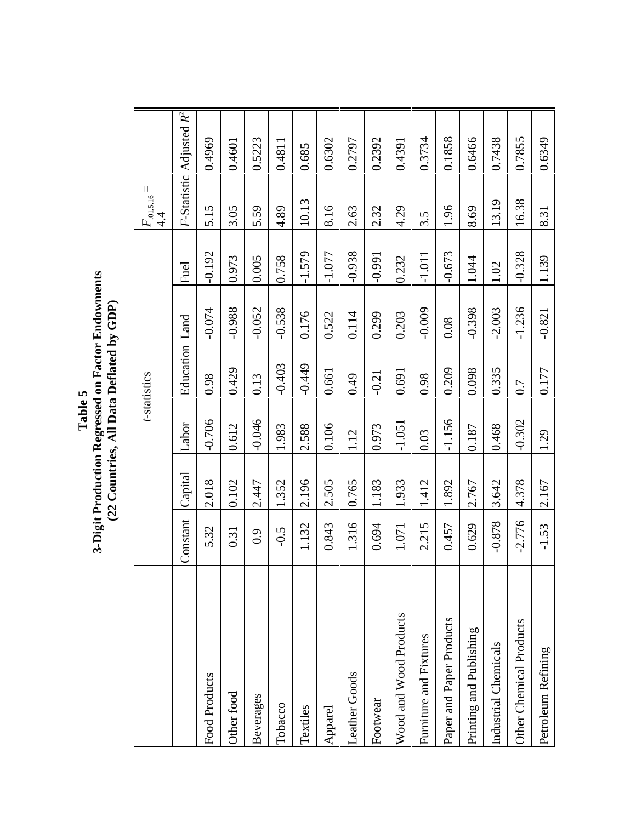**Table 5**<br>**3-Digit Production Regressed on Factor Endowments**<br>(22 Countries, All Data Deflated by GDP) **3-Digit Production Regressed on Factor Endowments (22 Countries, All Data Deflated by GDP)**

|                          |          |         |          | t-statistics |          |          | $F_{.01,5,16} =$<br>4.4 |                                     |
|--------------------------|----------|---------|----------|--------------|----------|----------|-------------------------|-------------------------------------|
|                          | Constant | Capital | Labor    | Education    | Land     | Fuel     |                         | F-Statistic Adjusted R <sup>2</sup> |
| Food Products            | 5.32     | 2.018   | $-0.706$ | 0.98         | $-0.074$ | $-0.192$ | 5.15                    | 0.4969                              |
| Other food               | 0.31     | 0.102   | 0.612    | 0.429        | $-0.988$ | 0.973    | 3.05                    | 0.4601                              |
| Beverages                | 0.9      | 2.447   | $-0.046$ | 0.13         | $-0.052$ | 0.005    | 5.59                    | 0.5223                              |
| Tobacco                  | $-0.5$   | 1.352   | 1.983    | $-0.403$     | $-0.538$ | 0.758    | 4.89                    | 0.4811                              |
| Textiles                 | 1.132    | 2.196   | 2.588    | $-0.449$     | 0.176    | $-1.579$ | 10.13                   | 0.685                               |
| Apparel                  | 0.843    | 2.505   | 0.106    | 0.661        | 0.522    | $-1.077$ | 8.16                    | 0.6302                              |
| Leather Goods            | 1.316    | 0.765   | 1.12     | 649          | 0.114    | $-0.938$ | 2.63                    | 0.2797                              |
| Footwear                 | 0.694    | 1.183   | 0.973    | $-0.21$      | 0.299    | $-0.991$ | 2.32                    | 0.2392                              |
| Wood and Wood Products   | 1.071    | 1.933   | $-1.051$ | 0.691        | 0.203    | 0.232    | 4.29                    | 0.4391                              |
| Furniture and Fixtures   | 2.215    | 1.412   | 0.03     | 0.98         | $-0.009$ | $-1.011$ | 3.5                     | 0.3734                              |
| Paper and Paper Products | 0.457    | 1.892   | $-1.156$ | 0.209        | 0.08     | $-0.673$ | 1.96                    | 0.1858                              |
| Printing and Publishing  | 0.629    | 2.767   | 0.187    | 0.098        | $-0.398$ | 1.044    | 8.69                    | 0.6466                              |
| Industrial Chemicals     | $-0.878$ | 3.642   | 0.468    | 0.335        | $-2.003$ | 1.02     | 13.19                   | 0.7438                              |
| Other Chemical Products  | $-2.776$ | 4.378   | $-0.302$ | 0.7          | $-1.236$ | $-0.328$ | 16.38                   | 0.7855                              |
| Petroleum Refining       | $-1.53$  | 2.167   | 1.29     | 0.177        | $-0.821$ | 1.139    | 8.31                    | 0.6349                              |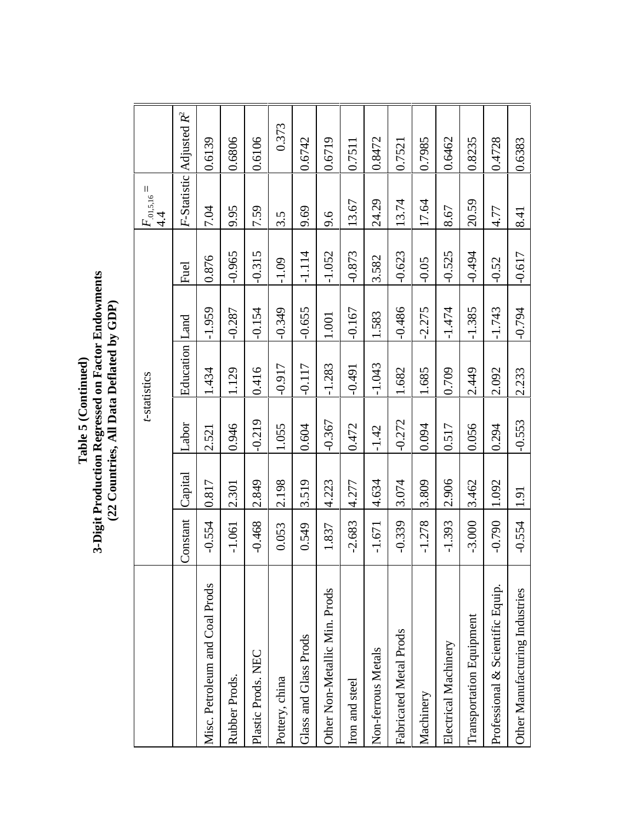Table 5 (Continued)<br>3-Digit Production Regressed on Factor Endowments<br>(22 Countries, All Data Deflated by GDP) **3-Digit Production Regressed on Factor Endowments (22 Countries, All Data Deflated by GDP) Table 5 (Continued)**

|                                  |          |                 |          | t-statistics |            |          | $F_{.01,5,16} =$<br>$\frac{4}{4}$ |                |
|----------------------------------|----------|-----------------|----------|--------------|------------|----------|-----------------------------------|----------------|
|                                  | Constant | ${\rm Capital}$ | Labor    | Education    | Land       | Fuel     | F-Statistic                       | Adjusted $R^2$ |
| Misc. Petroleum and Coal Prods   | $-0.554$ | 0.817           | 2.521    | 1.434        | $-1.959$   | 0.876    | 7.04                              | 0.6139         |
| Rubber Prods.                    | $-1.061$ | 2.301           | 0.946    | 1.129        | $-0.287$   | $-0.965$ | 9.95                              | 0.6806         |
| Plastic Prods. NEC               | $-0.468$ | 2.849           | $-0.219$ | 0.416        | $-0.154$   | $-0.315$ | 7.59                              | 0.6106         |
| Pottery, china                   | 0.053    | 2.198           | 1.055    | $-0.917$     | $-0.349$   | $-1.09$  | 3.5                               | 0.373          |
| Glass and Glass Prods            | 0.549    | 3.519           | 0.604    | $-0.117$     | $-0.655$   | $-1.114$ | 9.69                              | 0.6742         |
| Other Non-Metallic Min. Prods    | 1.837    | 4.223           | $-0.367$ | $-1.283$     | 1.001      | $-1.052$ | 9.6                               | 0.6719         |
| Iron and steel                   | $-2.683$ | 4.277           | 0.472    | $-0.491$     | $-0.167$   | $-0.873$ | 13.67                             | 0.7511         |
| Non-ferrous Metals               | $-1.671$ | 4.634           | $-1.42$  | $-1.043$     | 1.583      | 3.582    | 24.29                             | 0.8472         |
| Fabricated Metal Prods           | $-0.339$ | 3.074           | $-0.272$ | 1.682        | $-0.486$   | $-0.623$ | 13.74                             | 0.7521         |
| Machinery                        | $-1.278$ | 3.809           | 0.094    | 1.685        | $-2.275$   | $-0.05$  | 17.64                             | 0.7985         |
| Electrical Machinery             | $-1.393$ | 2.906           | 0.517    | 0.709        | $-1.474$   | $-0.525$ | 8.67                              | 0.6462         |
| Transportation Equipment         | $-3.000$ | 3.462           | 0.056    | 2.449        | $-1.385$   | $-0.494$ | 20.59                             | 0.8235         |
| Professional & Scientific Equip. | $-0.790$ | 1.092           | 0.294    | 2.092        | $[-1.743]$ | $ -0.52$ | 4.77                              | 0.4728         |
| Other Manufacturing Industries   | $-0.554$ | 1.91            | $-0.553$ | 2.233        | $-0.794$   | $-0.617$ | 8.41                              | 0.6383         |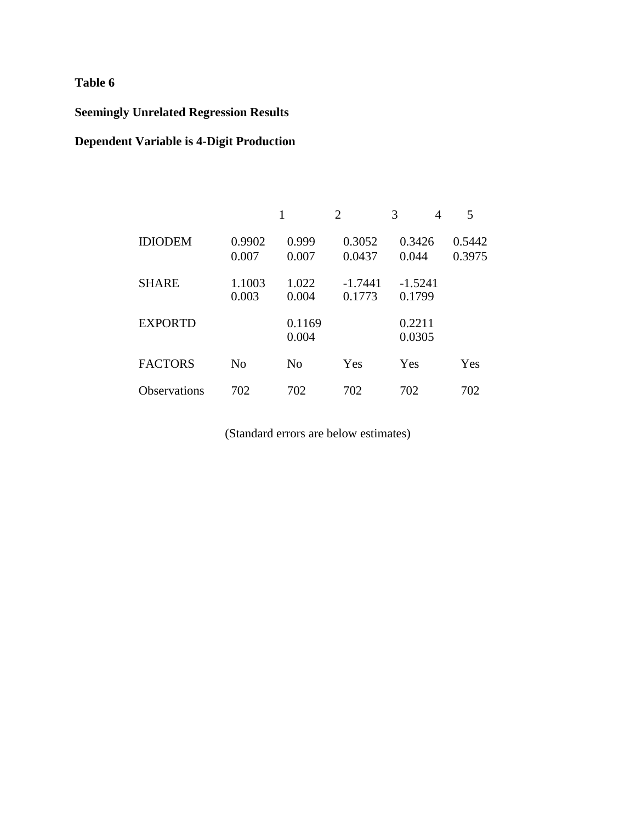### **Table 6**

# **Seemingly Unrelated Regression Results**

### **Dependent Variable is 4-Digit Production**

|                |                 | 1               | $\overline{2}$      | 3<br>4              | 5                |
|----------------|-----------------|-----------------|---------------------|---------------------|------------------|
| <b>IDIODEM</b> | 0.9902<br>0.007 | 0.999<br>0.007  | 0.3052<br>0.0437    | 0.3426<br>0.044     | 0.5442<br>0.3975 |
| <b>SHARE</b>   | 1.1003<br>0.003 | 1.022<br>0.004  | $-1.7441$<br>0.1773 | $-1.5241$<br>0.1799 |                  |
| <b>EXPORTD</b> |                 | 0.1169<br>0.004 |                     | 0.2211<br>0.0305    |                  |
| <b>FACTORS</b> | No              | N <sub>0</sub>  | Yes                 | Yes                 | Yes              |
| Observations   | 702             | 702             | 702                 | 702                 | 702              |

(Standard errors are below estimates)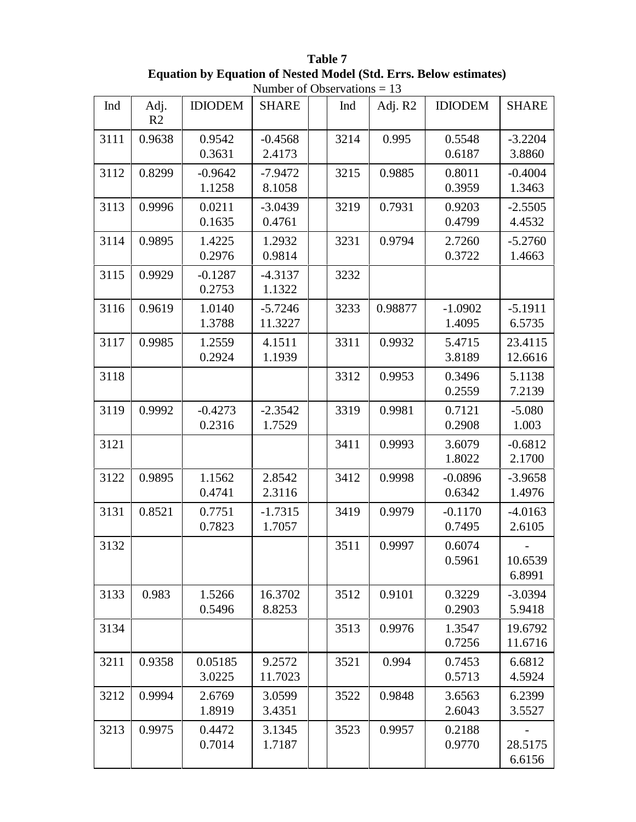|      |                        |                     | $1,0,000$ of $0,000$ |      |         |                     |                     |
|------|------------------------|---------------------|----------------------|------|---------|---------------------|---------------------|
| Ind  | Adj.<br>R <sub>2</sub> | <b>IDIODEM</b>      | <b>SHARE</b>         | Ind  | Adj. R2 | <b>IDIODEM</b>      | <b>SHARE</b>        |
| 3111 | 0.9638                 | 0.9542<br>0.3631    | $-0.4568$<br>2.4173  | 3214 | 0.995   | 0.5548<br>0.6187    | $-3.2204$<br>3.8860 |
| 3112 | 0.8299                 | $-0.9642$<br>1.1258 | $-7.9472$<br>8.1058  | 3215 | 0.9885  | 0.8011<br>0.3959    | $-0.4004$<br>1.3463 |
| 3113 | 0.9996                 | 0.0211<br>0.1635    | $-3.0439$<br>0.4761  | 3219 | 0.7931  | 0.9203<br>0.4799    | $-2.5505$<br>4.4532 |
| 3114 | 0.9895                 | 1.4225<br>0.2976    | 1.2932<br>0.9814     | 3231 | 0.9794  | 2.7260<br>0.3722    | $-5.2760$<br>1.4663 |
| 3115 | 0.9929                 | $-0.1287$<br>0.2753 | $-4.3137$<br>1.1322  | 3232 |         |                     |                     |
| 3116 | 0.9619                 | 1.0140<br>1.3788    | $-5.7246$<br>11.3227 | 3233 | 0.98877 | $-1.0902$<br>1.4095 | $-5.1911$<br>6.5735 |
| 3117 | 0.9985                 | 1.2559<br>0.2924    | 4.1511<br>1.1939     | 3311 | 0.9932  | 5.4715<br>3.8189    | 23.4115<br>12.6616  |
| 3118 |                        |                     |                      | 3312 | 0.9953  | 0.3496<br>0.2559    | 5.1138<br>7.2139    |
| 3119 | 0.9992                 | $-0.4273$<br>0.2316 | $-2.3542$<br>1.7529  | 3319 | 0.9981  | 0.7121<br>0.2908    | $-5.080$<br>1.003   |
| 3121 |                        |                     |                      | 3411 | 0.9993  | 3.6079<br>1.8022    | $-0.6812$<br>2.1700 |
| 3122 | 0.9895                 | 1.1562<br>0.4741    | 2.8542<br>2.3116     | 3412 | 0.9998  | $-0.0896$<br>0.6342 | $-3.9658$<br>1.4976 |
| 3131 | 0.8521                 | 0.7751<br>0.7823    | $-1.7315$<br>1.7057  | 3419 | 0.9979  | $-0.1170$<br>0.7495 | $-4.0163$<br>2.6105 |
| 3132 |                        |                     |                      | 3511 | 0.9997  | 0.6074<br>0.5961    | 10.6539<br>6.8991   |
| 3133 | 0.983                  | 1.5266<br>0.5496    | 16.3702<br>8.8253    | 3512 | 0.9101  | 0.3229<br>0.2903    | $-3.0394$<br>5.9418 |
| 3134 |                        |                     |                      | 3513 | 0.9976  | 1.3547<br>0.7256    | 19.6792<br>11.6716  |
| 3211 | 0.9358                 | 0.05185<br>3.0225   | 9.2572<br>11.7023    | 3521 | 0.994   | 0.7453<br>0.5713    | 6.6812<br>4.5924    |
| 3212 | 0.9994                 | 2.6769<br>1.8919    | 3.0599<br>3.4351     | 3522 | 0.9848  | 3.6563<br>2.6043    | 6.2399<br>3.5527    |
| 3213 | 0.9975                 | 0.4472<br>0.7014    | 3.1345<br>1.7187     | 3523 | 0.9957  | 0.2188<br>0.9770    | 28.5175<br>6.6156   |

**Table 7 Equation by Equation of Nested Model (Std. Errs. Below estimates)** Number of Observations = 13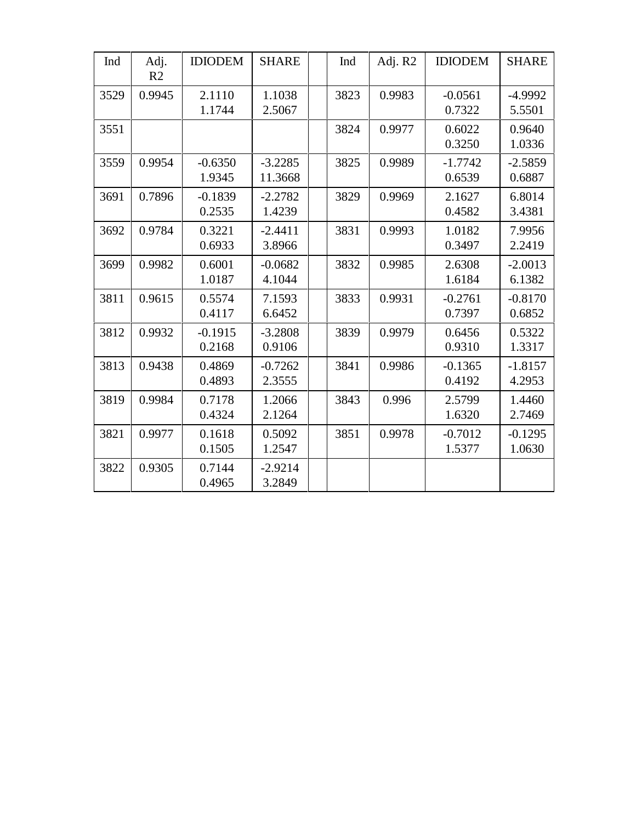| Ind  | Adj.<br>R <sub>2</sub> | <b>IDIODEM</b>      | <b>SHARE</b>         | Ind  | Adj. R2 | <b>IDIODEM</b>      | <b>SHARE</b>        |
|------|------------------------|---------------------|----------------------|------|---------|---------------------|---------------------|
| 3529 | 0.9945                 | 2.1110<br>1.1744    | 1.1038<br>2.5067     | 3823 | 0.9983  | $-0.0561$<br>0.7322 | $-4.9992$<br>5.5501 |
| 3551 |                        |                     |                      | 3824 | 0.9977  | 0.6022<br>0.3250    | 0.9640<br>1.0336    |
| 3559 | 0.9954                 | $-0.6350$<br>1.9345 | $-3.2285$<br>11.3668 | 3825 | 0.9989  | $-1.7742$<br>0.6539 | $-2.5859$<br>0.6887 |
| 3691 | 0.7896                 | $-0.1839$<br>0.2535 | $-2.2782$<br>1.4239  | 3829 | 0.9969  | 2.1627<br>0.4582    | 6.8014<br>3.4381    |
| 3692 | 0.9784                 | 0.3221<br>0.6933    | $-2.4411$<br>3.8966  | 3831 | 0.9993  | 1.0182<br>0.3497    | 7.9956<br>2.2419    |
| 3699 | 0.9982                 | 0.6001<br>1.0187    | $-0.0682$<br>4.1044  | 3832 | 0.9985  | 2.6308<br>1.6184    | $-2.0013$<br>6.1382 |
| 3811 | 0.9615                 | 0.5574<br>0.4117    | 7.1593<br>6.6452     | 3833 | 0.9931  | $-0.2761$<br>0.7397 | $-0.8170$<br>0.6852 |
| 3812 | 0.9932                 | $-0.1915$<br>0.2168 | $-3.2808$<br>0.9106  | 3839 | 0.9979  | 0.6456<br>0.9310    | 0.5322<br>1.3317    |
| 3813 | 0.9438                 | 0.4869<br>0.4893    | $-0.7262$<br>2.3555  | 3841 | 0.9986  | $-0.1365$<br>0.4192 | $-1.8157$<br>4.2953 |
| 3819 | 0.9984                 | 0.7178<br>0.4324    | 1.2066<br>2.1264     | 3843 | 0.996   | 2.5799<br>1.6320    | 1.4460<br>2.7469    |
| 3821 | 0.9977                 | 0.1618<br>0.1505    | 0.5092<br>1.2547     | 3851 | 0.9978  | $-0.7012$<br>1.5377 | $-0.1295$<br>1.0630 |
| 3822 | 0.9305                 | 0.7144<br>0.4965    | $-2.9214$<br>3.2849  |      |         |                     |                     |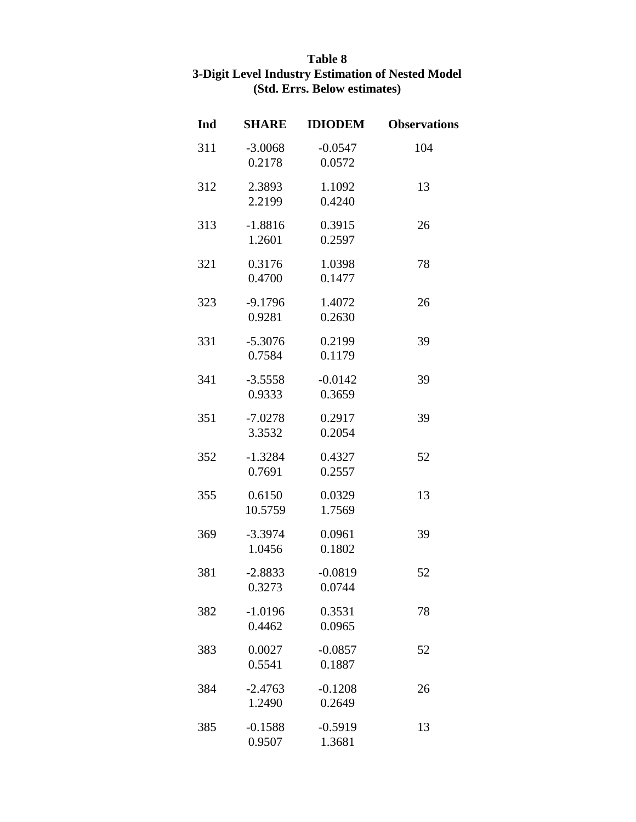#### **Table 8 3-Digit Level Industry Estimation of Nested Model (Std. Errs. Below estimates)**

| Ind | <b>SHARE</b>        | <b>IDIODEM</b>      | <b>Observations</b> |
|-----|---------------------|---------------------|---------------------|
| 311 | $-3.0068$<br>0.2178 | $-0.0547$<br>0.0572 | 104                 |
| 312 | 2.3893<br>2.2199    | 1.1092<br>0.4240    | 13                  |
| 313 | $-1.8816$<br>1.2601 | 0.3915<br>0.2597    | 26                  |
| 321 | 0.3176<br>0.4700    | 1.0398<br>0.1477    | 78                  |
| 323 | $-9.1796$<br>0.9281 | 1.4072<br>0.2630    | 26                  |
| 331 | $-5.3076$<br>0.7584 | 0.2199<br>0.1179    | 39                  |
| 341 | $-3.5558$<br>0.9333 | $-0.0142$<br>0.3659 | 39                  |
| 351 | $-7.0278$<br>3.3532 | 0.2917<br>0.2054    | 39                  |
| 352 | $-1.3284$<br>0.7691 | 0.4327<br>0.2557    | 52                  |
| 355 | 0.6150<br>10.5759   | 0.0329<br>1.7569    | 13                  |
| 369 | $-3.3974$<br>1.0456 | 0.0961<br>0.1802    | 39                  |
| 381 | $-2.8833$<br>0.3273 | $-0.0819$<br>0.0744 | 52                  |
| 382 | $-1.0196$<br>0.4462 | 0.3531<br>0.0965    | 78                  |
| 383 | 0.0027<br>0.5541    | $-0.0857$<br>0.1887 | 52                  |
| 384 | $-2.4763$<br>1.2490 | $-0.1208$<br>0.2649 | 26                  |
| 385 | $-0.1588$<br>0.9507 | $-0.5919$<br>1.3681 | 13                  |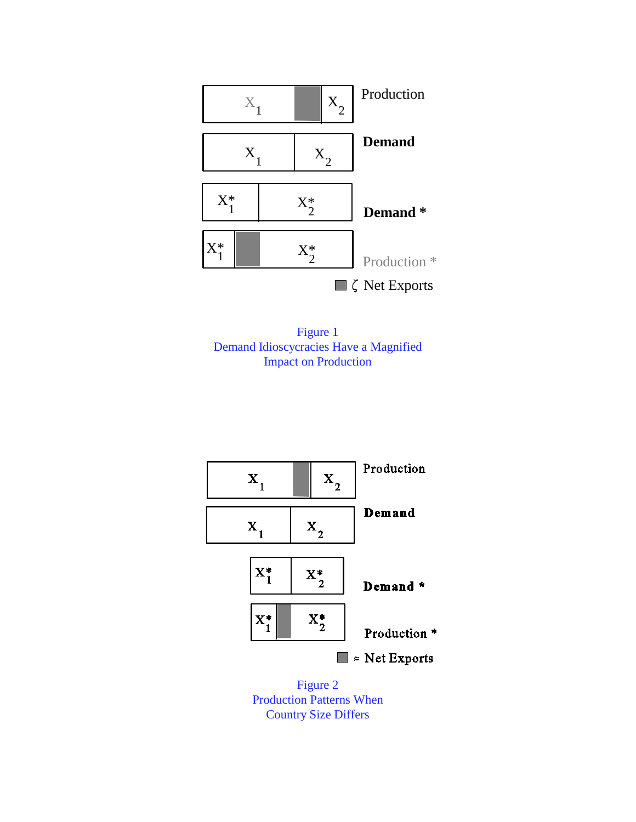





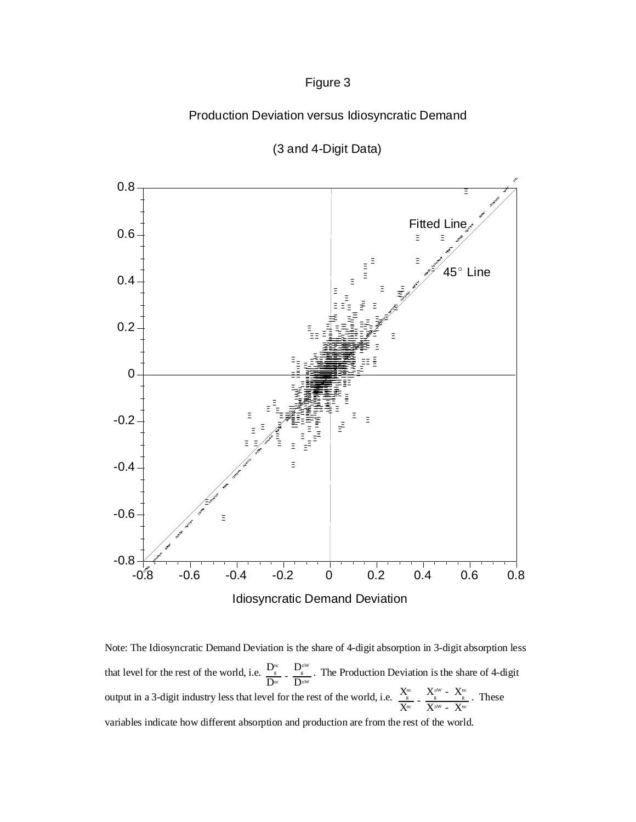

Production Deviation versus Idiosyncratic Demand



(3 and 4-Digit Data)

Note: The Idiosyncratic Demand Deviation is the share of 4-digit absorption in 3-digit absorption less that level for the rest of the world, i.e.  $\frac{D_g^{\text{nc}}}{D_{\text{nc}}}$  -  $\frac{D_g^{\text{nw}}}{D_{\text{nw}}}$ . The Production Deviation is the share of 4-digit output in a 3-digit industry less that level for the rest of the world, i.e.  $\frac{X_{\text{nc}}^{\text{nc}}}{X_{\text{nc}}}$  -  $\frac{X_{\text{an}}^{\text{nw}} - X_{\text{sc}}^{\text{nc}}}{X_{\text{an}}^{\text{w}} - X_{\text{nc}}^{\text{nc}}}$ . These variables indicate how different absorption and production are from the rest of the world.  $\mathbf{D}^{\text{nw}}$  $X<sub>nW</sub>$  -  $X<sub>nc</sub>$